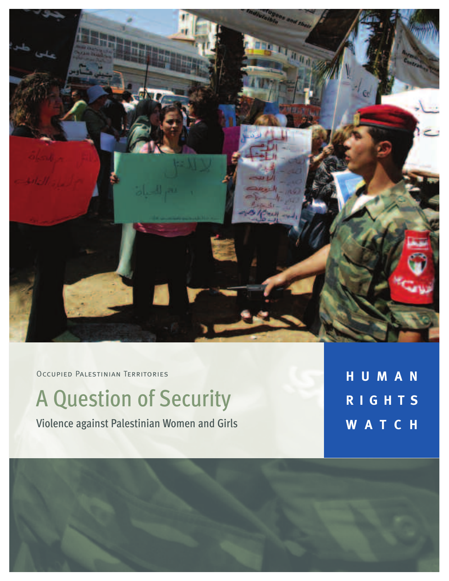

OCCUPIED PALESTINIAN TERRITORIES

# A Question of Security

Violence against Palestinian Women and Girls

**H U M A N R I G H T S W A T C H**

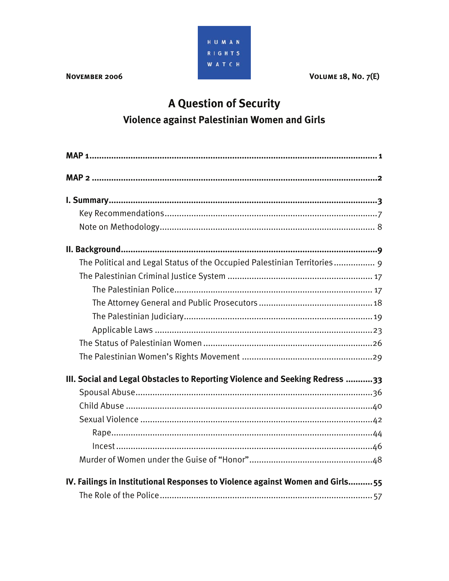

#### **NOVEMBER 2006**

**VOLUME 18, No. 7(E)** 

# A Question of Security Violence against Palestinian Women and Girls

| The Political and Legal Status of the Occupied Palestinian Territories 9      |
|-------------------------------------------------------------------------------|
|                                                                               |
|                                                                               |
|                                                                               |
|                                                                               |
|                                                                               |
|                                                                               |
|                                                                               |
| III. Social and Legal Obstacles to Reporting Violence and Seeking Redress 33  |
|                                                                               |
|                                                                               |
|                                                                               |
|                                                                               |
|                                                                               |
|                                                                               |
| IV. Failings in Institutional Responses to Violence against Women and Girls55 |
|                                                                               |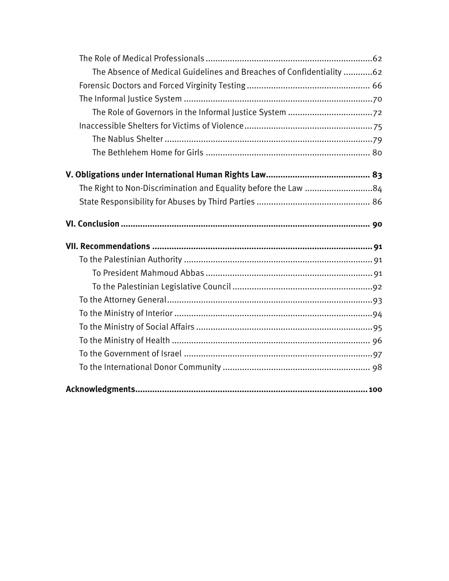| The Absence of Medical Guidelines and Breaches of Confidentiality 62 |  |
|----------------------------------------------------------------------|--|
|                                                                      |  |
|                                                                      |  |
|                                                                      |  |
|                                                                      |  |
|                                                                      |  |
|                                                                      |  |
|                                                                      |  |
| The Right to Non-Discrimination and Equality before the Law 84       |  |
|                                                                      |  |
|                                                                      |  |
|                                                                      |  |
|                                                                      |  |
|                                                                      |  |
|                                                                      |  |
|                                                                      |  |
|                                                                      |  |
|                                                                      |  |
|                                                                      |  |
|                                                                      |  |
|                                                                      |  |
|                                                                      |  |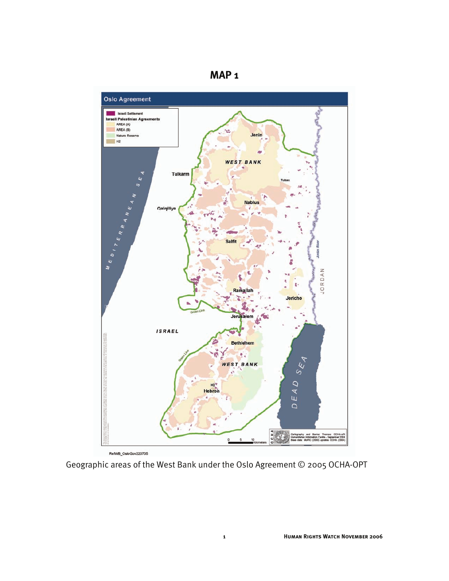



Geographic areas of the West Bank under the Oslo Agreement © 2005 OCHA-OPT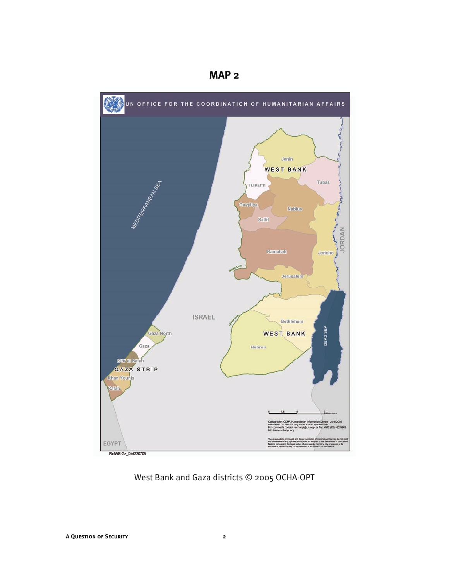

**MAP 2** 

West Bank and Gaza districts © 2005 OCHA-OPT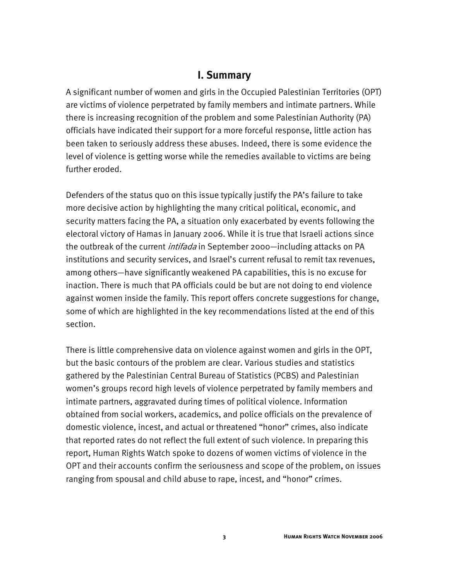#### **I. Summary**

A significant number of women and girls in the Occupied Palestinian Territories (OPT) are victims of violence perpetrated by family members and intimate partners. While there is increasing recognition of the problem and some Palestinian Authority (PA) officials have indicated their support for a more forceful response, little action has been taken to seriously address these abuses. Indeed, there is some evidence the level of violence is getting worse while the remedies available to victims are being further eroded.

Defenders of the status quo on this issue typically justify the PA's failure to take more decisive action by highlighting the many critical political, economic, and security matters facing the PA, a situation only exacerbated by events following the electoral victory of Hamas in January 2006. While it is true that Israeli actions since the outbreak of the current *intifada* in September 2000—including attacks on PA institutions and security services, and Israel's current refusal to remit tax revenues, among others—have significantly weakened PA capabilities, this is no excuse for inaction. There is much that PA officials could be but are not doing to end violence against women inside the family. This report offers concrete suggestions for change, some of which are highlighted in the key recommendations listed at the end of this section.

There is little comprehensive data on violence against women and girls in the OPT, but the basic contours of the problem are clear. Various studies and statistics gathered by the Palestinian Central Bureau of Statistics (PCBS) and Palestinian women's groups record high levels of violence perpetrated by family members and intimate partners, aggravated during times of political violence. Information obtained from social workers, academics, and police officials on the prevalence of domestic violence, incest, and actual or threatened "honor" crimes, also indicate that reported rates do not reflect the full extent of such violence. In preparing this report, Human Rights Watch spoke to dozens of women victims of violence in the OPT and their accounts confirm the seriousness and scope of the problem, on issues ranging from spousal and child abuse to rape, incest, and "honor" crimes.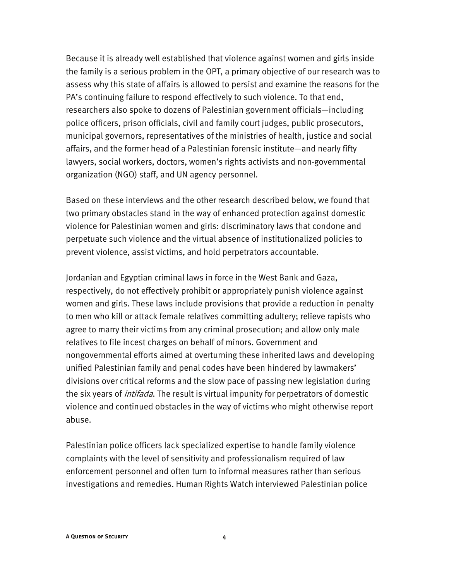Because it is already well established that violence against women and girls inside the family is a serious problem in the OPT, a primary objective of our research was to assess why this state of affairs is allowed to persist and examine the reasons for the PA's continuing failure to respond effectively to such violence. To that end, researchers also spoke to dozens of Palestinian government officials—including police officers, prison officials, civil and family court judges, public prosecutors, municipal governors, representatives of the ministries of health, justice and social affairs, and the former head of a Palestinian forensic institute—and nearly fifty lawyers, social workers, doctors, women's rights activists and non-governmental organization (NGO) staff, and UN agency personnel.

Based on these interviews and the other research described below, we found that two primary obstacles stand in the way of enhanced protection against domestic violence for Palestinian women and girls: discriminatory laws that condone and perpetuate such violence and the virtual absence of institutionalized policies to prevent violence, assist victims, and hold perpetrators accountable.

Jordanian and Egyptian criminal laws in force in the West Bank and Gaza, respectively, do not effectively prohibit or appropriately punish violence against women and girls. These laws include provisions that provide a reduction in penalty to men who kill or attack female relatives committing adultery; relieve rapists who agree to marry their victims from any criminal prosecution; and allow only male relatives to file incest charges on behalf of minors. Government and nongovernmental efforts aimed at overturning these inherited laws and developing unified Palestinian family and penal codes have been hindered by lawmakers' divisions over critical reforms and the slow pace of passing new legislation during the six years of *intifada*. The result is virtual impunity for perpetrators of domestic violence and continued obstacles in the way of victims who might otherwise report abuse.

Palestinian police officers lack specialized expertise to handle family violence complaints with the level of sensitivity and professionalism required of law enforcement personnel and often turn to informal measures rather than serious investigations and remedies. Human Rights Watch interviewed Palestinian police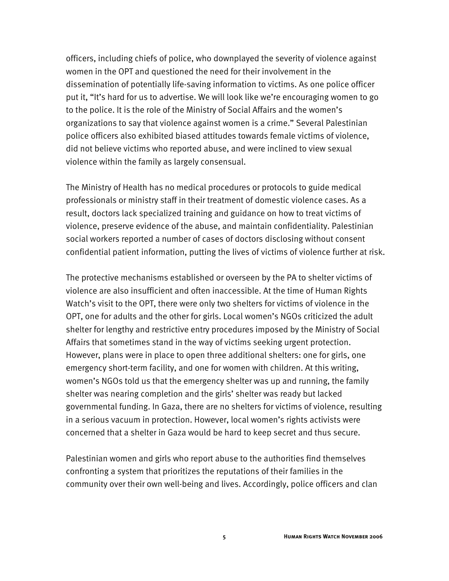officers, including chiefs of police, who downplayed the severity of violence against women in the OPT and questioned the need for their involvement in the dissemination of potentially life-saving information to victims. As one police officer put it, "It's hard for us to advertise. We will look like we're encouraging women to go to the police. It is the role of the Ministry of Social Affairs and the women's organizations to say that violence against women is a crime." Several Palestinian police officers also exhibited biased attitudes towards female victims of violence, did not believe victims who reported abuse, and were inclined to view sexual violence within the family as largely consensual.

The Ministry of Health has no medical procedures or protocols to guide medical professionals or ministry staff in their treatment of domestic violence cases. As a result, doctors lack specialized training and guidance on how to treat victims of violence, preserve evidence of the abuse, and maintain confidentiality. Palestinian social workers reported a number of cases of doctors disclosing without consent confidential patient information, putting the lives of victims of violence further at risk.

The protective mechanisms established or overseen by the PA to shelter victims of violence are also insufficient and often inaccessible. At the time of Human Rights Watch's visit to the OPT, there were only two shelters for victims of violence in the OPT, one for adults and the other for girls. Local women's NGOs criticized the adult shelter for lengthy and restrictive entry procedures imposed by the Ministry of Social Affairs that sometimes stand in the way of victims seeking urgent protection. However, plans were in place to open three additional shelters: one for girls, one emergency short-term facility, and one for women with children. At this writing, women's NGOs told us that the emergency shelter was up and running, the family shelter was nearing completion and the girls' shelter was ready but lacked governmental funding. In Gaza, there are no shelters for victims of violence, resulting in a serious vacuum in protection. However, local women's rights activists were concerned that a shelter in Gaza would be hard to keep secret and thus secure.

Palestinian women and girls who report abuse to the authorities find themselves confronting a system that prioritizes the reputations of their families in the community over their own well-being and lives. Accordingly, police officers and clan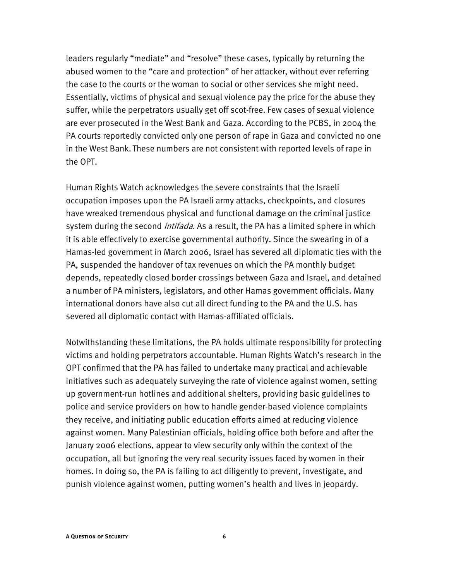leaders regularly "mediate" and "resolve" these cases, typically by returning the abused women to the "care and protection" of her attacker, without ever referring the case to the courts or the woman to social or other services she might need. Essentially, victims of physical and sexual violence pay the price for the abuse they suffer, while the perpetrators usually get off scot-free. Few cases of sexual violence are ever prosecuted in the West Bank and Gaza. According to the PCBS, in 2004 the PA courts reportedly convicted only one person of rape in Gaza and convicted no one in the West Bank. These numbers are not consistent with reported levels of rape in the OPT.

Human Rights Watch acknowledges the severe constraints that the Israeli occupation imposes upon the PA Israeli army attacks, checkpoints, and closures have wreaked tremendous physical and functional damage on the criminal justice system during the second *intifada*. As a result, the PA has a limited sphere in which it is able effectively to exercise governmental authority. Since the swearing in of a Hamas-led government in March 2006, Israel has severed all diplomatic ties with the PA, suspended the handover of tax revenues on which the PA monthly budget depends, repeatedly closed border crossings between Gaza and Israel, and detained a number of PA ministers, legislators, and other Hamas government officials. Many international donors have also cut all direct funding to the PA and the U.S. has severed all diplomatic contact with Hamas-affiliated officials.

Notwithstanding these limitations, the PA holds ultimate responsibility for protecting victims and holding perpetrators accountable. Human Rights Watch's research in the OPT confirmed that the PA has failed to undertake many practical and achievable initiatives such as adequately surveying the rate of violence against women, setting up government-run hotlines and additional shelters, providing basic guidelines to police and service providers on how to handle gender-based violence complaints they receive, and initiating public education efforts aimed at reducing violence against women. Many Palestinian officials, holding office both before and after the January 2006 elections, appear to view security only within the context of the occupation, all but ignoring the very real security issues faced by women in their homes. In doing so, the PA is failing to act diligently to prevent, investigate, and punish violence against women, putting women's health and lives in jeopardy.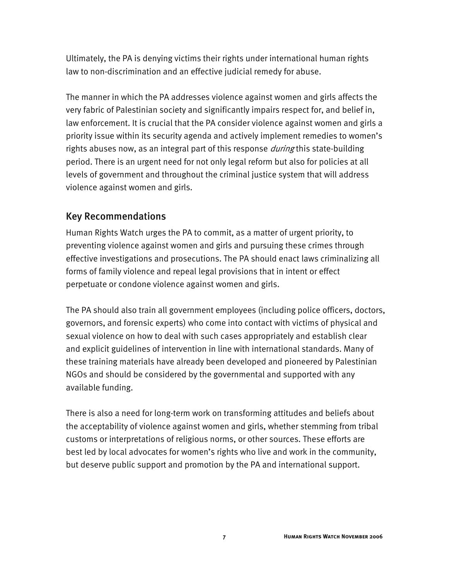Ultimately, the PA is denying victims their rights under international human rights law to non-discrimination and an effective judicial remedy for abuse.

The manner in which the PA addresses violence against women and girls affects the very fabric of Palestinian society and significantly impairs respect for, and belief in, law enforcement. It is crucial that the PA consider violence against women and girls a priority issue within its security agenda and actively implement remedies to women's rights abuses now, as an integral part of this response *during* this state-building period. There is an urgent need for not only legal reform but also for policies at all levels of government and throughout the criminal justice system that will address violence against women and girls.

#### Key Recommendations

Human Rights Watch urges the PA to commit, as a matter of urgent priority, to preventing violence against women and girls and pursuing these crimes through effective investigations and prosecutions. The PA should enact laws criminalizing all forms of family violence and repeal legal provisions that in intent or effect perpetuate or condone violence against women and girls.

The PA should also train all government employees (including police officers, doctors, governors, and forensic experts) who come into contact with victims of physical and sexual violence on how to deal with such cases appropriately and establish clear and explicit guidelines of intervention in line with international standards. Many of these training materials have already been developed and pioneered by Palestinian NGOs and should be considered by the governmental and supported with any available funding.

There is also a need for long-term work on transforming attitudes and beliefs about the acceptability of violence against women and girls, whether stemming from tribal customs or interpretations of religious norms, or other sources. These efforts are best led by local advocates for women's rights who live and work in the community, but deserve public support and promotion by the PA and international support.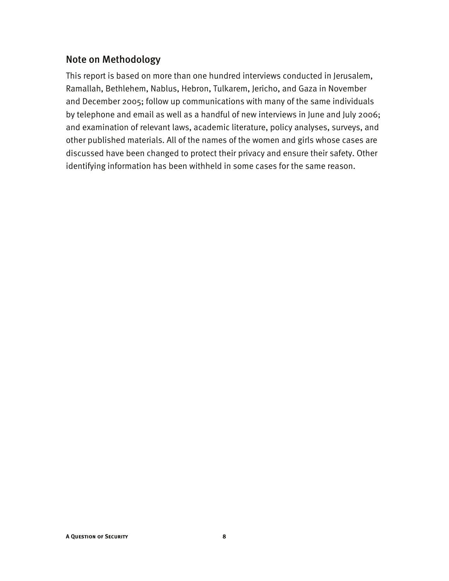#### Note on Methodology

This report is based on more than one hundred interviews conducted in Jerusalem, Ramallah, Bethlehem, Nablus, Hebron, Tulkarem, Jericho, and Gaza in November and December 2005; follow up communications with many of the same individuals by telephone and email as well as a handful of new interviews in June and July 2006; and examination of relevant laws, academic literature, policy analyses, surveys, and other published materials. All of the names of the women and girls whose cases are discussed have been changed to protect their privacy and ensure their safety. Other identifying information has been withheld in some cases for the same reason.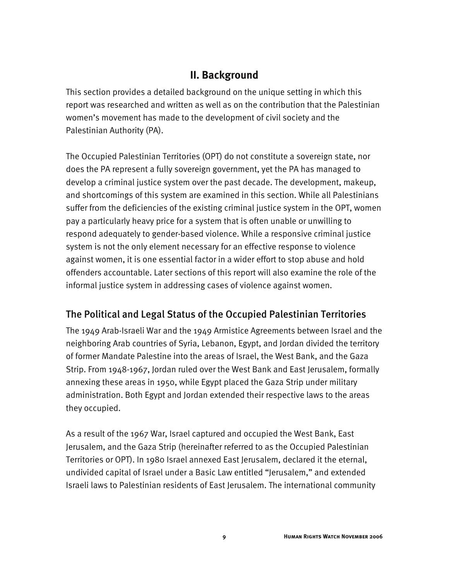## **II. Background**

This section provides a detailed background on the unique setting in which this report was researched and written as well as on the contribution that the Palestinian women's movement has made to the development of civil society and the Palestinian Authority (PA).

The Occupied Palestinian Territories (OPT) do not constitute a sovereign state, nor does the PA represent a fully sovereign government, yet the PA has managed to develop a criminal justice system over the past decade. The development, makeup, and shortcomings of this system are examined in this section. While all Palestinians suffer from the deficiencies of the existing criminal justice system in the OPT, women pay a particularly heavy price for a system that is often unable or unwilling to respond adequately to gender-based violence. While a responsive criminal justice system is not the only element necessary for an effective response to violence against women, it is one essential factor in a wider effort to stop abuse and hold offenders accountable. Later sections of this report will also examine the role of the informal justice system in addressing cases of violence against women.

## The Political and Legal Status of the Occupied Palestinian Territories

The 1949 Arab-Israeli War and the 1949 Armistice Agreements between Israel and the neighboring Arab countries of Syria, Lebanon, Egypt, and Jordan divided the territory of former Mandate Palestine into the areas of Israel, the West Bank, and the Gaza Strip. From 1948-1967, Jordan ruled over the West Bank and East Jerusalem, formally annexing these areas in 1950, while Egypt placed the Gaza Strip under military administration. Both Egypt and Jordan extended their respective laws to the areas they occupied.

As a result of the 1967 War, Israel captured and occupied the West Bank, East Jerusalem, and the Gaza Strip (hereinafter referred to as the Occupied Palestinian Territories or OPT). In 1980 Israel annexed East Jerusalem, declared it the eternal, undivided capital of Israel under a Basic Law entitled "Jerusalem," and extended Israeli laws to Palestinian residents of East Jerusalem. The international community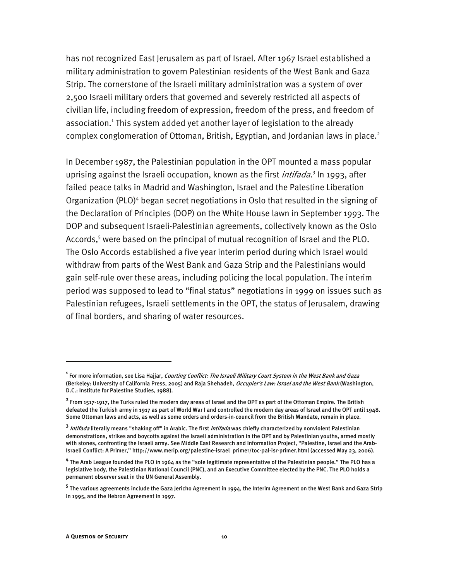has not recognized East Jerusalem as part of Israel. After 1967 Israel established a military administration to govern Palestinian residents of the West Bank and Gaza Strip. The cornerstone of the Israeli military administration was a system of over 2,500 Israeli military orders that governed and severely restricted all aspects of civilian life, including freedom of expression, freedom of the press, and freedom of association.<sup>1</sup> This system added yet another layer of legislation to the already complex conglomeration of Ottoman, British, Egyptian, and Jordanian laws in place.<sup>2</sup>

In December 1987, the Palestinian population in the OPT mounted a mass popular uprising against the Israeli occupation, known as the first *intifada*.<sup>3</sup> In 1993, after failed peace talks in Madrid and Washington, Israel and the Palestine Liberation Organization (PLO)<sup>4</sup> began secret negotiations in Oslo that resulted in the signing of the Declaration of Principles (DOP) on the White House lawn in September 1993. The DOP and subsequent Israeli-Palestinian agreements, collectively known as the Oslo Accords,<sup>5</sup> were based on the principal of mutual recognition of Israel and the PLO. The Oslo Accords established a five year interim period during which Israel would withdraw from parts of the West Bank and Gaza Strip and the Palestinians would gain self-rule over these areas, including policing the local population. The interim period was supposed to lead to "final status" negotiations in 1999 on issues such as Palestinian refugees, Israeli settlements in the OPT, the status of Jerusalem, drawing of final borders, and sharing of water resources.

**<sup>1</sup>** For more information, see Lisa Hajjar, Courting Conflict: The Israeli Military Court System in the West Bank and Gaza (Berkeley: University of California Press, 2005) and Raja Shehadeh, Occupier's Law: Israel and the West Bank (Washington, D.C.: Institute for Palestine Studies, 1988).

**<sup>2</sup>** From 1517-1917, the Turks ruled the modern day areas of Israel and the OPT as part of the Ottoman Empire. The British defeated the Turkish army in 1917 as part of World War I and controlled the modern day areas of Israel and the OPT until 1948. Some Ottoman laws and acts, as well as some orders and orders-in-council from the British Mandate, remain in place.

**<sup>3</sup>** Intifada literally means "shaking off" in Arabic. The first intifada was chiefly characterized by nonviolent Palestinian demonstrations, strikes and boycotts against the Israeli administration in the OPT and by Palestinian youths, armed mostly with stones, confronting the Israeli army. See Middle East Research and Information Project, "Palestine, Israel and the Arab-Israeli Conflict: A Primer," http://www.merip.org/palestine-israel\_primer/toc-pal-isr-primer.html (accessed May 23, 2006).

**<sup>4</sup>** The Arab League founded the PLO in 1964 as the "sole legitimate representative of the Palestinian people." The PLO has a legislative body, the Palestinian National Council (PNC), and an Executive Committee elected by the PNC. The PLO holds a permanent observer seat in the UN General Assembly.

**<sup>5</sup>** The various agreements include the Gaza Jericho Agreement in 1994, the Interim Agreement on the West Bank and Gaza Strip in 1995, and the Hebron Agreement in 1997.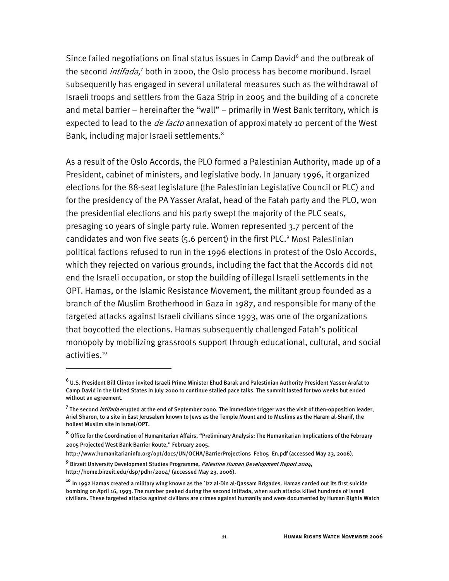Since failed negotiations on final status issues in Camp David<sup>6</sup> and the outbreak of the second *intifada,*<sup>7</sup> both in 2000, the Oslo process has become moribund. Israel subsequently has engaged in several unilateral measures such as the withdrawal of Israeli troops and settlers from the Gaza Strip in 2005 and the building of a concrete and metal barrier – hereinafter the "wall" – primarily in West Bank territory, which is expected to lead to the *de facto* annexation of approximately 10 percent of the West Bank, including major Israeli settlements.<sup>8</sup>

As a result of the Oslo Accords, the PLO formed a Palestinian Authority, made up of a President, cabinet of ministers, and legislative body. In January 1996, it organized elections for the 88-seat legislature (the Palestinian Legislative Council or PLC) and for the presidency of the PA Yasser Arafat, head of the Fatah party and the PLO, won the presidential elections and his party swept the majority of the PLC seats, presaging 10 years of single party rule. Women represented 3.7 percent of the candidates and won five seats (5.6 percent) in the first PLC.<sup>9</sup> Most Palestinian political factions refused to run in the 1996 elections in protest of the Oslo Accords, which they rejected on various grounds, including the fact that the Accords did not end the Israeli occupation, or stop the building of illegal Israeli settlements in the OPT. Hamas, or the Islamic Resistance Movement, the militant group founded as a branch of the Muslim Brotherhood in Gaza in 1987, and responsible for many of the targeted attacks against Israeli civilians since 1993, was one of the organizations that boycotted the elections. Hamas subsequently challenged Fatah's political monopoly by mobilizing grassroots support through educational, cultural, and social activities.<sup>10</sup>

j

**<sup>6</sup>** U.S. President Bill Clinton invited Israeli Prime Minister Ehud Barak and Palestinian Authority President Yasser Arafat to Camp David in the United States in July 2000 to continue stalled pace talks. The summit lasted for two weeks but ended without an agreement.

<sup>&</sup>lt;sup>7</sup> The second *intifada* erupted at the end of September 2000. The immediate trigger was the visit of then-opposition leader, Ariel Sharon, to a site in East Jerusalem known to Jews as the Temple Mount and to Muslims as the Haram al-Sharif, the holiest Muslim site in Israel/OPT.

**<sup>8</sup>** Office for the Coordination of Humanitarian Affairs, "Preliminary Analysis: The Humanitarian Implications of the February 2005 Projected West Bank Barrier Route," February 2005,

http://www.humanitarianinfo.org/opt/docs/UN/OCHA/BarrierProjections\_Feb05\_En.pdf (accessed May 23, 2006).

**<sup>9</sup>** Birzeit University Development Studies Programme, Palestine Human Development Report 2004, http://home.birzeit.edu/dsp/pdhr/2004/ (accessed May 23, 2006).

**<sup>10</sup>** In 1992 Hamas created a military wing known as the `Izz al-Din al-Qassam Brigades. Hamas carried out its first suicide bombing on April 16, 1993. The number peaked during the second intifada, when such attacks killed hundreds of Israeli civilians. These targeted attacks against civilians are crimes against humanity and were documented by Human Rights Watch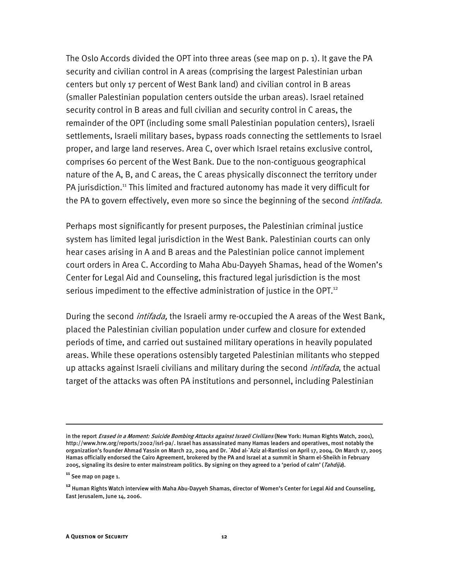The Oslo Accords divided the OPT into three areas (see map on p. 1). It gave the PA security and civilian control in A areas (comprising the largest Palestinian urban centers but only 17 percent of West Bank land) and civilian control in B areas (smaller Palestinian population centers outside the urban areas). Israel retained security control in B areas and full civilian and security control in C areas, the remainder of the OPT (including some small Palestinian population centers), Israeli settlements, Israeli military bases, bypass roads connecting the settlements to Israel proper, and large land reserves. Area C, over which Israel retains exclusive control, comprises 60 percent of the West Bank. Due to the non-contiguous geographical nature of the A, B, and C areas, the C areas physically disconnect the territory under PA jurisdiction.<sup>11</sup> This limited and fractured autonomy has made it very difficult for the PA to govern effectively, even more so since the beginning of the second *intifada.* 

Perhaps most significantly for present purposes, the Palestinian criminal justice system has limited legal jurisdiction in the West Bank. Palestinian courts can only hear cases arising in A and B areas and the Palestinian police cannot implement court orders in Area C. According to Maha Abu-Dayyeh Shamas, head of the Women's Center for Legal Aid and Counseling, this fractured legal jurisdiction is the most serious impediment to the effective administration of justice in the OPT.<sup>12</sup>

During the second *intifada*, the Israeli army re-occupied the A areas of the West Bank, placed the Palestinian civilian population under curfew and closure for extended periods of time, and carried out sustained military operations in heavily populated areas. While these operations ostensibly targeted Palestinian militants who stepped up attacks against Israeli civilians and military during the second *intifada*, the actual target of the attacks was often PA institutions and personnel, including Palestinian

in the report *Erased in a Moment: Suicide Bombing Attacks against Israeli Civilians* (New York: Human Rights Watch, 2001), http://www.hrw.org/reports/2002/isrl-pa/. Israel has assassinated many Hamas leaders and operatives, most notably the organization's founder Ahmad Yassin on March 22, 2004 and Dr. `Abd al-`Aziz al-Rantissi on April 17, 2004. On March 17, 2005 Hamas officially endorsed the Cairo Agreement, brokered by the PA and Israel at a summit in Sharm el-Sheikh in February 2005, signaling its desire to enter mainstream politics. By signing on they agreed to a 'period of calm' (Tahdija).

**<sup>11</sup>** See map on page 1.

**<sup>12</sup>** Human Rights Watch interview with Maha Abu-Dayyeh Shamas, director of Women's Center for Legal Aid and Counseling, East Jerusalem, June 14, 2006.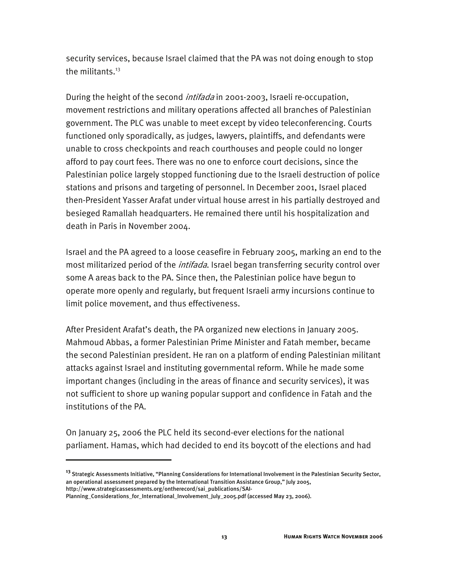security services, because Israel claimed that the PA was not doing enough to stop the militants.<sup>13</sup>

During the height of the second *intifada* in 2001-2003, Israeli re-occupation, movement restrictions and military operations affected all branches of Palestinian government. The PLC was unable to meet except by video teleconferencing. Courts functioned only sporadically, as judges, lawyers, plaintiffs, and defendants were unable to cross checkpoints and reach courthouses and people could no longer afford to pay court fees. There was no one to enforce court decisions, since the Palestinian police largely stopped functioning due to the Israeli destruction of police stations and prisons and targeting of personnel. In December 2001, Israel placed then-President Yasser Arafat under virtual house arrest in his partially destroyed and besieged Ramallah headquarters. He remained there until his hospitalization and death in Paris in November 2004.

Israel and the PA agreed to a loose ceasefire in February 2005, marking an end to the most militarized period of the *intifada*. Israel began transferring security control over some A areas back to the PA. Since then, the Palestinian police have begun to operate more openly and regularly, but frequent Israeli army incursions continue to limit police movement, and thus effectiveness.

After President Arafat's death, the PA organized new elections in January 2005. Mahmoud Abbas, a former Palestinian Prime Minister and Fatah member, became the second Palestinian president. He ran on a platform of ending Palestinian militant attacks against Israel and instituting governmental reform. While he made some important changes (including in the areas of finance and security services), it was not sufficient to shore up waning popular support and confidence in Fatah and the institutions of the PA.

On January 25, 2006 the PLC held its second-ever elections for the national parliament. Hamas, which had decided to end its boycott of the elections and had

**<sup>13</sup>** Strategic Assessments Initiative, "Planning Considerations for International Involvement in the Palestinian Security Sector, an operational assessment prepared by the International Transition Assistance Group," July 2005, http://www.strategicassessments.org/ontherecord/sai\_publications/SAI-

Planning\_Considerations\_for\_International\_Involvement\_July\_2005.pdf (accessed May 23, 2006).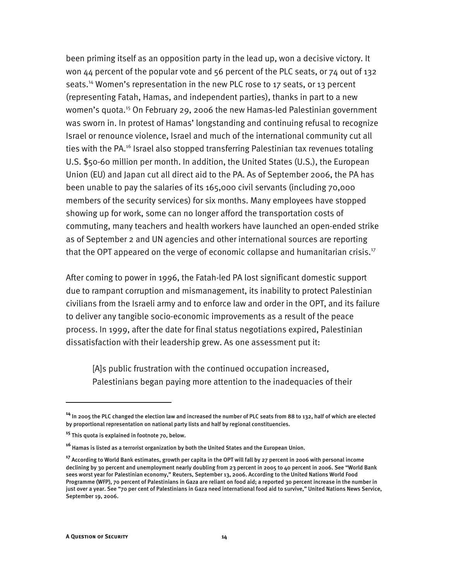been priming itself as an opposition party in the lead up, won a decisive victory. It won 44 percent of the popular vote and 56 percent of the PLC seats, or 74 out of 132 seats.14 Women's representation in the new PLC rose to 17 seats, or 13 percent (representing Fatah, Hamas, and independent parties), thanks in part to a new women's quota.15 On February 29, 2006 the new Hamas-led Palestinian government was sworn in. In protest of Hamas' longstanding and continuing refusal to recognize Israel or renounce violence, Israel and much of the international community cut all ties with the PA.<sup>16</sup> Israel also stopped transferring Palestinian tax revenues totaling U.S. \$50-60 million per month. In addition, the United States (U.S.), the European Union (EU) and Japan cut all direct aid to the PA. As of September 2006, the PA has been unable to pay the salaries of its 165,000 civil servants (including 70,000 members of the security services) for six months. Many employees have stopped showing up for work, some can no longer afford the transportation costs of commuting, many teachers and health workers have launched an open-ended strike as of September 2 and UN agencies and other international sources are reporting that the OPT appeared on the verge of economic collapse and humanitarian crisis.<sup>17</sup>

After coming to power in 1996, the Fatah-led PA lost significant domestic support due to rampant corruption and mismanagement, its inability to protect Palestinian civilians from the Israeli army and to enforce law and order in the OPT, and its failure to deliver any tangible socio-economic improvements as a result of the peace process. In 1999, after the date for final status negotiations expired, Palestinian dissatisfaction with their leadership grew. As one assessment put it:

[A]s public frustration with the continued occupation increased, Palestinians began paying more attention to the inadequacies of their

**<sup>14</sup>** In 2005 the PLC changed the election law and increased the number of PLC seats from 88 to 132, half of which are elected by proportional representation on national party lists and half by regional constituencies.

**<sup>15</sup>** This quota is explained in footnote 70, below.

**<sup>16</sup>** Hamas is listed as a terrorist organization by both the United States and the European Union.

**<sup>17</sup>** According to World Bank estimates, growth per capita in the OPT will fall by 27 percent in 2006 with personal income declining by 30 percent and unemployment nearly doubling from 23 percent in 2005 to 40 percent in 2006. See "World Bank sees worst year for Palestinian economy," Reuters, September 13, 2006. According to the United Nations World Food Programme (WFP), 70 percent of Palestinians in Gaza are reliant on food aid; a reported 30 percent increase in the number in just over a year. See "70 per cent of Palestinians in Gaza need international food aid to survive," United Nations News Service, September 19, 2006.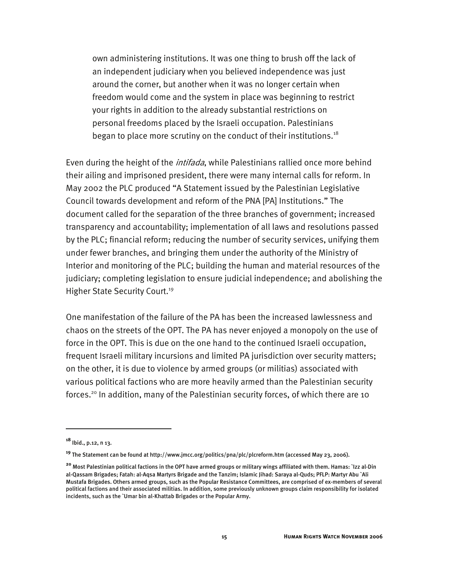own administering institutions. It was one thing to brush off the lack of an independent judiciary when you believed independence was just around the corner, but another when it was no longer certain when freedom would come and the system in place was beginning to restrict your rights in addition to the already substantial restrictions on personal freedoms placed by the Israeli occupation. Palestinians began to place more scrutiny on the conduct of their institutions.<sup>18</sup>

Even during the height of the *intifada*, while Palestinians rallied once more behind their ailing and imprisoned president, there were many internal calls for reform. In May 2002 the PLC produced "A Statement issued by the Palestinian Legislative Council towards development and reform of the PNA [PA] Institutions." The document called for the separation of the three branches of government; increased transparency and accountability; implementation of all laws and resolutions passed by the PLC; financial reform; reducing the number of security services, unifying them under fewer branches, and bringing them under the authority of the Ministry of Interior and monitoring of the PLC; building the human and material resources of the judiciary; completing legislation to ensure judicial independence; and abolishing the Higher State Security Court.<sup>19</sup>

One manifestation of the failure of the PA has been the increased lawlessness and chaos on the streets of the OPT. The PA has never enjoyed a monopoly on the use of force in the OPT. This is due on the one hand to the continued Israeli occupation, frequent Israeli military incursions and limited PA jurisdiction over security matters; on the other, it is due to violence by armed groups (or militias) associated with various political factions who are more heavily armed than the Palestinian security forces.<sup>20</sup> In addition, many of the Palestinian security forces, of which there are 10

**<sup>18</sup>** Ibid., p.12, n 13.

**<sup>19</sup>** The Statement can be found at http://www.jmcc.org/politics/pna/plc/plcreform.htm (accessed May 23, 2006).

**<sup>20</sup>** Most Palestinian political factions in the OPT have armed groups or military wings affiliated with them. Hamas: `Izz al-Din al-Qassam Brigades; Fatah: al-Aqsa Martyrs Brigade and the Tanzim; Islamic Jihad: Saraya al-Quds; PFLP: Martyr Abu `Ali Mustafa Brigades. Others armed groups, such as the Popular Resistance Committees, are comprised of ex-members of several political factions and their associated militias. In addition, some previously unknown groups claim responsibility for isolated incidents, such as the `Umar bin al-Khattab Brigades or the Popular Army.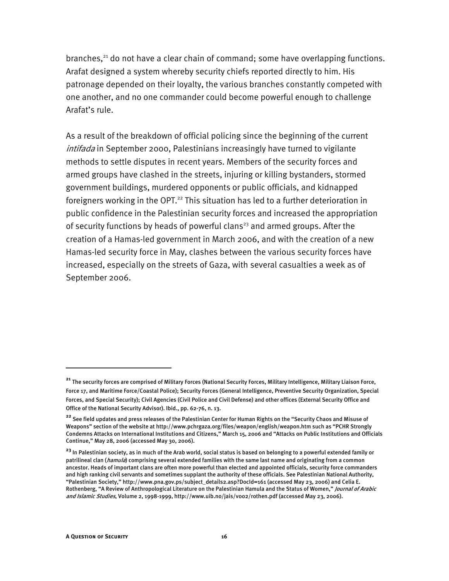branches,<sup>21</sup> do not have a clear chain of command; some have overlapping functions. Arafat designed a system whereby security chiefs reported directly to him. His patronage depended on their loyalty, the various branches constantly competed with one another, and no one commander could become powerful enough to challenge Arafat's rule.

As a result of the breakdown of official policing since the beginning of the current intifada in September 2000, Palestinians increasingly have turned to vigilante methods to settle disputes in recent years. Members of the security forces and armed groups have clashed in the streets, injuring or killing bystanders, stormed government buildings, murdered opponents or public officials, and kidnapped foreigners working in the OPT. $22$  This situation has led to a further deterioration in public confidence in the Palestinian security forces and increased the appropriation of security functions by heads of powerful clans<sup>23</sup> and armed groups. After the creation of a Hamas-led government in March 2006, and with the creation of a new Hamas-led security force in May, clashes between the various security forces have increased, especially on the streets of Gaza, with several casualties a week as of September 2006.

**<sup>21</sup>** The security forces are comprised of Military Forces (National Security Forces, Military Intelligence, Military Liaison Force, Force 17, and Maritime Force/Coastal Police); Security Forces (General Intelligence, Preventive Security Organization, Special Forces, and Special Security); Civil Agencies (Civil Police and Civil Defense) and other offices (External Security Office and Office of the National Security Advisor). Ibid., pp. 62-76, n. 13.

**<sup>22</sup>** See field updates and press releases of the Palestinian Center for Human Rights on the "Security Chaos and Misuse of Weapons" section of the website at http://www.pchrgaza.org/files/weapon/english/weapon.htm such as "PCHR Strongly Condemns Attacks on International Institutions and Citizens," March 15, 2006 and "Attacks on Public Institutions and Officials Continue," May 28, 2006 (accessed May 30, 2006).

**<sup>23</sup>** In Palestinian society, as in much of the Arab world, social status is based on belonging to a powerful extended family or patrilineal clan (*hamula*) comprising several extended families with the same last name and originating from a common ancestor. Heads of important clans are often more powerful than elected and appointed officials, security force commanders and high ranking civil servants and sometimes supplant the authority of these officials. See Palestinian National Authority, "Palestinian Society," http://www.pna.gov.ps/subject\_details2.asp?DocId=161 (accessed May 23, 2006) and Celia E. Rothenberg, "A Review of Anthropological Literature on the Palestinian Hamula and the Status of Women," *Journal of Arabic* and Islamic Studies, Volume 2, 1998-1999, http://www.uib.no/jais/voo2/rothen.pdf (accessed May 23, 2006).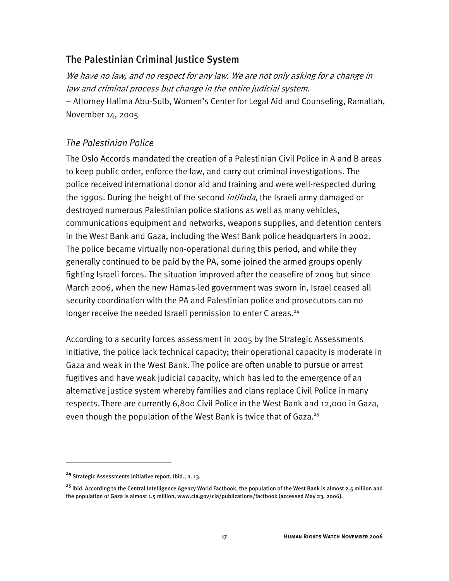#### The Palestinian Criminal Justice System

We have no law, and no respect for any law. We are not only asking for a change in law and criminal process but change in the entire judicial system. − Attorney Halima Abu-Sulb, Women's Center for Legal Aid and Counseling, Ramallah, November 14, 2005

#### *The Palestinian Police*

The Oslo Accords mandated the creation of a Palestinian Civil Police in A and B areas to keep public order, enforce the law, and carry out criminal investigations. The police received international donor aid and training and were well-respected during the 1990s. During the height of the second *intifada*, the Israeli army damaged or destroyed numerous Palestinian police stations as well as many vehicles, communications equipment and networks, weapons supplies, and detention centers in the West Bank and Gaza, including the West Bank police headquarters in 2002. The police became virtually non-operational during this period, and while they generally continued to be paid by the PA, some joined the armed groups openly fighting Israeli forces. The situation improved after the ceasefire of 2005 but since March 2006, when the new Hamas-led government was sworn in, Israel ceased all security coordination with the PA and Palestinian police and prosecutors can no longer receive the needed Israeli permission to enter C areas.<sup>24</sup>

According to a security forces assessment in 2005 by the Strategic Assessments Initiative, the police lack technical capacity; their operational capacity is moderate in Gaza and weak in the West Bank. The police are often unable to pursue or arrest fugitives and have weak judicial capacity, which has led to the emergence of an alternative justice system whereby families and clans replace Civil Police in many respects. There are currently 6,800 Civil Police in the West Bank and 12,000 in Gaza, even though the population of the West Bank is twice that of Gaza.<sup>25</sup>

-

**<sup>24</sup>** Strategic Assessments Initiative report, Ibid., n. 13.

**<sup>25</sup>** Ibid. According to the Central Intelligence Agency World Factbook, the population of the West Bank is almost 2.5 million and the population of Gaza is almost 1.5 million, www.cia.gov/cia/publications/factbook (accessed May 23, 2006).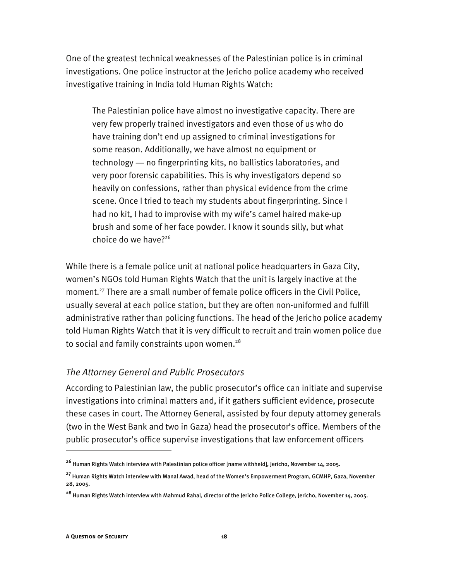One of the greatest technical weaknesses of the Palestinian police is in criminal investigations. One police instructor at the Jericho police academy who received investigative training in India told Human Rights Watch:

The Palestinian police have almost no investigative capacity. There are very few properly trained investigators and even those of us who do have training don't end up assigned to criminal investigations for some reason. Additionally, we have almost no equipment or technology ― no fingerprinting kits, no ballistics laboratories, and very poor forensic capabilities. This is why investigators depend so heavily on confessions, rather than physical evidence from the crime scene. Once I tried to teach my students about fingerprinting. Since I had no kit, I had to improvise with my wife's camel haired make-up brush and some of her face powder. I know it sounds silly, but what choice do we have? $2^{26}$ 

While there is a female police unit at national police headquarters in Gaza City, women's NGOs told Human Rights Watch that the unit is largely inactive at the moment.<sup>27</sup> There are a small number of female police officers in the Civil Police, usually several at each police station, but they are often non-uniformed and fulfill administrative rather than policing functions. The head of the Jericho police academy told Human Rights Watch that it is very difficult to recruit and train women police due to social and family constraints upon women.<sup>28</sup>

#### *The Attorney General and Public Prosecutors*

According to Palestinian law, the public prosecutor's office can initiate and supervise investigations into criminal matters and, if it gathers sufficient evidence, prosecute these cases in court. The Attorney General, assisted by four deputy attorney generals (two in the West Bank and two in Gaza) head the prosecutor's office. Members of the public prosecutor's office supervise investigations that law enforcement officers

**<sup>26</sup>** Human Rights Watch interview with Palestinian police officer [name withheld], Jericho, November 14, 2005.

**<sup>27</sup>** Human Rights Watch interview with Manal Awad, head of the Women's Empowerment Program, GCMHP, Gaza, November 28, 2005.

**<sup>28</sup>** Human Rights Watch interview with Mahmud Rahal, director of the Jericho Police College, Jericho, November 14, 2005.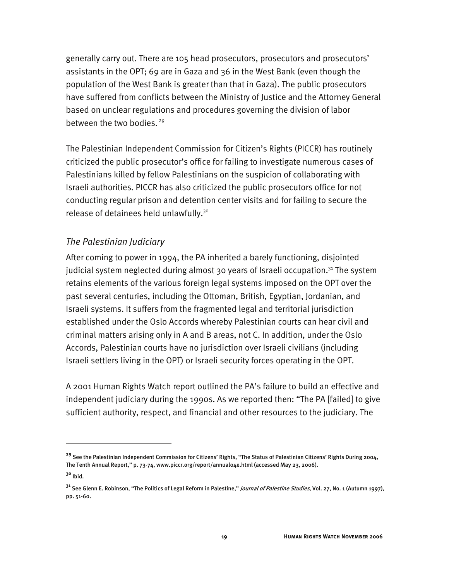generally carry out. There are 105 head prosecutors, prosecutors and prosecutors' assistants in the OPT; 69 are in Gaza and 36 in the West Bank (even though the population of the West Bank is greater than that in Gaza). The public prosecutors have suffered from conflicts between the Ministry of Justice and the Attorney General based on unclear regulations and procedures governing the division of labor between the two bodies.<sup>29</sup>

The Palestinian Independent Commission for Citizen's Rights (PICCR) has routinely criticized the public prosecutor's office for failing to investigate numerous cases of Palestinians killed by fellow Palestinians on the suspicion of collaborating with Israeli authorities. PICCR has also criticized the public prosecutors office for not conducting regular prison and detention center visits and for failing to secure the release of detainees held unlawfully.<sup>30</sup>

#### *The Palestinian Judiciary*

After coming to power in 1994, the PA inherited a barely functioning, disjointed judicial system neglected during almost 30 years of Israeli occupation.<sup>31</sup> The system retains elements of the various foreign legal systems imposed on the OPT over the past several centuries, including the Ottoman, British, Egyptian, Jordanian, and Israeli systems. It suffers from the fragmented legal and territorial jurisdiction established under the Oslo Accords whereby Palestinian courts can hear civil and criminal matters arising only in A and B areas, not C. In addition, under the Oslo Accords, Palestinian courts have no jurisdiction over Israeli civilians (including Israeli settlers living in the OPT) or Israeli security forces operating in the OPT.

A 2001 Human Rights Watch report outlined the PA's failure to build an effective and independent judiciary during the 1990s. As we reported then: "The PA [failed] to give sufficient authority, respect, and financial and other resources to the judiciary. The

**<sup>29</sup>** See the Palestinian Independent Commission for Citizens' Rights, "The Status of Palestinian Citizens' Rights During 2004, The Tenth Annual Report," p. 73-74, www.piccr.org/report/annual04e.html (accessed May 23, 2006).

**<sup>30</sup>** Ibid.

**<sup>31</sup>** See Glenn E. Robinson, "The Politics of Legal Reform in Palestine," Journal of Palestine Studies, Vol. 27, No. 1 (Autumn 1997), pp. 51-60.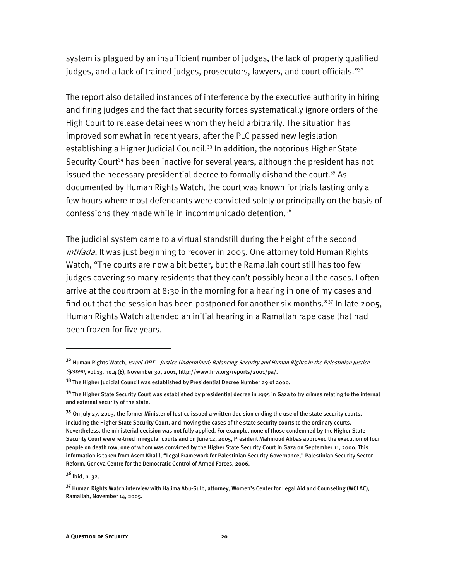system is plagued by an insufficient number of judges, the lack of properly qualified judges, and a lack of trained judges, prosecutors, lawyers, and court officials."<sup>32</sup>

The report also detailed instances of interference by the executive authority in hiring and firing judges and the fact that security forces systematically ignore orders of the High Court to release detainees whom they held arbitrarily. The situation has improved somewhat in recent years, after the PLC passed new legislation establishing a Higher Judicial Council.<sup>33</sup> In addition, the notorious Higher State Security Court<sup>34</sup> has been inactive for several years, although the president has not issued the necessary presidential decree to formally disband the court.<sup>35</sup> As documented by Human Rights Watch, the court was known for trials lasting only a few hours where most defendants were convicted solely or principally on the basis of confessions they made while in incommunicado detention.<sup>36</sup>

The judicial system came to a virtual standstill during the height of the second intifada. It was just beginning to recover in 2005. One attorney told Human Rights Watch, "The courts are now a bit better, but the Ramallah court still has too few judges covering so many residents that they can't possibly hear all the cases. I often arrive at the courtroom at 8:30 in the morning for a hearing in one of my cases and find out that the session has been postponed for another six months."37 In late 2005, Human Rights Watch attended an initial hearing in a Ramallah rape case that had been frozen for five years.

**<sup>32</sup>** Human Rights Watch, Israel-OPT – Justice Undermined: Balancing Security and Human Rights in the Palestinian Justice System, vol.13, no.4 (E), November 30, 2001, http://www.hrw.org/reports/2001/pa/.

**<sup>33</sup>** The Higher Judicial Council was established by Presidential Decree Number 29 of 2000.

**<sup>34</sup>** The Higher State Security Court was established by presidential decree in 1995 in Gaza to try crimes relating to the internal and external security of the state.

**<sup>35</sup>** On July 27, 2003, the former Minister of Justice issued a written decision ending the use of the state security courts, including the Higher State Security Court, and moving the cases of the state security courts to the ordinary courts. Nevertheless, the ministerial decision was not fully applied. For example, none of those condemned by the Higher State Security Court were re-tried in regular courts and on June 12, 2005, President Mahmoud Abbas approved the execution of four people on death row; one of whom was convicted by the Higher State Security Court in Gaza on September 11, 2000. This information is taken from Asem Khalil, "Legal Framework for Palestinian Security Governance," Palestinian Security Sector Reform, Geneva Centre for the Democratic Control of Armed Forces, 2006.

**<sup>36</sup>** Ibid, n. 32.

**<sup>37</sup>** Human Rights Watch interview with Halima Abu-Sulb, attorney, Women's Center for Legal Aid and Counseling (WCLAC), Ramallah, November 14, 2005.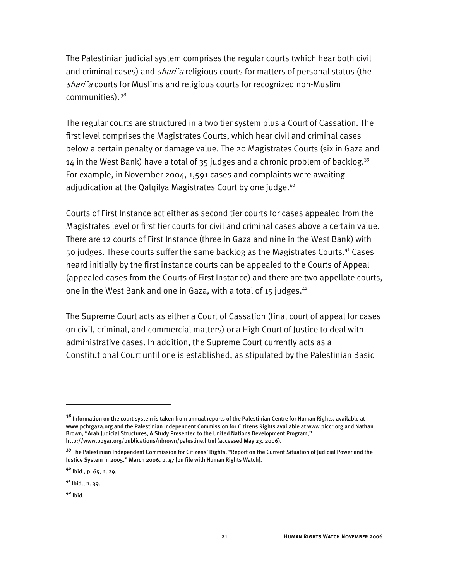The Palestinian judicial system comprises the regular courts (which hear both civil and criminal cases) and *shari* a religious courts for matters of personal status (the shari'a courts for Muslims and religious courts for recognized non-Muslim communities). 38

The regular courts are structured in a two tier system plus a Court of Cassation. The first level comprises the Magistrates Courts, which hear civil and criminal cases below a certain penalty or damage value. The 20 Magistrates Courts (six in Gaza and  $14$  in the West Bank) have a total of 35 judges and a chronic problem of backlog.<sup>39</sup> For example, in November 2004, 1,591 cases and complaints were awaiting adjudication at the Qalqilya Magistrates Court by one judge.<sup>40</sup>

Courts of First Instance act either as second tier courts for cases appealed from the Magistrates level or first tier courts for civil and criminal cases above a certain value. There are 12 courts of First Instance (three in Gaza and nine in the West Bank) with 50 judges. These courts suffer the same backlog as the Magistrates Courts.41 Cases heard initially by the first instance courts can be appealed to the Courts of Appeal (appealed cases from the Courts of First Instance) and there are two appellate courts, one in the West Bank and one in Gaza, with a total of 15 judges.<sup>42</sup>

The Supreme Court acts as either a Court of Cassation (final court of appeal for cases on civil, criminal, and commercial matters) or a High Court of Justice to deal with administrative cases. In addition, the Supreme Court currently acts as a Constitutional Court until one is established, as stipulated by the Palestinian Basic

j

**<sup>38</sup>** Information on the court system is taken from annual reports of the Palestinian Centre for Human Rights, available at www.pchrgaza.org and the Palestinian Independent Commission for Citizens Rights available at www.piccr.org and Nathan Brown, "Arab Judicial Structures, A Study Presented to the United Nations Development Program," http://www.pogar.org/publications/nbrown/palestine.html (accessed May 23, 2006).

**<sup>39</sup>** The Palestinian Independent Commission for Citizens' Rights, "Report on the Current Situation of Judicial Power and the Justice System in 2005," March 2006, p. 47 [on file with Human Rights Watch].

**<sup>40</sup>** Ibid., p. 65, n. 29.

**<sup>41</sup>** Ibid., n. 39.

**<sup>42</sup>** Ibid.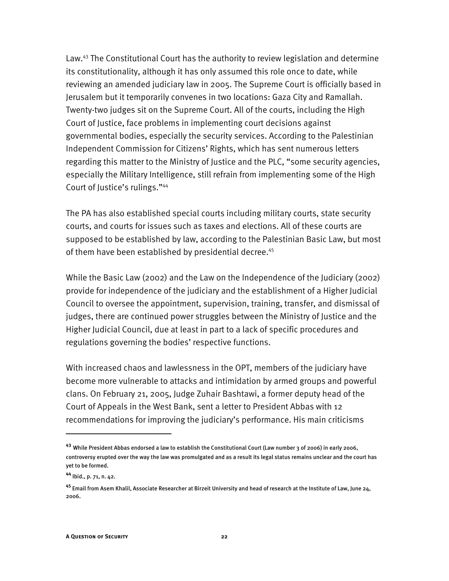Law.<sup>43</sup> The Constitutional Court has the authority to review legislation and determine its constitutionality, although it has only assumed this role once to date, while reviewing an amended judiciary law in 2005. The Supreme Court is officially based in Jerusalem but it temporarily convenes in two locations: Gaza City and Ramallah. Twenty-two judges sit on the Supreme Court. All of the courts, including the High Court of Justice, face problems in implementing court decisions against governmental bodies, especially the security services. According to the Palestinian Independent Commission for Citizens' Rights, which has sent numerous letters regarding this matter to the Ministry of Justice and the PLC, "some security agencies, especially the Military Intelligence, still refrain from implementing some of the High Court of Justice's rulings."44

The PA has also established special courts including military courts, state security courts, and courts for issues such as taxes and elections. All of these courts are supposed to be established by law, according to the Palestinian Basic Law, but most of them have been established by presidential decree.<sup>45</sup>

While the Basic Law (2002) and the Law on the Independence of the Judiciary (2002) provide for independence of the judiciary and the establishment of a Higher Judicial Council to oversee the appointment, supervision, training, transfer, and dismissal of judges, there are continued power struggles between the Ministry of Justice and the Higher Judicial Council, due at least in part to a lack of specific procedures and regulations governing the bodies' respective functions.

With increased chaos and lawlessness in the OPT, members of the judiciary have become more vulnerable to attacks and intimidation by armed groups and powerful clans. On February 21, 2005, Judge Zuhair Bashtawi, a former deputy head of the Court of Appeals in the West Bank, sent a letter to President Abbas with 12 recommendations for improving the judiciary's performance. His main criticisms

j

**<sup>43</sup>** While President Abbas endorsed a law to establish the Constitutional Court (Law number 3 of 2006) in early 2006, controversy erupted over the way the law was promulgated and as a result its legal status remains unclear and the court has yet to be formed.

**<sup>44</sup>** Ibid., p. 71, n. 42.

**<sup>45</sup>** Email from Asem Khalil, Associate Researcher at Birzeit University and head of research at the Institute of Law, June 24, 2006.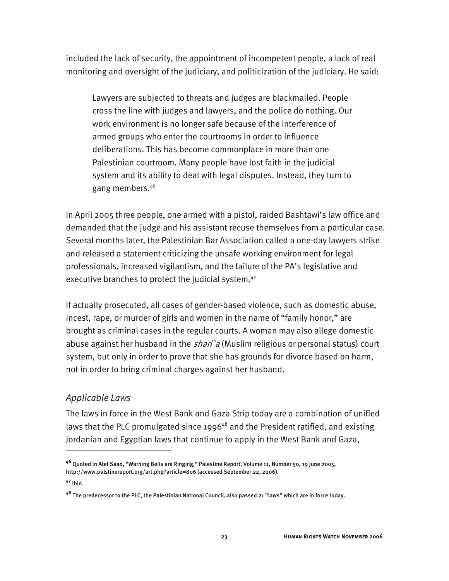included the lack of security, the appointment of incompetent people, a lack of real monitoring and oversight of the judiciary, and politicization of the judiciary. He said:

Lawyers are subjected to threats and judges are blackmailed. People cross the line with judges and lawyers, and the police do nothing. Our work environment is no longer safe because of the interference of armed groups who enter the courtrooms in order to influence deliberations. This has become commonplace in more than one Palestinian courtroom. Many people have lost faith in the judicial system and its ability to deal with legal disputes. Instead, they turn to gang members.46

In April 2005 three people, one armed with a pistol, raided Bashtawi's law office and demanded that the judge and his assistant recuse themselves from a particular case. Several months later, the Palestinian Bar Association called a one-day lawyers strike and released a statement criticizing the unsafe working environment for legal professionals, increased vigilantism, and the failure of the PA's legislative and executive branches to protect the judicial system.<sup>47</sup>

If actually prosecuted, all cases of gender-based violence, such as domestic abuse, incest, rape, or murder of girls and women in the name of "family honor," are brought as criminal cases in the regular courts. A woman may also allege domestic abuse against her husband in the  $shari`a$  (Muslim religious or personal status) court system, but only in order to prove that she has grounds for divorce based on harm, not in order to bring criminal charges against her husband.

#### *Applicable Laws*

The laws in force in the West Bank and Gaza Strip today are a combination of unified laws that the PLC promulgated since 1996<sup>48</sup> and the President ratified, and existing Jordanian and Egyptian laws that continue to apply in the West Bank and Gaza,

**<sup>46</sup>** Quoted in Atef Saad, "Warning Bells are Ringing," Palestine Report, Volume 11, Number 50, 19 June 2005, http://www.palstinereport.org/art.php?article=806 (accessed September 22, 2006).

**<sup>47</sup>** Ibid.

**<sup>48</sup>** The predecessor to the PLC, the Palestinian National Council, also passed 21 "laws" which are in force today.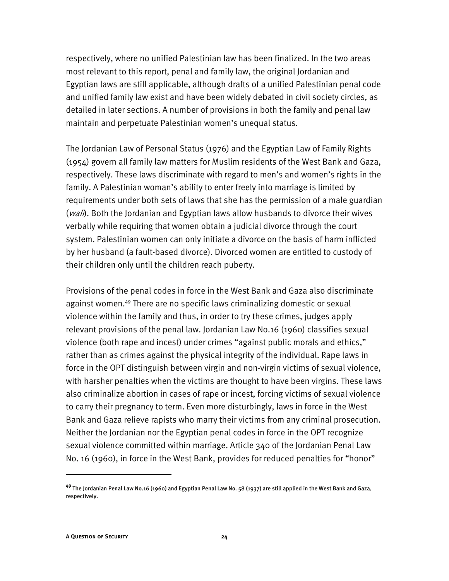respectively, where no unified Palestinian law has been finalized. In the two areas most relevant to this report, penal and family law, the original Jordanian and Egyptian laws are still applicable, although drafts of a unified Palestinian penal code and unified family law exist and have been widely debated in civil society circles, as detailed in later sections. A number of provisions in both the family and penal law maintain and perpetuate Palestinian women's unequal status.

The Jordanian Law of Personal Status (1976) and the Egyptian Law of Family Rights (1954) govern all family law matters for Muslim residents of the West Bank and Gaza, respectively. These laws discriminate with regard to men's and women's rights in the family. A Palestinian woman's ability to enter freely into marriage is limited by requirements under both sets of laws that she has the permission of a male guardian  $(wal)$ . Both the Jordanian and Egyptian laws allow husbands to divorce their wives verbally while requiring that women obtain a judicial divorce through the court system. Palestinian women can only initiate a divorce on the basis of harm inflicted by her husband (a fault-based divorce). Divorced women are entitled to custody of their children only until the children reach puberty.

Provisions of the penal codes in force in the West Bank and Gaza also discriminate against women.49 There are no specific laws criminalizing domestic or sexual violence within the family and thus, in order to try these crimes, judges apply relevant provisions of the penal law. Jordanian Law No.16 (1960) classifies sexual violence (both rape and incest) under crimes "against public morals and ethics," rather than as crimes against the physical integrity of the individual. Rape laws in force in the OPT distinguish between virgin and non-virgin victims of sexual violence, with harsher penalties when the victims are thought to have been virgins. These laws also criminalize abortion in cases of rape or incest, forcing victims of sexual violence to carry their pregnancy to term. Even more disturbingly, laws in force in the West Bank and Gaza relieve rapists who marry their victims from any criminal prosecution. Neither the Jordanian nor the Egyptian penal codes in force in the OPT recognize sexual violence committed within marriage. Article 340 of the Jordanian Penal Law No. 16 (1960), in force in the West Bank, provides for reduced penalties for "honor"

**<sup>49</sup>** The Jordanian Penal Law No.16 (1960) and Egyptian Penal Law No. 58 (1937) are still applied in the West Bank and Gaza, respectively.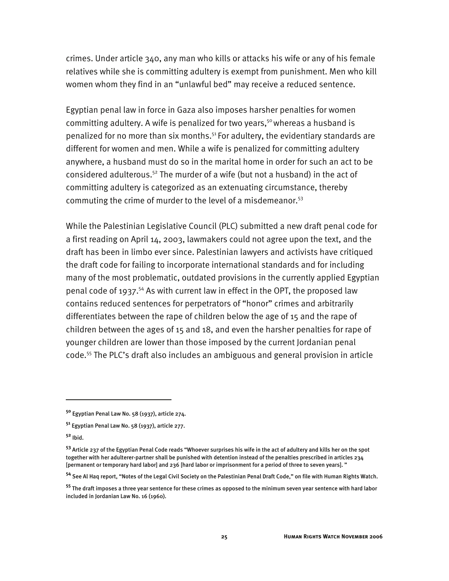crimes. Under article 340, any man who kills or attacks his wife or any of his female relatives while she is committing adultery is exempt from punishment. Men who kill women whom they find in an "unlawful bed" may receive a reduced sentence.

Egyptian penal law in force in Gaza also imposes harsher penalties for women committing adultery. A wife is penalized for two years,<sup>50</sup> whereas a husband is penalized for no more than six months.51 For adultery, the evidentiary standards are different for women and men. While a wife is penalized for committing adultery anywhere, a husband must do so in the marital home in order for such an act to be considered adulterous.<sup>52</sup> The murder of a wife (but not a husband) in the act of committing adultery is categorized as an extenuating circumstance, thereby commuting the crime of murder to the level of a misdemeanor.<sup>53</sup>

While the Palestinian Legislative Council (PLC) submitted a new draft penal code for a first reading on April 14, 2003, lawmakers could not agree upon the text, and the draft has been in limbo ever since. Palestinian lawyers and activists have critiqued the draft code for failing to incorporate international standards and for including many of the most problematic, outdated provisions in the currently applied Egyptian penal code of 1937.<sup>54</sup> As with current law in effect in the OPT, the proposed law contains reduced sentences for perpetrators of "honor" crimes and arbitrarily differentiates between the rape of children below the age of 15 and the rape of children between the ages of 15 and 18, and even the harsher penalties for rape of younger children are lower than those imposed by the current Jordanian penal code.55 The PLC's draft also includes an ambiguous and general provision in article

j

**<sup>54</sup>** See Al Haq report, "Notes of the Legal Civil Society on the Palestinian Penal Draft Code," on file with Human Rights Watch.

**<sup>50</sup>** Egyptian Penal Law No. 58 (1937), article 274.

**<sup>51</sup>** Egyptian Penal Law No. 58 (1937), article 277.

**<sup>52</sup>** Ibid.

**<sup>53</sup>** Article 237 of the Egyptian Penal Code reads "Whoever surprises his wife in the act of adultery and kills her on the spot together with her adulterer-partner shall be punished with detention instead of the penalties prescribed in articles 234 [permanent or temporary hard labor] and 236 [hard labor or imprisonment for a period of three to seven years]. "

**<sup>55</sup>** The draft imposes a three year sentence for these crimes as opposed to the minimum seven year sentence with hard labor included in Jordanian Law No. 16 (1960).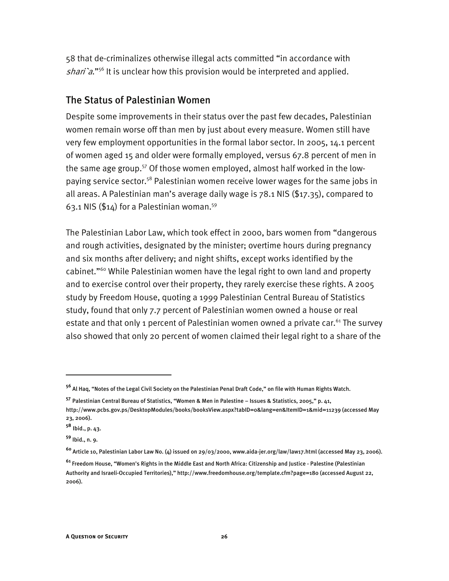58 that de-criminalizes otherwise illegal acts committed "in accordance with shari'a."<sup>56</sup> It is unclear how this provision would be interpreted and applied.

#### The Status of Palestinian Women

Despite some improvements in their status over the past few decades, Palestinian women remain worse off than men by just about every measure. Women still have very few employment opportunities in the formal labor sector. In 2005, 14.1 percent of women aged 15 and older were formally employed, versus 67.8 percent of men in the same age group.<sup>57</sup> Of those women employed, almost half worked in the lowpaying service sector.58 Palestinian women receive lower wages for the same jobs in all areas. A Palestinian man's average daily wage is 78.1 NIS (\$17.35), compared to 63.1 NIS (\$14) for a Palestinian woman.59

The Palestinian Labor Law, which took effect in 2000, bars women from "dangerous and rough activities, designated by the minister; overtime hours during pregnancy and six months after delivery; and night shifts, except works identified by the cabinet."60 While Palestinian women have the legal right to own land and property and to exercise control over their property, they rarely exercise these rights. A 2005 study by Freedom House, quoting a 1999 Palestinian Central Bureau of Statistics study, found that only 7.7 percent of Palestinian women owned a house or real estate and that only 1 percent of Palestinian women owned a private car.<sup>61</sup> The survey also showed that only 20 percent of women claimed their legal right to a share of the

-

**<sup>56</sup>** Al Haq, "Notes of the Legal Civil Society on the Palestinian Penal Draft Code," on file with Human Rights Watch.

**<sup>57</sup>** Palestinian Central Bureau of Statistics, "Women & Men in Palestine – Issues & Statistics, 2005," p. 41, http://www.pcbs.gov.ps/DesktopModules/books/booksView.aspx?tabID=0&lang=en&ItemID=1&mid=11239 (accessed May 23, 2006).

**<sup>58</sup>** Ibid., p. 43.

**<sup>59</sup>** Ibid., n. 9.

**<sup>60</sup>** Article 10, Palestinian Labor Law No. (4) issued on 29/03/2000, www.aida-jer.org/law/law17.html (accessed May 23, 2006).

**<sup>61</sup>** Freedom House, "Women's Rights in the Middle East and North Africa: Citizenship and Justice - Palestine (Palestinian Authority and Israeli-Occupied Territories)," http://www.freedomhouse.org/template.cfm?page=180 (accessed August 22, 2006).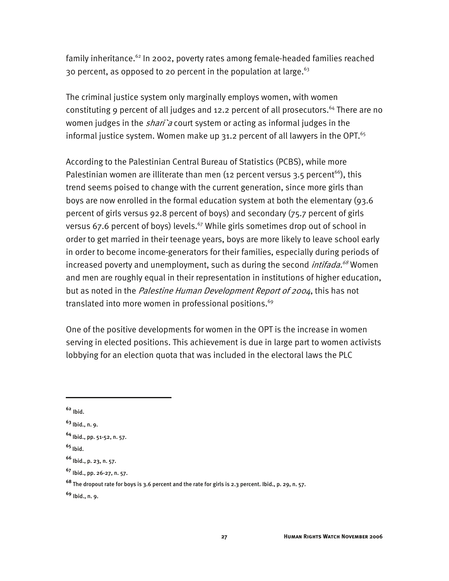family inheritance.<sup>62</sup> In 2002, poverty rates among female-headed families reached 30 percent, as opposed to 20 percent in the population at large.  $63$ 

The criminal justice system only marginally employs women, with women constituting 9 percent of all judges and 12.2 percent of all prosecutors.<sup>64</sup> There are no women judges in the *shari* a court system or acting as informal judges in the informal justice system. Women make up  $31.2$  percent of all lawyers in the OPT.<sup>65</sup>

According to the Palestinian Central Bureau of Statistics (PCBS), while more Palestinian women are illiterate than men (12 percent versus 3.5 percent<sup>66</sup>), this trend seems poised to change with the current generation, since more girls than boys are now enrolled in the formal education system at both the elementary (93.6 percent of girls versus 92.8 percent of boys) and secondary (75.7 percent of girls versus 67.6 percent of boys) levels.<sup>67</sup> While girls sometimes drop out of school in order to get married in their teenage years, boys are more likely to leave school early in order to become income-generators for their families, especially during periods of increased poverty and unemployment, such as during the second *intifada.<sup>68</sup>* Women and men are roughly equal in their representation in institutions of higher education, but as noted in the Palestine Human Development Report of 2004, this has not translated into more women in professional positions.<sup>69</sup>

One of the positive developments for women in the OPT is the increase in women serving in elected positions. This achievement is due in large part to women activists lobbying for an election quota that was included in the electoral laws the PLC

**<sup>62</sup>** Ibid.

**<sup>63</sup>** Ibid., n. 9.

**<sup>64</sup>** Ibid., pp. 51-52, n. 57.

**<sup>65</sup>** Ibid.

**<sup>66</sup>** Ibid., p. 23, n. 57.

**<sup>67</sup>** Ibid., pp. 26-27, n. 57.

**<sup>68</sup>** The dropout rate for boys is 3.6 percent and the rate for girls is 2.3 percent. Ibid., p. 29, n. 57.

**<sup>69</sup>** Ibid., n. 9.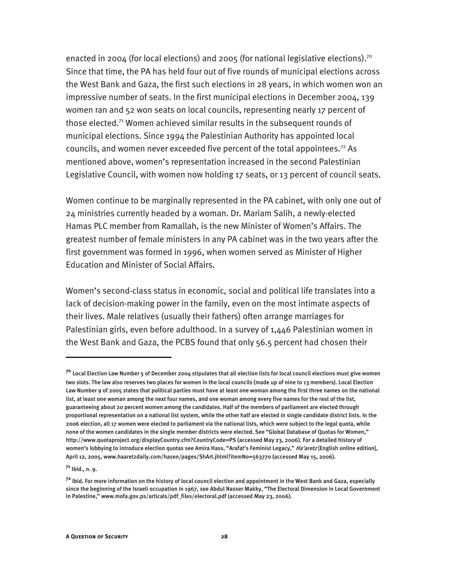enacted in 2004 (for local elections) and 2005 (for national legislative elections).<sup>70</sup> Since that time, the PA has held four out of five rounds of municipal elections across the West Bank and Gaza, the first such elections in 28 years, in which women won an impressive number of seats. In the first municipal elections in December 2004, 139 women ran and 52 won seats on local councils, representing nearly 17 percent of those elected.<sup>71</sup> Women achieved similar results in the subsequent rounds of municipal elections. Since 1994 the Palestinian Authority has appointed local councils, and women never exceeded five percent of the total appointees.72 As mentioned above, women's representation increased in the second Palestinian Legislative Council, with women now holding 17 seats, or 13 percent of council seats.

Women continue to be marginally represented in the PA cabinet, with only one out of 24 ministries currently headed by a woman. Dr. Mariam Salih, a newly-elected Hamas PLC member from Ramallah, is the new Minister of Women's Affairs. The greatest number of female ministers in any PA cabinet was in the two years after the first government was formed in 1996, when women served as Minister of Higher Education and Minister of Social Affairs.

Women's second-class status in economic, social and political life translates into a lack of decision-making power in the family, even on the most intimate aspects of their lives. Male relatives (usually their fathers) often arrange marriages for Palestinian girls, even before adulthood. In a survey of 1,446 Palestinian women in the West Bank and Gaza, the PCBS found that only 56.5 percent had chosen their

**<sup>71</sup>** Ibid., n. 9.

**<sup>70</sup>** Local Election Law Number 5 of December 2004 stipulates that all election lists for local council elections must give women two slots. The law also reserves two places for women in the local councils (made up of nine to 13 members). Local Election Law Number 9 of 2005 states that political parties must have at least one woman among the first three names on the national list, at least one woman among the next four names, and one woman among every five names for the rest of the list, guaranteeing about 20 percent women among the candidates. Half of the members of parliament are elected through proportional representation on a national list system, while the other half are elected in single candidate district lists. In the 2006 election, all 17 women were elected to parliament via the national lists, which were subject to the legal quota, while none of the women candidates in the single member districts were elected. See "Global Database of Quotas for Women," http://www.quotaproject.org/displayCountry.cfm?CountryCode=PS (accessed May 23, 2006). For a detailed history of women's lobbying to introduce election quotas see Amira Hass, "Arafat's Feminist Legacy," Ha'aretz [English online edition], April 12, 2005, www.haaretzdaily.com/hasen/pages/ShArt.jhtml?itemNo=563770 (accessed May 15, 2006).

**<sup>72</sup>** Ibid. For more information on the history of local council election and appointment in the West Bank and Gaza, especially since the beginning of the Israeli occupation in 1967, see Abdul Nasser Makky, "The Electoral Dimension in Local Government in Palestine," www.mofa.gov.ps/articals/pdf\_files/electoral.pdf (accessed May 23, 2006).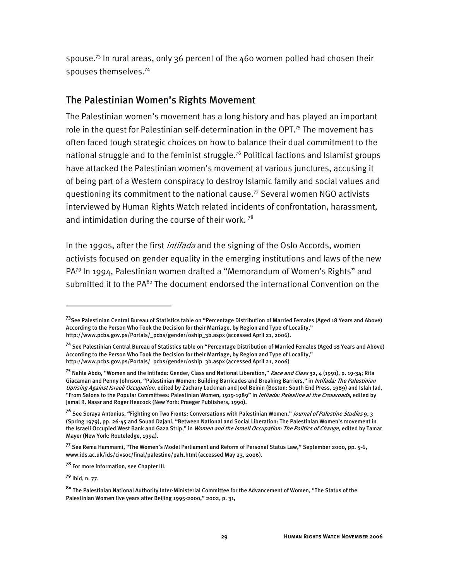spouse.<sup>73</sup> In rural areas, only 36 percent of the 460 women polled had chosen their spouses themselves.74

#### The Palestinian Women's Rights Movement

The Palestinian women's movement has a long history and has played an important role in the quest for Palestinian self-determination in the OPT.<sup>75</sup> The movement has often faced tough strategic choices on how to balance their dual commitment to the national struggle and to the feminist struggle.<sup>76</sup> Political factions and Islamist groups have attacked the Palestinian women's movement at various junctures, accusing it of being part of a Western conspiracy to destroy Islamic family and social values and questioning its commitment to the national cause.77 Several women NGO activists interviewed by Human Rights Watch related incidents of confrontation, harassment, and intimidation during the course of their work.  $78$ 

In the 1990s, after the first *intifada* and the signing of the Oslo Accords, women activists focused on gender equality in the emerging institutions and laws of the new PA<sup>79</sup> In 1994, Palestinian women drafted a "Memorandum of Women's Rights" and submitted it to the  $PA^{80}$  The document endorsed the international Convention on the

**<sup>79</sup>** Ibid, n. 77.

-

**<sup>73</sup>**See Palestinian Central Bureau of Statistics table on "Percentage Distribution of Married Females (Aged 18 Years and Above) According to the Person Who Took the Decision for their Marriage, by Region and Type of Locality," http://www.pcbs.gov.ps/Portals/\_pcbs/gender/oship\_3b.aspx (accessed April 21, 2006).

**<sup>74</sup>** See Palestinian Central Bureau of Statistics table on "Percentage Distribution of Married Females (Aged 18 Years and Above) According to the Person Who Took the Decision for their Marriage, by Region and Type of Locality," http://www.pcbs.gov.ps/Portals/\_pcbs/gender/oship\_3b.aspx (accessed April 21, 2006)

**<sup>75</sup>** Nahla Abdo, "Women and the Intifada: Gender, Class and National Liberation," Race and Class 32, 4 (1991), p. 19-34; Rita Giacaman and Penny Johnson, "Palestinian Women: Building Barricades and Breaking Barriers," in Intifada: The Palestinian Uprising Against Israeli Occupation, edited by Zachary Lockman and Joel Beinin (Boston: South End Press, 1989) and Islah Jad, "From Salons to the Popular Committees: Palestinian Women, 1919-1989" in Intifada: Palestine at the Crossroads, edited by Jamal R. Nassr and Roger Heacock (New York: Praeger Publishers, 1990).

<sup>&</sup>lt;sup>76</sup> See Soraya Antonius, "Fighting on Two Fronts: Conversations with Palestinian Women," *Journal of Palestine Studies* 9, 3 (Spring 1979), pp. 26-45 and Souad Dajani, "Between National and Social Liberation: The Palestinian Women's movement in the Israeli Occupied West Bank and Gaza Strip," in *Women and the Israeli Occupation: The Politics of Change*, edited by Tamar Mayer (New York: Routeledge, 1994).

**<sup>77</sup>** See Rema Hammami, "The Women's Model Parliament and Reform of Personal Status Law," September 2000, pp. 5-6, www.ids.ac.uk/ids/civsoc/final/palestine/pal1.html (accessed May 23, 2006).

**<sup>78</sup>** For more information, see Chapter III.

**<sup>80</sup>** The Palestinian National Authority Inter-Ministerial Committee for the Advancement of Women, "The Status of the Palestinian Women five years after Beijing 1995-2000," 2002, p. 31,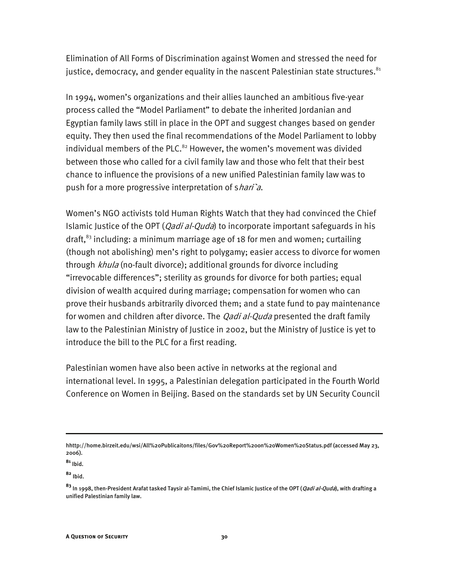Elimination of All Forms of Discrimination against Women and stressed the need for justice, democracy, and gender equality in the nascent Palestinian state structures. $81$ 

In 1994, women's organizations and their allies launched an ambitious five-year process called the "Model Parliament" to debate the inherited Jordanian and Egyptian family laws still in place in the OPT and suggest changes based on gender equity. They then used the final recommendations of the Model Parliament to lobby individual members of the PLC. $82$  However, the women's movement was divided between those who called for a civil family law and those who felt that their best chance to influence the provisions of a new unified Palestinian family law was to push for a more progressive interpretation of shari'a.

Women's NGO activists told Human Rights Watch that they had convinced the Chief Islamic Justice of the OPT (*Qadi al-Quda*) to incorporate important safeguards in his draft, $^{83}$  including: a minimum marriage age of 18 for men and women; curtailing (though not abolishing) men's right to polygamy; easier access to divorce for women through khula (no-fault divorce); additional grounds for divorce including "irrevocable differences"; sterility as grounds for divorce for both parties; equal division of wealth acquired during marriage; compensation for women who can prove their husbands arbitrarily divorced them; and a state fund to pay maintenance for women and children after divorce. The *Qadi al-Quda* presented the draft family law to the Palestinian Ministry of Justice in 2002, but the Ministry of Justice is yet to introduce the bill to the PLC for a first reading.

Palestinian women have also been active in networks at the regional and international level. In 1995, a Palestinian delegation participated in the Fourth World Conference on Women in Beijing. Based on the standards set by UN Security Council

hhttp://home.birzeit.edu/wsi/All%20Publicaitons/files/Gov%20Report%20on%20Women%20Status.pdf (accessed May 23, 2006).

**<sup>81</sup>** Ibid.

**<sup>82</sup>** Ibid.

**<sup>83</sup>** In 1998, then-President Arafat tasked Taysir al-Tamimi, the Chief Islamic Justice of the OPT (Qadi al-Quda), with drafting a unified Palestinian family law.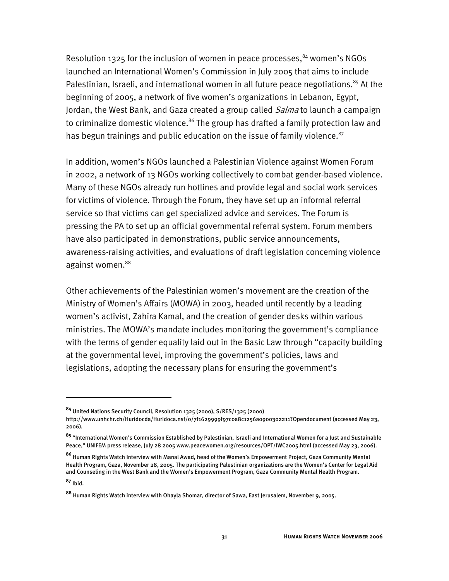Resolution 1325 for the inclusion of women in peace processes, $84$  women's NGOs launched an International Women's Commission in July 2005 that aims to include Palestinian, Israeli, and international women in all future peace negotiations. $85$  At the beginning of 2005, a network of five women's organizations in Lebanon, Egypt, Jordan, the West Bank, and Gaza created a group called *Salma* to launch a campaign to criminalize domestic violence.<sup>86</sup> The group has drafted a family protection law and has begun trainings and public education on the issue of family violence.<sup>87</sup>

In addition, women's NGOs launched a Palestinian Violence against Women Forum in 2002, a network of 13 NGOs working collectively to combat gender-based violence. Many of these NGOs already run hotlines and provide legal and social work services for victims of violence. Through the Forum, they have set up an informal referral service so that victims can get specialized advice and services. The Forum is pressing the PA to set up an official governmental referral system. Forum members have also participated in demonstrations, public service announcements, awareness-raising activities, and evaluations of draft legislation concerning violence against women.<sup>88</sup>

Other achievements of the Palestinian women's movement are the creation of the Ministry of Women's Affairs (MOWA) in 2003, headed until recently by a leading women's activist, Zahira Kamal, and the creation of gender desks within various ministries. The MOWA's mandate includes monitoring the government's compliance with the terms of gender equality laid out in the Basic Law through "capacity building at the governmental level, improving the government's policies, laws and legislations, adopting the necessary plans for ensuring the government's

j

**<sup>84</sup>** United Nations Security Council, Resolution 1325 (2000), S/RES/1325 (2000)

http://www.unhchr.ch/Huridocda/Huridoca.nsf/0/7f1629999f97c0a8c1256a0900302211?Opendocument (accessed May 23, 2006).

**<sup>85</sup>** "International Women's Commission Established by Palestinian, Israeli and International Women for a Just and Sustainable Peace," UNIFEM press release, July 28 2005 www.peacewomen.org/resources/OPT/IWC2005.html (accessed May 23, 2006).

**<sup>86</sup>** Human Rights Watch Interview with Manal Awad, head of the Women's Empowerment Project, Gaza Community Mental Health Program, Gaza, November 28, 2005. The participating Palestinian organizations are the Women's Center for Legal Aid and Counseling in the West Bank and the Women's Empowerment Program, Gaza Community Mental Health Program. **<sup>87</sup>** Ibid.

**<sup>88</sup>** Human Rights Watch interview with Ohayla Shomar, director of Sawa, East Jerusalem, November 9, 2005.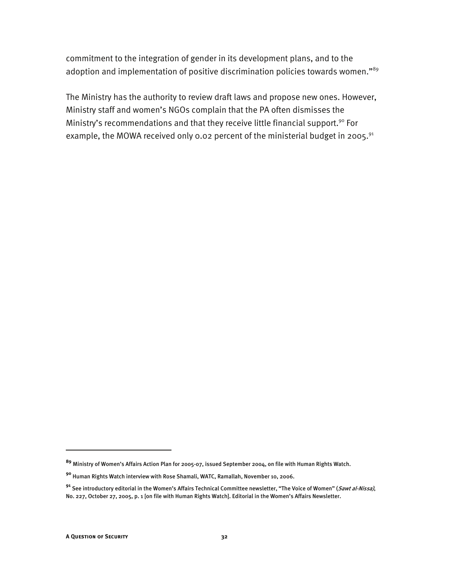commitment to the integration of gender in its development plans, and to the adoption and implementation of positive discrimination policies towards women."<sup>89</sup>

The Ministry has the authority to review draft laws and propose new ones. However, Ministry staff and women's NGOs complain that the PA often dismisses the Ministry's recommendations and that they receive little financial support.<sup>90</sup> For example, the MOWA received only 0.02 percent of the ministerial budget in 2005.<sup>91</sup>

-

**<sup>89</sup>** Ministry of Women's Affairs Action Plan for 2005-07, issued September 2004, on file with Human Rights Watch.

**<sup>90</sup>** Human Rights Watch interview with Rose Shamali, WATC, Ramallah, November 10, 2006.

**<sup>91</sup>** See introductory editorial in the Women's Affairs Technical Committee newsletter, "The Voice of Women" (Sawt al-Nissa), No. 227, October 27, 2005, p. 1 [on file with Human Rights Watch]. Editorial in the Women's Affairs Newsletter.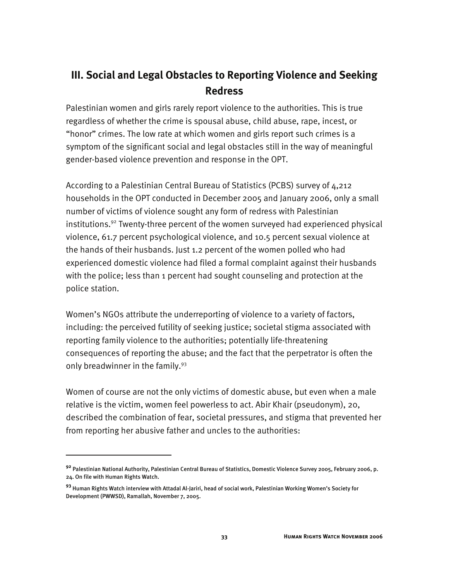# **III. Social and Legal Obstacles to Reporting Violence and Seeking Redress**

Palestinian women and girls rarely report violence to the authorities. This is true regardless of whether the crime is spousal abuse, child abuse, rape, incest, or "honor" crimes. The low rate at which women and girls report such crimes is a symptom of the significant social and legal obstacles still in the way of meaningful gender-based violence prevention and response in the OPT.

According to a Palestinian Central Bureau of Statistics (PCBS) survey of 4,212 households in the OPT conducted in December 2005 and January 2006, only a small number of victims of violence sought any form of redress with Palestinian institutions.<sup>92</sup> Twenty-three percent of the women surveyed had experienced physical violence, 61.7 percent psychological violence, and 10.5 percent sexual violence at the hands of their husbands. Just 1.2 percent of the women polled who had experienced domestic violence had filed a formal complaint against their husbands with the police; less than 1 percent had sought counseling and protection at the police station.

Women's NGOs attribute the underreporting of violence to a variety of factors, including: the perceived futility of seeking justice; societal stigma associated with reporting family violence to the authorities; potentially life-threatening consequences of reporting the abuse; and the fact that the perpetrator is often the only breadwinner in the family.<sup>93</sup>

Women of course are not the only victims of domestic abuse, but even when a male relative is the victim, women feel powerless to act. Abir Khair (pseudonym), 20, described the combination of fear, societal pressures, and stigma that prevented her from reporting her abusive father and uncles to the authorities:

**<sup>92</sup>** Palestinian National Authority, Palestinian Central Bureau of Statistics, Domestic Violence Survey 2005, February 2006, p. 24. On file with Human Rights Watch.

**<sup>93</sup>** Human Rights Watch interview with Attadal Al-Jariri, head of social work, Palestinian Working Women's Society for Development (PWWSD), Ramallah, November 7, 2005.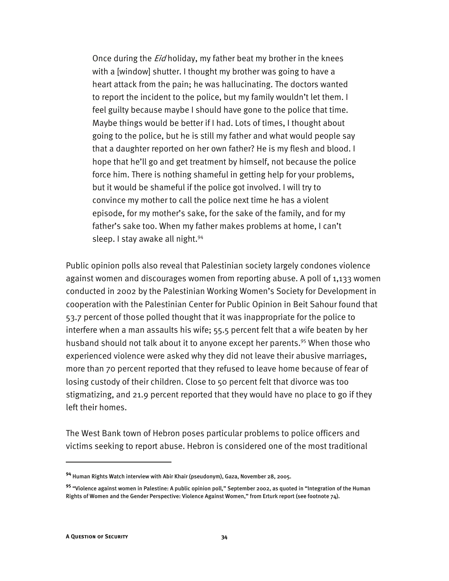Once during the *Eid* holiday, my father beat my brother in the knees with a [window] shutter. I thought my brother was going to have a heart attack from the pain; he was hallucinating. The doctors wanted to report the incident to the police, but my family wouldn't let them. I feel guilty because maybe I should have gone to the police that time. Maybe things would be better if I had. Lots of times, I thought about going to the police, but he is still my father and what would people say that a daughter reported on her own father? He is my flesh and blood. I hope that he'll go and get treatment by himself, not because the police force him. There is nothing shameful in getting help for your problems, but it would be shameful if the police got involved. I will try to convince my mother to call the police next time he has a violent episode, for my mother's sake, for the sake of the family, and for my father's sake too. When my father makes problems at home, I can't sleep. I stay awake all night.<sup>94</sup>

Public opinion polls also reveal that Palestinian society largely condones violence against women and discourages women from reporting abuse. A poll of 1,133 women conducted in 2002 by the Palestinian Working Women's Society for Development in cooperation with the Palestinian Center for Public Opinion in Beit Sahour found that 53.7 percent of those polled thought that it was inappropriate for the police to interfere when a man assaults his wife; 55.5 percent felt that a wife beaten by her husband should not talk about it to anyone except her parents.<sup>95</sup> When those who experienced violence were asked why they did not leave their abusive marriages, more than 70 percent reported that they refused to leave home because of fear of losing custody of their children. Close to 50 percent felt that divorce was too stigmatizing, and 21.9 percent reported that they would have no place to go if they left their homes.

The West Bank town of Hebron poses particular problems to police officers and victims seeking to report abuse. Hebron is considered one of the most traditional

**<sup>94</sup>** Human Rights Watch interview with Abir Khair (pseudonym), Gaza, November 28, 2005.

**<sup>95</sup>** "Violence against women in Palestine: A public opinion poll," September 2002, as quoted in "Integration of the Human Rights of Women and the Gender Perspective: Violence Against Women," from Erturk report (see footnote 74).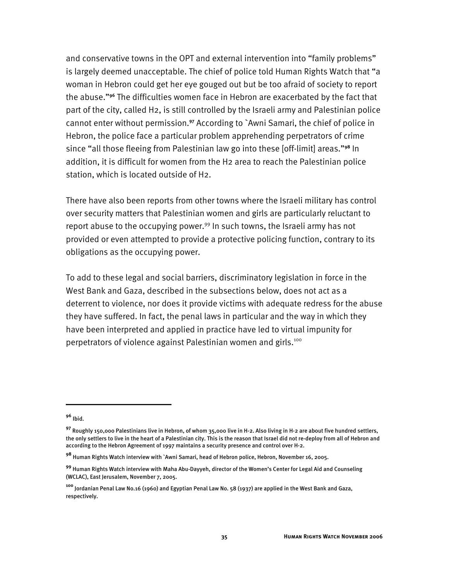and conservative towns in the OPT and external intervention into "family problems" is largely deemed unacceptable. The chief of police told Human Rights Watch that "a woman in Hebron could get her eye gouged out but be too afraid of society to report the abuse."**<sup>96</sup>** The difficulties women face in Hebron are exacerbated by the fact that part of the city, called H2, is still controlled by the Israeli army and Palestinian police cannot enter without permission.**<sup>97</sup>** According to `Awni Samari, the chief of police in Hebron, the police face a particular problem apprehending perpetrators of crime since "all those fleeing from Palestinian law go into these [off-limit] areas."**<sup>98</sup>** In addition, it is difficult for women from the H2 area to reach the Palestinian police station, which is located outside of H2.

There have also been reports from other towns where the Israeli military has control over security matters that Palestinian women and girls are particularly reluctant to report abuse to the occupying power.<sup>99</sup> In such towns, the Israeli army has not provided or even attempted to provide a protective policing function, contrary to its obligations as the occupying power.

To add to these legal and social barriers, discriminatory legislation in force in the West Bank and Gaza, described in the subsections below, does not act as a deterrent to violence, nor does it provide victims with adequate redress for the abuse they have suffered. In fact, the penal laws in particular and the way in which they have been interpreted and applied in practice have led to virtual impunity for perpetrators of violence against Palestinian women and girls.<sup>100</sup>

**<sup>96</sup>** Ibid.

**<sup>97</sup>** Roughly 150,000 Palestinians live in Hebron, of whom 35,000 live in H-2. Also living in H-2 are about five hundred settlers, the only settlers to live in the heart of a Palestinian city. This is the reason that Israel did not re-deploy from all of Hebron and according to the Hebron Agreement of 1997 maintains a security presence and control over H-2.

**<sup>98</sup>** Human Rights Watch interview with `Awni Samari, head of Hebron police, Hebron, November 16, 2005.

**<sup>99</sup>** Human Rights Watch interview with Maha Abu-Dayyeh, director of the Women's Center for Legal Aid and Counseling (WCLAC), East Jerusalem, November 7, 2005.

**<sup>100</sup>** Jordanian Penal Law No.16 (1960) and Egyptian Penal Law No. 58 (1937) are applied in the West Bank and Gaza, respectively.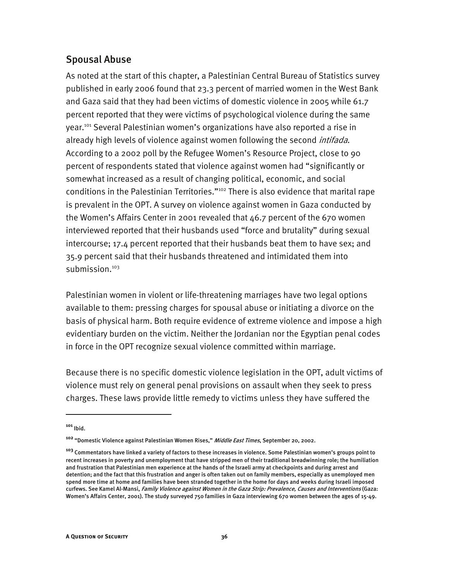# Spousal Abuse

As noted at the start of this chapter, a Palestinian Central Bureau of Statistics survey published in early 2006 found that 23.3 percent of married women in the West Bank and Gaza said that they had been victims of domestic violence in 2005 while 61.7 percent reported that they were victims of psychological violence during the same year.101 Several Palestinian women's organizations have also reported a rise in already high levels of violence against women following the second *intifada*. According to a 2002 poll by the Refugee Women's Resource Project, close to 90 percent of respondents stated that violence against women had "significantly or somewhat increased as a result of changing political, economic, and social conditions in the Palestinian Territories."<sup>102</sup> There is also evidence that marital rape is prevalent in the OPT. A survey on violence against women in Gaza conducted by the Women's Affairs Center in 2001 revealed that 46.7 percent of the 670 women interviewed reported that their husbands used "force and brutality" during sexual intercourse; 17.4 percent reported that their husbands beat them to have sex; and 35.9 percent said that their husbands threatened and intimidated them into submission.<sup>103</sup>

Palestinian women in violent or life-threatening marriages have two legal options available to them: pressing charges for spousal abuse or initiating a divorce on the basis of physical harm. Both require evidence of extreme violence and impose a high evidentiary burden on the victim. Neither the Jordanian nor the Egyptian penal codes in force in the OPT recognize sexual violence committed within marriage.

Because there is no specific domestic violence legislation in the OPT, adult victims of violence must rely on general penal provisions on assault when they seek to press charges. These laws provide little remedy to victims unless they have suffered the

**<sup>101</sup>** Ibid.

**<sup>102</sup>** "Domestic Violence against Palestinian Women Rises," Middle East Times, September 20, 2002.

**<sup>103</sup>** Commentators have linked a variety of factors to these increases in violence. Some Palestinian women's groups point to recent increases in poverty and unemployment that have stripped men of their traditional breadwinning role; the humiliation and frustration that Palestinian men experience at the hands of the Israeli army at checkpoints and during arrest and detention; and the fact that this frustration and anger is often taken out on family members, especially as unemployed men spend more time at home and families have been stranded together in the home for days and weeks during Israeli imposed curfews. See Kamel Al-Mansi, Family Violence against Women in the Gaza Strip: Prevalence, Causes and Interventions (Gaza: Women's Affairs Center, 2001). The study surveyed 750 families in Gaza interviewing 670 women between the ages of 15-49.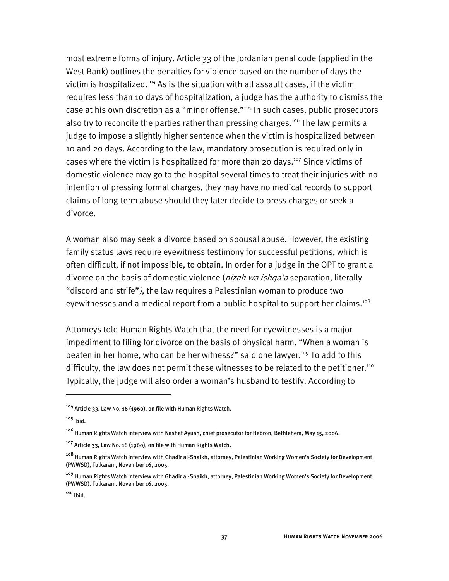most extreme forms of injury. Article 33 of the Jordanian penal code (applied in the West Bank) outlines the penalties for violence based on the number of days the victim is hospitalized.<sup>104</sup> As is the situation with all assault cases, if the victim requires less than 10 days of hospitalization, a judge has the authority to dismiss the case at his own discretion as a "minor offense."105 In such cases, public prosecutors also try to reconcile the parties rather than pressing charges.<sup>106</sup> The law permits a judge to impose a slightly higher sentence when the victim is hospitalized between 10 and 20 days. According to the law, mandatory prosecution is required only in cases where the victim is hospitalized for more than 20 days.<sup>107</sup> Since victims of domestic violence may go to the hospital several times to treat their injuries with no intention of pressing formal charges, they may have no medical records to support claims of long-term abuse should they later decide to press charges or seek a divorce.

A woman also may seek a divorce based on spousal abuse. However, the existing family status laws require eyewitness testimony for successful petitions, which is often difficult, if not impossible, to obtain. In order for a judge in the OPT to grant a divorce on the basis of domestic violence (*nizah wa ishqa'a* separation, literally "discord and strife"), the law requires a Palestinian woman to produce two eyewitnesses and a medical report from a public hospital to support her claims.<sup>108</sup>

Attorneys told Human Rights Watch that the need for eyewitnesses is a major impediment to filing for divorce on the basis of physical harm. "When a woman is beaten in her home, who can be her witness?" said one lawyer.<sup>109</sup> To add to this difficulty, the law does not permit these witnesses to be related to the petitioner.<sup>110</sup> Typically, the judge will also order a woman's husband to testify. According to

-

**<sup>104</sup>** Article 33, Law No. 16 (1960), on file with Human Rights Watch.

**<sup>105</sup>** Ibid.

**<sup>106</sup>** Human Rights Watch interview with Nashat Ayush, chief prosecutor for Hebron, Bethlehem, May 15, 2006.

**<sup>107</sup>** Article 33, Law No. 16 (1960), on file with Human Rights Watch.

**<sup>108</sup>** Human Rights Watch interview with Ghadir al-Shaikh, attorney, Palestinian Working Women's Society for Development (PWWSD), Tulkaram, November 16, 2005.

**<sup>109</sup>** Human Rights Watch interview with Ghadir al-Shaikh, attorney, Palestinian Working Women's Society for Development (PWWSD), Tulkaram, November 16, 2005.

**<sup>110</sup>** Ibid.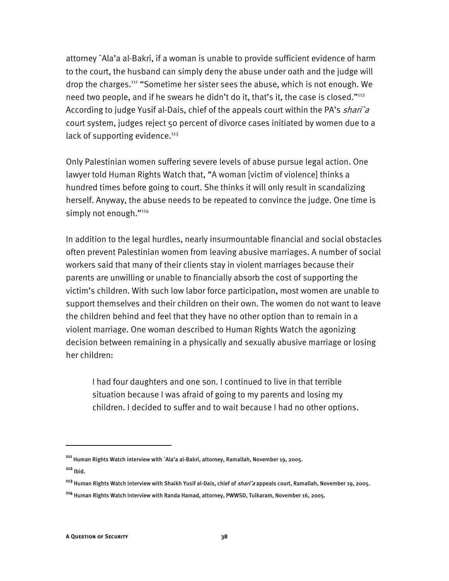attorney `Ala'a al-Bakri, if a woman is unable to provide sufficient evidence of harm to the court, the husband can simply deny the abuse under oath and the judge will drop the charges.111 "Sometime her sister sees the abuse, which is not enough. We need two people, and if he swears he didn't do it, that's it, the case is closed."<sup>112</sup> According to judge Yusif al-Dais, chief of the appeals court within the PA's *shari* a court system, judges reject 50 percent of divorce cases initiated by women due to a lack of supporting evidence. $113$ 

Only Palestinian women suffering severe levels of abuse pursue legal action. One lawyer told Human Rights Watch that, "A woman [victim of violence] thinks a hundred times before going to court. She thinks it will only result in scandalizing herself. Anyway, the abuse needs to be repeated to convince the judge. One time is simply not enough."<sup>114</sup>

In addition to the legal hurdles, nearly insurmountable financial and social obstacles often prevent Palestinian women from leaving abusive marriages. A number of social workers said that many of their clients stay in violent marriages because their parents are unwilling or unable to financially absorb the cost of supporting the victim's children. With such low labor force participation, most women are unable to support themselves and their children on their own. The women do not want to leave the children behind and feel that they have no other option than to remain in a violent marriage. One woman described to Human Rights Watch the agonizing decision between remaining in a physically and sexually abusive marriage or losing her children:

I had four daughters and one son. I continued to live in that terrible situation because I was afraid of going to my parents and losing my children. I decided to suffer and to wait because I had no other options.

**<sup>111</sup>** Human Rights Watch interview with `Ala'a al-Bakri, attorney, Ramallah, November 19, 2005.

**<sup>112</sup>** Ibid.

**<sup>113</sup>** Human Rights Watch interview with Shaikh Yusif al-Dais, chief of shari`a appeals court, Ramallah, November 19, 2005.

**<sup>114</sup>** Human Rights Watch interview with Randa Hamad, attorney, PWWSD, Tulkaram, November 16, 2005.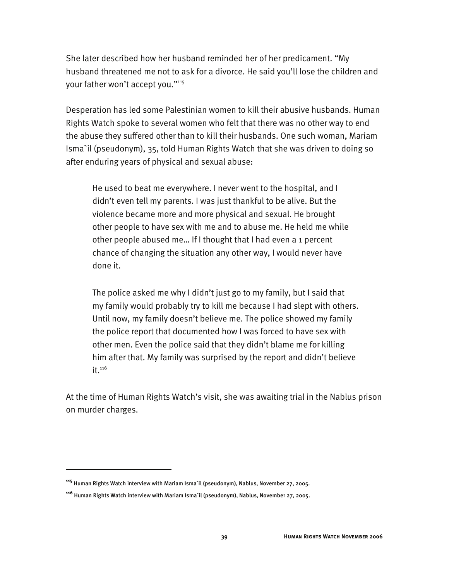She later described how her husband reminded her of her predicament. "My husband threatened me not to ask for a divorce. He said you'll lose the children and your father won't accept you."115

Desperation has led some Palestinian women to kill their abusive husbands. Human Rights Watch spoke to several women who felt that there was no other way to end the abuse they suffered other than to kill their husbands. One such woman, Mariam Isma`il (pseudonym), 35, told Human Rights Watch that she was driven to doing so after enduring years of physical and sexual abuse:

He used to beat me everywhere. I never went to the hospital, and I didn't even tell my parents. I was just thankful to be alive. But the violence became more and more physical and sexual. He brought other people to have sex with me and to abuse me. He held me while other people abused me… If I thought that I had even a 1 percent chance of changing the situation any other way, I would never have done it.

The police asked me why I didn't just go to my family, but I said that my family would probably try to kill me because I had slept with others. Until now, my family doesn't believe me. The police showed my family the police report that documented how I was forced to have sex with other men. Even the police said that they didn't blame me for killing him after that. My family was surprised by the report and didn't believe  $it.<sup>116</sup>$ 

At the time of Human Rights Watch's visit, she was awaiting trial in the Nablus prison on murder charges.

**<sup>115</sup>** Human Rights Watch interview with Mariam Isma`il (pseudonym), Nablus, November 27, 2005.

**<sup>116</sup>** Human Rights Watch interview with Mariam Isma`il (pseudonym), Nablus, November 27, 2005.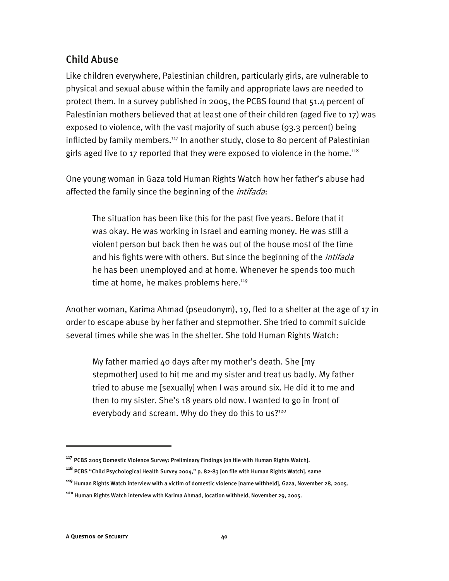# Child Abuse

Like children everywhere, Palestinian children, particularly girls, are vulnerable to physical and sexual abuse within the family and appropriate laws are needed to protect them. In a survey published in 2005, the PCBS found that 51.4 percent of Palestinian mothers believed that at least one of their children (aged five to 17) was exposed to violence, with the vast majority of such abuse (93.3 percent) being inflicted by family members.<sup>117</sup> In another study, close to 80 percent of Palestinian girls aged five to 17 reported that they were exposed to violence in the home.<sup>118</sup>

One young woman in Gaza told Human Rights Watch how her father's abuse had affected the family since the beginning of the *intifada*:

The situation has been like this for the past five years. Before that it was okay. He was working in Israel and earning money. He was still a violent person but back then he was out of the house most of the time and his fights were with others. But since the beginning of the *intifada* he has been unemployed and at home. Whenever he spends too much time at home, he makes problems here.<sup>119</sup>

Another woman, Karima Ahmad (pseudonym), 19, fled to a shelter at the age of 17 in order to escape abuse by her father and stepmother. She tried to commit suicide several times while she was in the shelter. She told Human Rights Watch:

My father married 40 days after my mother's death. She [my stepmother] used to hit me and my sister and treat us badly. My father tried to abuse me [sexually] when I was around six. He did it to me and then to my sister. She's 18 years old now. I wanted to go in front of everybody and scream. Why do they do this to us?<sup>120</sup>

**<sup>117</sup>** PCBS 2005 Domestic Violence Survey: Preliminary Findings [on file with Human Rights Watch].

**<sup>118</sup>** PCBS "Child Psychological Health Survey 2004," p. 82-83 [on file with Human Rights Watch]. same

**<sup>119</sup>** Human Rights Watch interview with a victim of domestic violence [name withheld], Gaza, November 28, 2005.

**<sup>120</sup>** Human Rights Watch interview with Karima Ahmad, location withheld, November 29, 2005.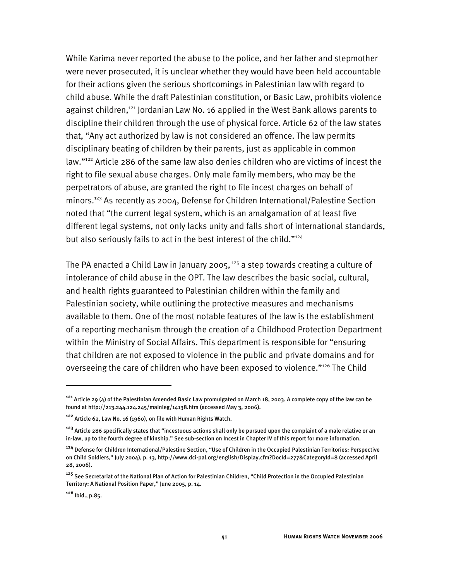While Karima never reported the abuse to the police, and her father and stepmother were never prosecuted, it is unclear whether they would have been held accountable for their actions given the serious shortcomings in Palestinian law with regard to child abuse. While the draft Palestinian constitution, or Basic Law, prohibits violence against children,<sup>121</sup> Jordanian Law No. 16 applied in the West Bank allows parents to discipline their children through the use of physical force. Article 62 of the law states that, "Any act authorized by law is not considered an offence. The law permits disciplinary beating of children by their parents, just as applicable in common law."<sup>122</sup> Article 286 of the same law also denies children who are victims of incest the right to file sexual abuse charges. Only male family members, who may be the perpetrators of abuse, are granted the right to file incest charges on behalf of minors.<sup>123</sup> As recently as 2004, Defense for Children International/Palestine Section noted that "the current legal system, which is an amalgamation of at least five different legal systems, not only lacks unity and falls short of international standards, but also seriously fails to act in the best interest of the child."<sup>124</sup>

The PA enacted a Child Law in January 2005,  $125$  a step towards creating a culture of intolerance of child abuse in the OPT. The law describes the basic social, cultural, and health rights guaranteed to Palestinian children within the family and Palestinian society, while outlining the protective measures and mechanisms available to them. One of the most notable features of the law is the establishment of a reporting mechanism through the creation of a Childhood Protection Department within the Ministry of Social Affairs. This department is responsible for "ensuring that children are not exposed to violence in the public and private domains and for overseeing the care of children who have been exposed to violence."<sup>126</sup> The Child

**<sup>121</sup>** Article 29 (4) of the Palestinian Amended Basic Law promulgated on March 18, 2003. A complete copy of the law can be found at http://213.244.124.245/mainleg/14138.htm (accessed May 3, 2006).

**<sup>122</sup>** Article 62, Law No. 16 (1960), on file with Human Rights Watch.

**<sup>123</sup>** Article 286 specifically states that "incestuous actions shall only be pursued upon the complaint of a male relative or an in-law, up to the fourth degree of kinship." See sub-section on Incest in Chapter IV of this report for more information.

**<sup>124</sup>** Defense for Children International/Palestine Section, "Use of Children in the Occupied Palestinian Territories: Perspective on Child Soldiers," July 2004), p. 13, http://www.dci-pal.org/english/Display.cfm?DocId=277&CategoryId=8 (accessed April 28, 2006).

**<sup>125</sup>** See Secretariat of the National Plan of Action for Palestinian Children, "Child Protection in the Occupied Palestinian Territory: A National Position Paper," June 2005, p. 14.

**<sup>126</sup>** Ibid., p.85.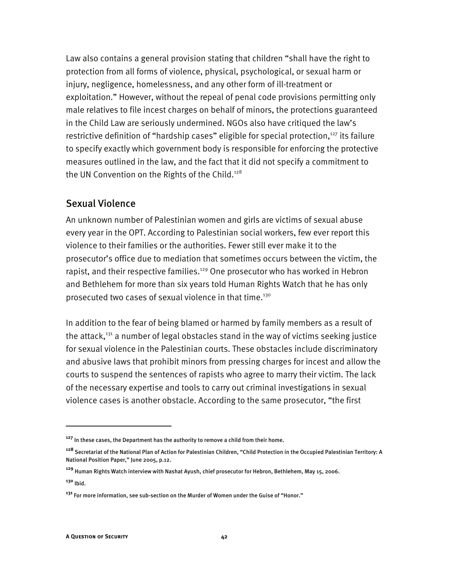Law also contains a general provision stating that children "shall have the right to protection from all forms of violence, physical, psychological, or sexual harm or injury, negligence, homelessness, and any other form of ill-treatment or exploitation." However, without the repeal of penal code provisions permitting only male relatives to file incest charges on behalf of minors, the protections guaranteed in the Child Law are seriously undermined. NGOs also have critiqued the law's restrictive definition of "hardship cases" eligible for special protection,<sup>127</sup> its failure to specify exactly which government body is responsible for enforcing the protective measures outlined in the law, and the fact that it did not specify a commitment to the UN Convention on the Rights of the Child.<sup>128</sup>

### Sexual Violence

An unknown number of Palestinian women and girls are victims of sexual abuse every year in the OPT. According to Palestinian social workers, few ever report this violence to their families or the authorities. Fewer still ever make it to the prosecutor's office due to mediation that sometimes occurs between the victim, the rapist, and their respective families.<sup>129</sup> One prosecutor who has worked in Hebron and Bethlehem for more than six years told Human Rights Watch that he has only prosecuted two cases of sexual violence in that time.<sup>130</sup>

In addition to the fear of being blamed or harmed by family members as a result of the attack, $131$  a number of legal obstacles stand in the way of victims seeking justice for sexual violence in the Palestinian courts. These obstacles include discriminatory and abusive laws that prohibit minors from pressing charges for incest and allow the courts to suspend the sentences of rapists who agree to marry their victim. The lack of the necessary expertise and tools to carry out criminal investigations in sexual violence cases is another obstacle. According to the same prosecutor, "the first

**<sup>127</sup>** In these cases, the Department has the authority to remove a child from their home.

**<sup>128</sup>** Secretariat of the National Plan of Action for Palestinian Children, "Child Protection in the Occupied Palestinian Territory: A National Position Paper," June 2005, p.12.

**<sup>129</sup>** Human Rights Watch interview with Nashat Ayush, chief prosecutor for Hebron, Bethlehem, May 15, 2006.

**<sup>130</sup>** Ibid.

**<sup>131</sup>** For more information, see sub-section on the Murder of Women under the Guise of "Honor."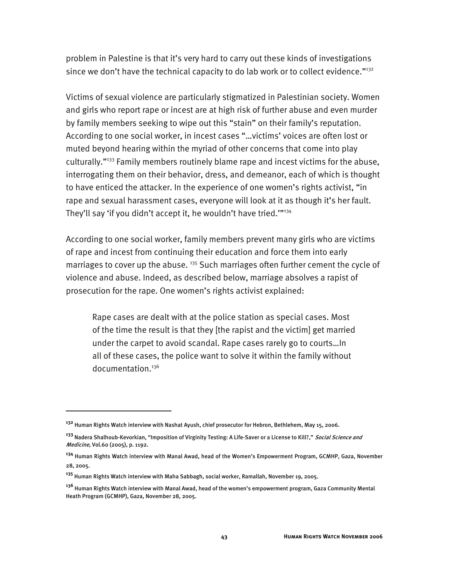problem in Palestine is that it's very hard to carry out these kinds of investigations since we don't have the technical capacity to do lab work or to collect evidence."132

Victims of sexual violence are particularly stigmatized in Palestinian society. Women and girls who report rape or incest are at high risk of further abuse and even murder by family members seeking to wipe out this "stain" on their family's reputation. According to one social worker, in incest cases "…victims' voices are often lost or muted beyond hearing within the myriad of other concerns that come into play culturally."133 Family members routinely blame rape and incest victims for the abuse, interrogating them on their behavior, dress, and demeanor, each of which is thought to have enticed the attacker. In the experience of one women's rights activist, "in rape and sexual harassment cases, everyone will look at it as though it's her fault. They'll say 'if you didn't accept it, he wouldn't have tried.""<sup>134</sup>

According to one social worker, family members prevent many girls who are victims of rape and incest from continuing their education and force them into early marriages to cover up the abuse. <sup>135</sup> Such marriages often further cement the cycle of violence and abuse. Indeed, as described below, marriage absolves a rapist of prosecution for the rape. One women's rights activist explained:

Rape cases are dealt with at the police station as special cases. Most of the time the result is that they [the rapist and the victim] get married under the carpet to avoid scandal. Rape cases rarely go to courts…In all of these cases, the police want to solve it within the family without documentation.<sup>136</sup>

-

**<sup>132</sup>** Human Rights Watch interview with Nashat Ayush, chief prosecutor for Hebron, Bethlehem, May 15, 2006.

**<sup>133</sup>** Nadera Shalhoub-Kevorkian, "Imposition of Virginity Testing: A Life-Saver or a License to Kill?," Social Science and Medicine, Vol.60 (2005), p. 1192.

**<sup>134</sup>** Human Rights Watch interview with Manal Awad, head of the Women's Empowerment Program, GCMHP, Gaza, November 28, 2005.

**<sup>135</sup>** Human Rights Watch interview with Maha Sabbagh, social worker, Ramallah, November 19, 2005.

**<sup>136</sup>** Human Rights Watch interview with Manal Awad, head of the women's empowerment program, Gaza Community Mental Heath Program (GCMHP), Gaza, November 28, 2005.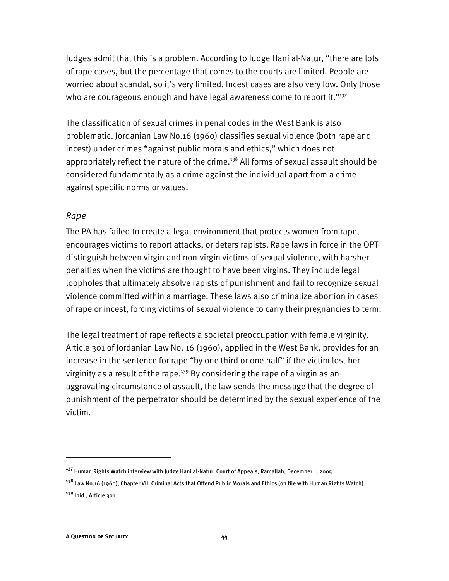Judges admit that this is a problem. According to Judge Hani al-Natur, "there are lots of rape cases, but the percentage that comes to the courts are limited. People are worried about scandal, so it's very limited. Incest cases are also very low. Only those who are courageous enough and have legal awareness come to report it."<sup>137</sup>

The classification of sexual crimes in penal codes in the West Bank is also problematic. Jordanian Law No.16 (1960) classifies sexual violence (both rape and incest) under crimes "against public morals and ethics," which does not appropriately reflect the nature of the crime.<sup>138</sup> All forms of sexual assault should be considered fundamentally as a crime against the individual apart from a crime against specific norms or values.

### *Rape*

The PA has failed to create a legal environment that protects women from rape, encourages victims to report attacks, or deters rapists. Rape laws in force in the OPT distinguish between virgin and non-virgin victims of sexual violence, with harsher penalties when the victims are thought to have been virgins. They include legal loopholes that ultimately absolve rapists of punishment and fail to recognize sexual violence committed within a marriage. These laws also criminalize abortion in cases of rape or incest, forcing victims of sexual violence to carry their pregnancies to term.

The legal treatment of rape reflects a societal preoccupation with female virginity. Article 301 of Jordanian Law No. 16 (1960), applied in the West Bank, provides for an increase in the sentence for rape "by one third or one half" if the victim lost her virginity as a result of the rape.<sup>139</sup> By considering the rape of a virgin as an aggravating circumstance of assault, the law sends the message that the degree of punishment of the perpetrator should be determined by the sexual experience of the victim.

**<sup>137</sup>** Human Rights Watch interview with Judge Hani al-Natur, Court of Appeals, Ramallah, December 1, 2005

**<sup>138</sup>** Law No.16 (1960), Chapter VII, Criminal Acts that Offend Public Morals and Ethics (on file with Human Rights Watch). **<sup>139</sup>** Ibid., Article 301.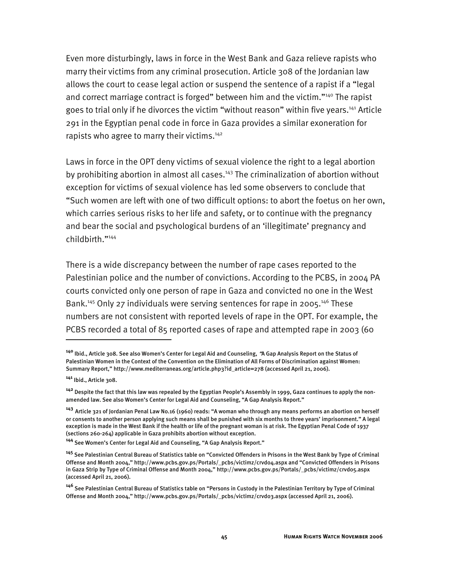Even more disturbingly, laws in force in the West Bank and Gaza relieve rapists who marry their victims from any criminal prosecution. Article 308 of the Jordanian law allows the court to cease legal action or suspend the sentence of a rapist if a "legal and correct marriage contract is forged" between him and the victim."<sup>140</sup> The rapist goes to trial only if he divorces the victim "without reason" within five years.<sup>141</sup> Article 291 in the Egyptian penal code in force in Gaza provides a similar exoneration for rapists who agree to marry their victims.<sup>142</sup>

Laws in force in the OPT deny victims of sexual violence the right to a legal abortion by prohibiting abortion in almost all cases.<sup>143</sup> The criminalization of abortion without exception for victims of sexual violence has led some observers to conclude that "Such women are left with one of two difficult options: to abort the foetus on her own, which carries serious risks to her life and safety, or to continue with the pregnancy and bear the social and psychological burdens of an 'illegitimate' pregnancy and childbirth."144

There is a wide discrepancy between the number of rape cases reported to the Palestinian police and the number of convictions. According to the PCBS, in 2004 PA courts convicted only one person of rape in Gaza and convicted no one in the West Bank.<sup>145</sup> Only 27 individuals were serving sentences for rape in 2005.<sup>146</sup> These numbers are not consistent with reported levels of rape in the OPT. For example, the PCBS recorded a total of 85 reported cases of rape and attempted rape in 2003 (60

**<sup>140</sup>** Ibid., Article 308. See also Women's Center for Legal Aid and Counseling, "A Gap Analysis Report on the Status of Palestinian Women in the Context of the Convention on the Elimination of All Forms of Discrimination against Women: Summary Report," http://www.mediterraneas.org/article.php3?id\_article=278 (accessed April 21, 2006).

**<sup>141</sup>** Ibid., Article 308.

**<sup>142</sup>** Despite the fact that this law was repealed by the Egyptian People's Assembly in 1999, Gaza continues to apply the nonamended law. See also Women's Center for Legal Aid and Counseling, "A Gap Analysis Report."

**<sup>143</sup>** Article 321 of Jordanian Penal Law No.16 (1960) reads: "A woman who through any means performs an abortion on herself or consents to another person applying such means shall be punished with six months to three years' imprisonment." A legal exception is made in the West Bank if the health or life of the pregnant woman is at risk. The Egyptian Penal Code of 1937 (sections 260-264) applicable in Gaza prohibits abortion without exception.

**<sup>144</sup>** See Women's Center for Legal Aid and Counseling, "A Gap Analysis Report."

**<sup>145</sup>** See Palestinian Central Bureau of Statistics table on "Convicted Offenders in Prisons in the West Bank by Type of Criminal Offense and Month 2004," http://www.pcbs.gov.ps/Portals/\_pcbs/victimz/crvd04.aspx and "Convicted Offenders in Prisons in Gaza Strip by Type of Criminal Offense and Month 2004," http://www.pcbs.gov.ps/Portals/\_pcbs/victimz/crvd05.aspx (accessed April 21, 2006).

**<sup>146</sup>** See Palestinian Central Bureau of Statistics table on "Persons in Custody in the Palestinian Territory by Type of Criminal Offense and Month 2004," http://www.pcbs.gov.ps/Portals/\_pcbs/victimz/crvd03.aspx (accessed April 21, 2006).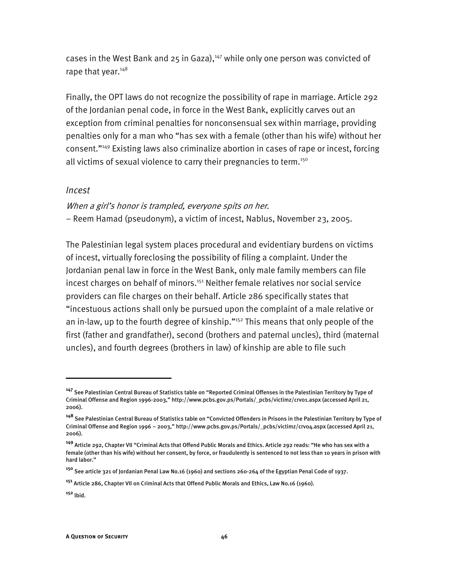cases in the West Bank and 25 in Gaza), $147$  while only one person was convicted of rape that year.<sup>148</sup>

Finally, the OPT laws do not recognize the possibility of rape in marriage. Article 292 of the Jordanian penal code, in force in the West Bank, explicitly carves out an exception from criminal penalties for nonconsensual sex within marriage, providing penalties only for a man who "has sex with a female (other than his wife) without her consent."149 Existing laws also criminalize abortion in cases of rape or incest, forcing all victims of sexual violence to carry their pregnancies to term.<sup>150</sup>

### *Incest*

When a girl's honor is trampled, everyone spits on her. − Reem Hamad (pseudonym), a victim of incest, Nablus, November 23, 2005.

The Palestinian legal system places procedural and evidentiary burdens on victims of incest, virtually foreclosing the possibility of filing a complaint. Under the Jordanian penal law in force in the West Bank, only male family members can file incest charges on behalf of minors.<sup>151</sup> Neither female relatives nor social service providers can file charges on their behalf. Article 286 specifically states that "incestuous actions shall only be pursued upon the complaint of a male relative or an in-law, up to the fourth degree of kinship."<sup>152</sup> This means that only people of the first (father and grandfather), second (brothers and paternal uncles), third (maternal uncles), and fourth degrees (brothers in law) of kinship are able to file such

-

**<sup>147</sup>** See Palestinian Central Bureau of Statistics table on "Reported Criminal Offenses in the Palestinian Territory by Type of Criminal Offense and Region 1996-2003," http://www.pcbs.gov.ps/Portals/\_pcbs/victimz/crv01.aspx (accessed April 21, 2006).

**<sup>148</sup>** See Palestinian Central Bureau of Statistics table on "Convicted Offenders in Prisons in the Palestinian Territory by Type of Criminal Offense and Region 1996 – 2003," http://www.pcbs.gov.ps/Portals/\_pcbs/victimz/crv04.aspx (accessed April 21, 2006).

**<sup>149</sup>** Article 292, Chapter VII "Criminal Acts that Offend Public Morals and Ethics. Article 292 reads: "He who has sex with a female (other than his wife) without her consent, by force, or fraudulently is sentenced to not less than 10 years in prison with hard labor."

**<sup>150</sup>** See article 321 of Jordanian Penal Law No.16 (1960) and sections 260-264 of the Egyptian Penal Code of 1937.

**<sup>151</sup>** Article 286, Chapter VII on Criminal Acts that Offend Public Morals and Ethics, Law No.16 (1960).

**<sup>152</sup>** Ibid.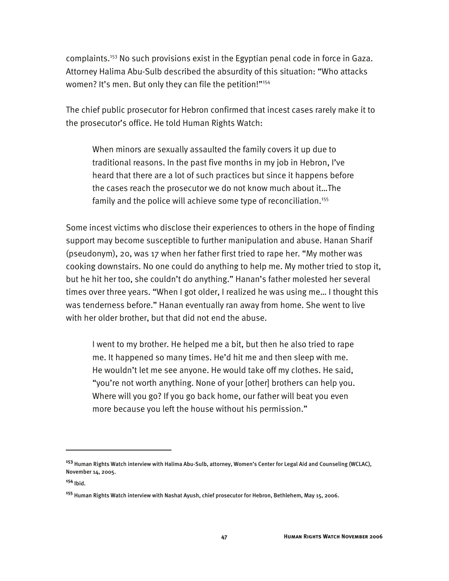complaints.153 No such provisions exist in the Egyptian penal code in force in Gaza. Attorney Halima Abu-Sulb described the absurdity of this situation: "Who attacks women? It's men. But only they can file the petition!"<sup>154</sup>

The chief public prosecutor for Hebron confirmed that incest cases rarely make it to the prosecutor's office. He told Human Rights Watch:

When minors are sexually assaulted the family covers it up due to traditional reasons. In the past five months in my job in Hebron, I've heard that there are a lot of such practices but since it happens before the cases reach the prosecutor we do not know much about it…The family and the police will achieve some type of reconciliation.<sup>155</sup>

Some incest victims who disclose their experiences to others in the hope of finding support may become susceptible to further manipulation and abuse. Hanan Sharif (pseudonym), 20, was 17 when her father first tried to rape her. "My mother was cooking downstairs. No one could do anything to help me. My mother tried to stop it, but he hit her too, she couldn't do anything." Hanan's father molested her several times over three years. "When I got older, I realized he was using me… I thought this was tenderness before." Hanan eventually ran away from home. She went to live with her older brother, but that did not end the abuse.

I went to my brother. He helped me a bit, but then he also tried to rape me. It happened so many times. He'd hit me and then sleep with me. He wouldn't let me see anyone. He would take off my clothes. He said, "you're not worth anything. None of your [other] brothers can help you. Where will you go? If you go back home, our father will beat you even more because you left the house without his permission."

**<sup>153</sup>** Human Rights Watch interview with Halima Abu-Sulb, attorney, Women's Center for Legal Aid and Counseling (WCLAC), November 14, 2005.

**<sup>154</sup>** Ibid.

**<sup>155</sup>** Human Rights Watch interview with Nashat Ayush, chief prosecutor for Hebron, Bethlehem, May 15, 2006.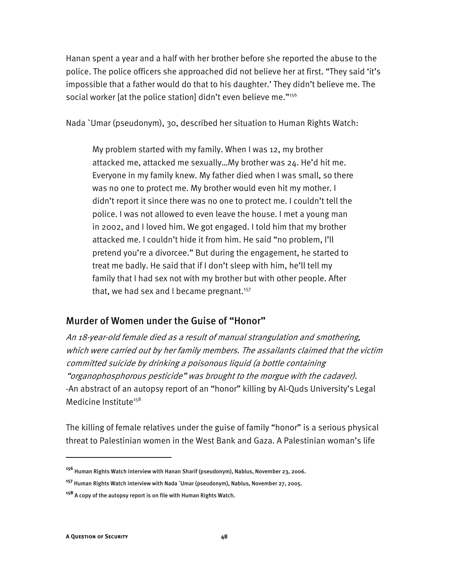Hanan spent a year and a half with her brother before she reported the abuse to the police. The police officers she approached did not believe her at first. "They said 'it's impossible that a father would do that to his daughter.' They didn't believe me. The social worker [at the police station] didn't even believe me."156

Nada `Umar (pseudonym), 30, described her situation to Human Rights Watch:

My problem started with my family. When I was 12, my brother attacked me, attacked me sexually…My brother was 24. He'd hit me. Everyone in my family knew. My father died when I was small, so there was no one to protect me. My brother would even hit my mother. I didn't report it since there was no one to protect me. I couldn't tell the police. I was not allowed to even leave the house. I met a young man in 2002, and I loved him. We got engaged. I told him that my brother attacked me. I couldn't hide it from him. He said "no problem, I'll pretend you're a divorcee." But during the engagement, he started to treat me badly. He said that if I don't sleep with him, he'll tell my family that I had sex not with my brother but with other people. After that, we had sex and I became pregnant.<sup>157</sup>

## Murder of Women under the Guise of "Honor"

An 18-year-old female died as a result of manual strangulation and smothering, which were carried out by her family members. The assailants claimed that the victim committed suicide by drinking a poisonous liquid (a bottle containing "organophosphorous pesticide" was brought to the morgue with the cadaver). -An abstract of an autopsy report of an "honor" killing by Al-Quds University's Legal Medicine Institute<sup>158</sup>

The killing of female relatives under the guise of family "honor" is a serious physical threat to Palestinian women in the West Bank and Gaza. A Palestinian woman's life

**<sup>156</sup>** Human Rights Watch interview with Hanan Sharif (pseudonym), Nablus, November 23, 2006.

**<sup>157</sup>** Human Rights Watch interview with Nada `Umar (pseudonym), Nablus, November 27, 2005.

**<sup>158</sup>** A copy of the autopsy report is on file with Human Rights Watch.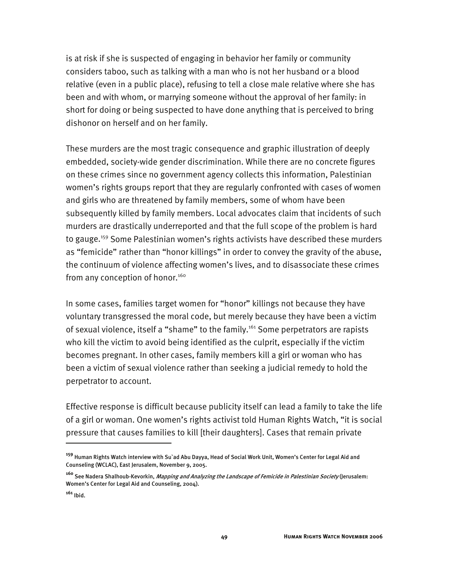is at risk if she is suspected of engaging in behavior her family or community considers taboo, such as talking with a man who is not her husband or a blood relative (even in a public place), refusing to tell a close male relative where she has been and with whom, or marrying someone without the approval of her family: in short for doing or being suspected to have done anything that is perceived to bring dishonor on herself and on her family.

These murders are the most tragic consequence and graphic illustration of deeply embedded, society-wide gender discrimination. While there are no concrete figures on these crimes since no government agency collects this information, Palestinian women's rights groups report that they are regularly confronted with cases of women and girls who are threatened by family members, some of whom have been subsequently killed by family members. Local advocates claim that incidents of such murders are drastically underreported and that the full scope of the problem is hard to gauge.<sup>159</sup> Some Palestinian women's rights activists have described these murders as "femicide" rather than "honor killings" in order to convey the gravity of the abuse, the continuum of violence affecting women's lives, and to disassociate these crimes from any conception of honor.<sup>160</sup>

In some cases, families target women for "honor" killings not because they have voluntary transgressed the moral code, but merely because they have been a victim of sexual violence, itself a "shame" to the family.<sup>161</sup> Some perpetrators are rapists who kill the victim to avoid being identified as the culprit, especially if the victim becomes pregnant. In other cases, family members kill a girl or woman who has been a victim of sexual violence rather than seeking a judicial remedy to hold the perpetrator to account.

Effective response is difficult because publicity itself can lead a family to take the life of a girl or woman. One women's rights activist told Human Rights Watch, "it is social pressure that causes families to kill [their daughters]. Cases that remain private

**<sup>159</sup>** Human Rights Watch interview with Su`ad Abu Dayya, Head of Social Work Unit, Women's Center for Legal Aid and Counseling (WCLAC), East Jerusalem, November 9, 2005.

**<sup>160</sup>** See Nadera Shalhoub-Kevorkin, Mapping and Analyzing the Landscape of Femicide in Palestinian Society (Jerusalem: Women's Center for Legal Aid and Counseling, 2004).

**<sup>161</sup>** Ibid.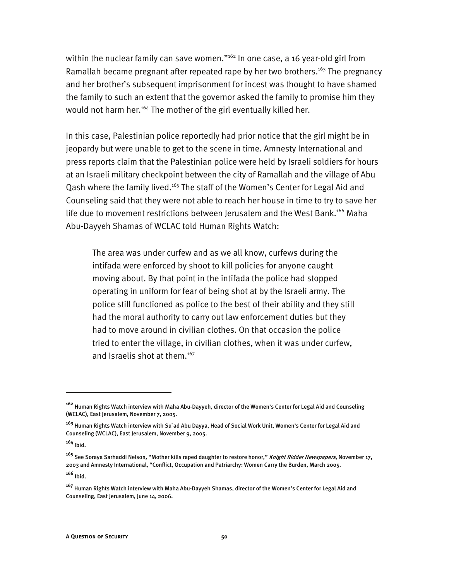within the nuclear family can save women."<sup>162</sup> In one case, a 16 year-old girl from Ramallah became pregnant after repeated rape by her two brothers.<sup>163</sup> The pregnancy and her brother's subsequent imprisonment for incest was thought to have shamed the family to such an extent that the governor asked the family to promise him they would not harm her.<sup>164</sup> The mother of the girl eventually killed her.

In this case, Palestinian police reportedly had prior notice that the girl might be in jeopardy but were unable to get to the scene in time. Amnesty International and press reports claim that the Palestinian police were held by Israeli soldiers for hours at an Israeli military checkpoint between the city of Ramallah and the village of Abu Qash where the family lived.<sup>165</sup> The staff of the Women's Center for Legal Aid and Counseling said that they were not able to reach her house in time to try to save her life due to movement restrictions between Jerusalem and the West Bank.<sup>166</sup> Maha Abu-Dayyeh Shamas of WCLAC told Human Rights Watch:

The area was under curfew and as we all know, curfews during the intifada were enforced by shoot to kill policies for anyone caught moving about. By that point in the intifada the police had stopped operating in uniform for fear of being shot at by the Israeli army. The police still functioned as police to the best of their ability and they still had the moral authority to carry out law enforcement duties but they had to move around in civilian clothes. On that occasion the police tried to enter the village, in civilian clothes, when it was under curfew, and Israelis shot at them.<sup>167</sup>

-

**<sup>166</sup>** Ibid.

**<sup>162</sup>** Human Rights Watch interview with Maha Abu-Dayyeh, director of the Women's Center for Legal Aid and Counseling (WCLAC), East Jerusalem, November 7, 2005.

**<sup>163</sup>** Human Rights Watch interview with Su`ad Abu Dayya, Head of Social Work Unit, Women's Center for Legal Aid and Counseling (WCLAC), East Jerusalem, November 9, 2005.

**<sup>164</sup>** Ibid.

**<sup>165</sup>** See Soraya Sarhaddi Nelson, "Mother kills raped daughter to restore honor," Knight Ridder Newspapers, November 17, 2003 and Amnesty International, "Conflict, Occupation and Patriarchy: Women Carry the Burden, March 2005.

**<sup>167</sup>** Human Rights Watch interview with Maha Abu-Dayyeh Shamas, director of the Women's Center for Legal Aid and Counseling, East Jerusalem, June 14, 2006.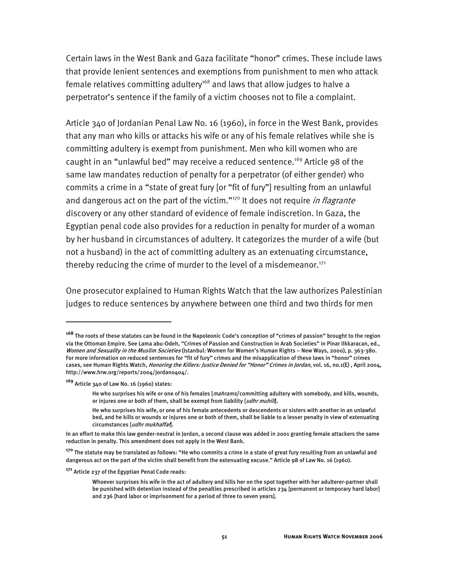Certain laws in the West Bank and Gaza facilitate "honor" crimes. These include laws that provide lenient sentences and exemptions from punishment to men who attack female relatives committing adultery<sup>168</sup> and laws that allow judges to halve a perpetrator's sentence if the family of a victim chooses not to file a complaint.

Article 340 of Jordanian Penal Law No. 16 (1960), in force in the West Bank, provides that any man who kills or attacks his wife or any of his female relatives while she is committing adultery is exempt from punishment. Men who kill women who are caught in an "unlawful bed" may receive a reduced sentence.<sup>169</sup> Article 98 of the same law mandates reduction of penalty for a perpetrator (of either gender) who commits a crime in a "state of great fury [or "fit of fury"] resulting from an unlawful and dangerous act on the part of the victim."<sup>170</sup> It does not require *in flagrante* discovery or any other standard of evidence of female indiscretion. In Gaza, the Egyptian penal code also provides for a reduction in penalty for murder of a woman by her husband in circumstances of adultery. It categorizes the murder of a wife (but not a husband) in the act of committing adultery as an extenuating circumstance, thereby reducing the crime of murder to the level of a misdemeanor. $171$ 

One prosecutor explained to Human Rights Watch that the law authorizes Palestinian judges to reduce sentences by anywhere between one third and two thirds for men

**<sup>168</sup>** The roots of these statutes can be found in the Napoleonic Code's conception of "crimes of passion" brought to the region via the Ottoman Empire. See Lama abu-Odeh, "Crimes of Passion and Construction in Arab Societies" in Pinar Ilkkaracan, ed., Women and Sexuality in the Muslim Societies (Istanbul: Women for Women's Human Rights – New Ways, 2000), p. 363-380. For more information on reduced sentences for "fit of fury" crimes and the misapplication of these laws in "honor" crimes cases, see Human Rights Watch, *Honoring the Killers: Justice Denied for "Honor" Crimes in Jordan*, vol. 16, no.1(E), April 2004, http://www.hrw.org/reports/2004/jordan0404/.

**<sup>169</sup>** Article 340 of Law No. 16 (1960) states:

He who surprises his wife or one of his females [mahrams] committing adultery with somebody, and kills, wounds, or injures one or both of them, shall be exempt from liability [udhr muhill].

He who surprises his wife, or one of his female antecedents or descendents or sisters with another in an unlawful bed, and he kills or wounds or injures one or both of them, shall be liable to a lesser penalty in view of extenuating circumstances [udhr mukhaffañ].

In an effort to make this law gender-neutral in Jordan, a second clause was added in 2001 granting female attackers the same reduction in penalty. This amendment does not apply in the West Bank.

**<sup>170</sup>** The statute may be translated as follows: "He who commits a crime in a state of great fury resulting from an unlawful and dangerous act on the part of the victim shall benefit from the extenuating excuse." Article 98 of Law No. 16 (1960).

**<sup>171</sup>** Article 237 of the Egyptian Penal Code reads:

Whoever surprises his wife in the act of adultery and kills her on the spot together with her adulterer-partner shall be punished with detention instead of the penalties prescribed in articles 234 [permanent or temporary hard labor] and 236 [hard labor or imprisonment for a period of three to seven years].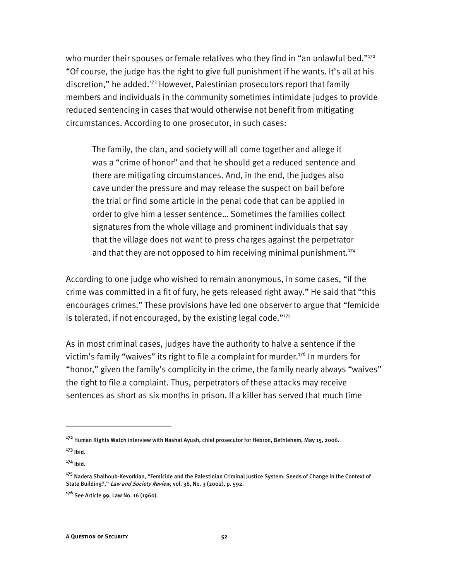who murder their spouses or female relatives who they find in "an unlawful bed." $172$ "Of course, the judge has the right to give full punishment if he wants. It's all at his discretion," he added.<sup>173</sup> However, Palestinian prosecutors report that family members and individuals in the community sometimes intimidate judges to provide reduced sentencing in cases that would otherwise not benefit from mitigating circumstances. According to one prosecutor, in such cases:

The family, the clan, and society will all come together and allege it was a "crime of honor" and that he should get a reduced sentence and there are mitigating circumstances. And, in the end, the judges also cave under the pressure and may release the suspect on bail before the trial or find some article in the penal code that can be applied in order to give him a lesser sentence… Sometimes the families collect signatures from the whole village and prominent individuals that say that the village does not want to press charges against the perpetrator and that they are not opposed to him receiving minimal punishment.<sup>174</sup>

According to one judge who wished to remain anonymous, in some cases, "if the crime was committed in a fit of fury, he gets released right away." He said that "this encourages crimes." These provisions have led one observer to argue that "femicide is tolerated, if not encouraged, by the existing legal code." $175$ 

As in most criminal cases, judges have the authority to halve a sentence if the victim's family "waives" its right to file a complaint for murder.<sup>176</sup> In murders for "honor," given the family's complicity in the crime, the family nearly always "waives" the right to file a complaint. Thus, perpetrators of these attacks may receive sentences as short as six months in prison. If a killer has served that much time

**<sup>172</sup>** Human Rights Watch interview with Nashat Ayush, chief prosecutor for Hebron, Bethlehem, May 15, 2006.

**<sup>173</sup>** Ibid.

**<sup>174</sup>** Ibid.

**<sup>175</sup>** Nadera Shalhoub-Kevorkian, "Femicide and the Palestinian Criminal Justice System: Seeds of Change in the Context of State Building?," Law and Society Review, vol. 36, No. 3 (2002), p. 592.

**<sup>176</sup>** See Article 99, Law No. 16 (1960).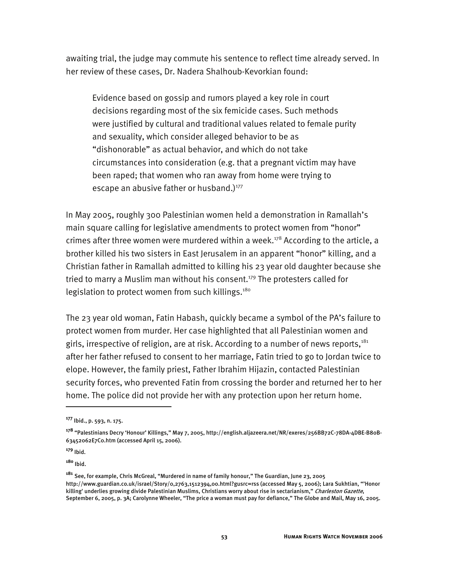awaiting trial, the judge may commute his sentence to reflect time already served. In her review of these cases, Dr. Nadera Shalhoub-Kevorkian found:

Evidence based on gossip and rumors played a key role in court decisions regarding most of the six femicide cases. Such methods were justified by cultural and traditional values related to female purity and sexuality, which consider alleged behavior to be as "dishonorable" as actual behavior, and which do not take circumstances into consideration (e.g. that a pregnant victim may have been raped; that women who ran away from home were trying to escape an abusive father or husband.) $177$ 

In May 2005, roughly 300 Palestinian women held a demonstration in Ramallah's main square calling for legislative amendments to protect women from "honor" crimes after three women were murdered within a week.<sup>178</sup> According to the article, a brother killed his two sisters in East Jerusalem in an apparent "honor" killing, and a Christian father in Ramallah admitted to killing his 23 year old daughter because she tried to marry a Muslim man without his consent.<sup>179</sup> The protesters called for legislation to protect women from such killings.<sup>180</sup>

The 23 year old woman, Fatin Habash, quickly became a symbol of the PA's failure to protect women from murder. Her case highlighted that all Palestinian women and girls, irrespective of religion, are at risk. According to a number of news reports, $181$ after her father refused to consent to her marriage, Fatin tried to go to Jordan twice to elope. However, the family priest, Father Ibrahim Hijazin, contacted Palestinian security forces, who prevented Fatin from crossing the border and returned her to her home. The police did not provide her with any protection upon her return home.

-

**<sup>177</sup>** Ibid., p. 593, n. 175.

**<sup>178</sup>** "Palestinians Decry 'Honour' Killings," May 7, 2005, http://english.aljazeera.net/NR/exeres/256BB72C-78DA-4DBE-B80B-63452062E7C0.htm (accessed April 15, 2006).

**<sup>179</sup>** Ibid.

**<sup>180</sup>** Ibid.

**<sup>181</sup>** See, for example, Chris McGreal, "Murdered in name of family honour," The Guardian, June 23, 2005 http://www.guardian.co.uk/israel/Story/0,2763,1512394,00.html?gusrc=rss (accessed May 5, 2006); Lara Sukhtian, "'Honor killing' underlies growing divide Palestinian Muslims, Christians worry about rise in sectarianism," Charleston Gazette, September 6, 2005, p. 3A; Carolynne Wheeler, "The price a woman must pay for defiance," The Globe and Mail, May 16, 2005.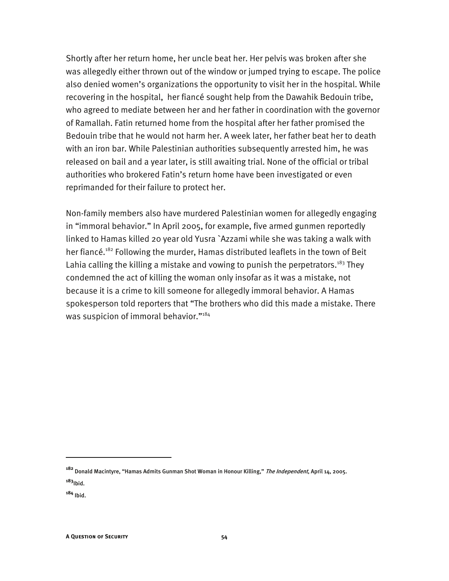Shortly after her return home, her uncle beat her. Her pelvis was broken after she was allegedly either thrown out of the window or jumped trying to escape. The police also denied women's organizations the opportunity to visit her in the hospital. While recovering in the hospital, her fiancé sought help from the Dawahik Bedouin tribe, who agreed to mediate between her and her father in coordination with the governor of Ramallah. Fatin returned home from the hospital after her father promised the Bedouin tribe that he would not harm her. A week later, her father beat her to death with an iron bar. While Palestinian authorities subsequently arrested him, he was released on bail and a year later, is still awaiting trial. None of the official or tribal authorities who brokered Fatin's return home have been investigated or even reprimanded for their failure to protect her.

Non-family members also have murdered Palestinian women for allegedly engaging in "immoral behavior." In April 2005, for example, five armed gunmen reportedly linked to Hamas killed 20 year old Yusra `Azzami while she was taking a walk with her fiancé.<sup>182</sup> Following the murder, Hamas distributed leaflets in the town of Beit Lahia calling the killing a mistake and vowing to punish the perpetrators.<sup>183</sup> They condemned the act of killing the woman only insofar as it was a mistake, not because it is a crime to kill someone for allegedly immoral behavior. A Hamas spokesperson told reporters that "The brothers who did this made a mistake. There was suspicion of immoral behavior."<sup>184</sup>

**<sup>182</sup>** Donald Macintyre, "Hamas Admits Gunman Shot Woman in Honour Killing," The Independent, April 14, 2005. **<sup>183</sup>**Ibid.

**<sup>184</sup>** Ibid.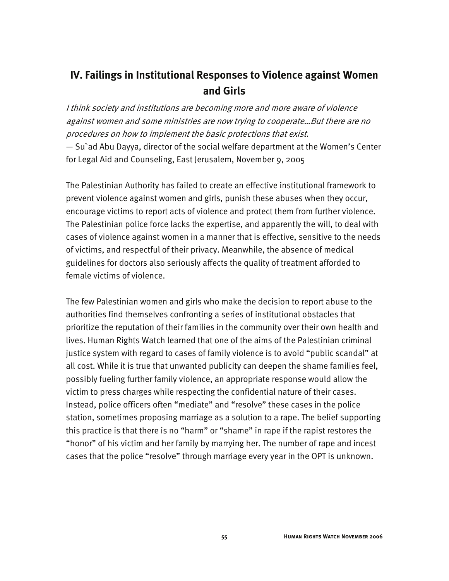# **IV. Failings in Institutional Responses to Violence against Women and Girls**

I think society and institutions are becoming more and more aware of violence against women and some ministries are now trying to cooperate…But there are no procedures on how to implement the basic protections that exist.  $-$  Su`ad Abu Dayya, director of the social welfare department at the Women's Center for Legal Aid and Counseling, East Jerusalem, November 9, 2005

The Palestinian Authority has failed to create an effective institutional framework to prevent violence against women and girls, punish these abuses when they occur, encourage victims to report acts of violence and protect them from further violence. The Palestinian police force lacks the expertise, and apparently the will, to deal with cases of violence against women in a manner that is effective, sensitive to the needs of victims, and respectful of their privacy. Meanwhile, the absence of medical guidelines for doctors also seriously affects the quality of treatment afforded to female victims of violence.

The few Palestinian women and girls who make the decision to report abuse to the authorities find themselves confronting a series of institutional obstacles that prioritize the reputation of their families in the community over their own health and lives. Human Rights Watch learned that one of the aims of the Palestinian criminal justice system with regard to cases of family violence is to avoid "public scandal" at all cost. While it is true that unwanted publicity can deepen the shame families feel, possibly fueling further family violence, an appropriate response would allow the victim to press charges while respecting the confidential nature of their cases. Instead, police officers often "mediate" and "resolve" these cases in the police station, sometimes proposing marriage as a solution to a rape. The belief supporting this practice is that there is no "harm" or "shame" in rape if the rapist restores the "honor" of his victim and her family by marrying her. The number of rape and incest cases that the police "resolve" through marriage every year in the OPT is unknown.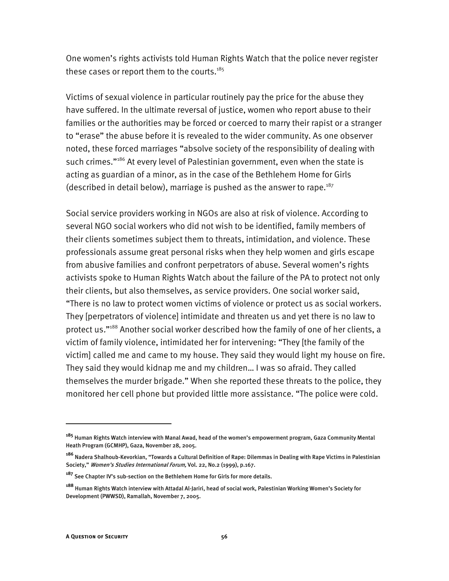One women's rights activists told Human Rights Watch that the police never register these cases or report them to the courts. $185$ 

Victims of sexual violence in particular routinely pay the price for the abuse they have suffered. In the ultimate reversal of justice, women who report abuse to their families or the authorities may be forced or coerced to marry their rapist or a stranger to "erase" the abuse before it is revealed to the wider community. As one observer noted, these forced marriages "absolve society of the responsibility of dealing with such crimes."<sup>186</sup> At every level of Palestinian government, even when the state is acting as guardian of a minor, as in the case of the Bethlehem Home for Girls (described in detail below), marriage is pushed as the answer to rape.<sup>187</sup>

Social service providers working in NGOs are also at risk of violence. According to several NGO social workers who did not wish to be identified, family members of their clients sometimes subject them to threats, intimidation, and violence. These professionals assume great personal risks when they help women and girls escape from abusive families and confront perpetrators of abuse. Several women's rights activists spoke to Human Rights Watch about the failure of the PA to protect not only their clients, but also themselves, as service providers. One social worker said, "There is no law to protect women victims of violence or protect us as social workers. They [perpetrators of violence] intimidate and threaten us and yet there is no law to protect us."188 Another social worker described how the family of one of her clients, a victim of family violence, intimidated her for intervening: "They [the family of the victim] called me and came to my house. They said they would light my house on fire. They said they would kidnap me and my children… I was so afraid. They called themselves the murder brigade." When she reported these threats to the police, they monitored her cell phone but provided little more assistance. "The police were cold.

**<sup>185</sup>** Human Rights Watch interview with Manal Awad, head of the women's empowerment program, Gaza Community Mental Heath Program (GCMHP), Gaza, November 28, 2005.

**<sup>186</sup>** Nadera Shalhoub-Kevorkian, "Towards a Cultural Definition of Rape: Dilemmas in Dealing with Rape Victims in Palestinian Society," Women's Studies International Forum, Vol. 22, No.2 (1999), p.167.

**<sup>187</sup>** See Chapter IV's sub-section on the Bethlehem Home for Girls for more details.

**<sup>188</sup>** Human Rights Watch interview with Attadal Al-Jariri, head of social work, Palestinian Working Women's Society for Development (PWWSD), Ramallah, November 7, 2005.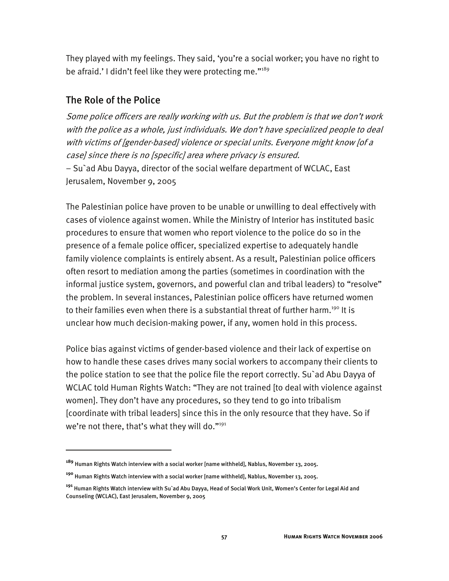They played with my feelings. They said, 'you're a social worker; you have no right to be afraid.' I didn't feel like they were protecting me."<sup>189</sup>

## The Role of the Police

I

Some police officers are really working with us. But the problem is that we don't work with the police as a whole, just individuals. We don't have specialized people to deal with victims of [gender-based] violence or special units. Everyone might know [of a case] since there is no [specific] area where privacy is ensured. − Su`ad Abu Dayya, director of the social welfare department of WCLAC, East Jerusalem, November 9, 2005

The Palestinian police have proven to be unable or unwilling to deal effectively with cases of violence against women. While the Ministry of Interior has instituted basic procedures to ensure that women who report violence to the police do so in the presence of a female police officer, specialized expertise to adequately handle family violence complaints is entirely absent. As a result, Palestinian police officers often resort to mediation among the parties (sometimes in coordination with the informal justice system, governors, and powerful clan and tribal leaders) to "resolve" the problem. In several instances, Palestinian police officers have returned women to their families even when there is a substantial threat of further harm.<sup>190</sup> It is unclear how much decision-making power, if any, women hold in this process.

Police bias against victims of gender-based violence and their lack of expertise on how to handle these cases drives many social workers to accompany their clients to the police station to see that the police file the report correctly. Su`ad Abu Dayya of WCLAC told Human Rights Watch: "They are not trained [to deal with violence against women]. They don't have any procedures, so they tend to go into tribalism [coordinate with tribal leaders] since this in the only resource that they have. So if we're not there, that's what they will do."<sup>191</sup>

**<sup>189</sup>** Human Rights Watch interview with a social worker [name withheld], Nablus, November 13, 2005.

**<sup>190</sup>** Human Rights Watch interview with a social worker [name withheld], Nablus, November 13, 2005.

**<sup>191</sup>** Human Rights Watch interview with Su`ad Abu Dayya, Head of Social Work Unit, Women's Center for Legal Aid and Counseling (WCLAC), East Jerusalem, November 9, 2005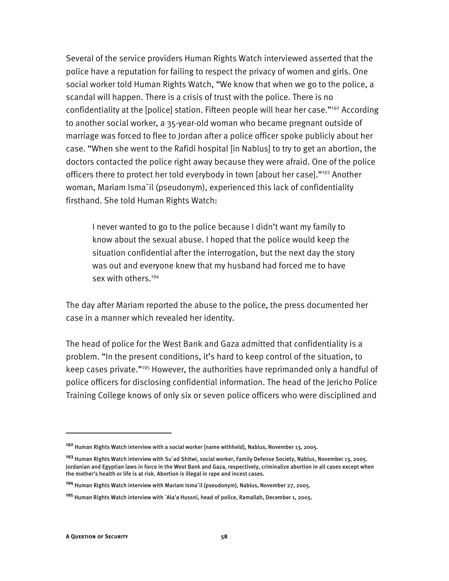Several of the service providers Human Rights Watch interviewed asserted that the police have a reputation for failing to respect the privacy of women and girls. One social worker told Human Rights Watch, "We know that when we go to the police, a scandal will happen. There is a crisis of trust with the police. There is no confidentiality at the [police] station. Fifteen people will hear her case."<sup>192</sup> According to another social worker, a 35-year-old woman who became pregnant outside of marriage was forced to flee to Jordan after a police officer spoke publicly about her case. "When she went to the Rafidi hospital [in Nablus] to try to get an abortion, the doctors contacted the police right away because they were afraid. One of the police officers there to protect her told everybody in town [about her case]."<sup>193</sup> Another woman, Mariam Isma`il (pseudonym), experienced this lack of confidentiality firsthand. She told Human Rights Watch:

I never wanted to go to the police because I didn't want my family to know about the sexual abuse. I hoped that the police would keep the situation confidential after the interrogation, but the next day the story was out and everyone knew that my husband had forced me to have sex with others.<sup>194</sup>

The day after Mariam reported the abuse to the police, the press documented her case in a manner which revealed her identity.

The head of police for the West Bank and Gaza admitted that confidentiality is a problem. "In the present conditions, it's hard to keep control of the situation, to keep cases private."195 However, the authorities have reprimanded only a handful of police officers for disclosing confidential information. The head of the Jericho Police Training College knows of only six or seven police officers who were disciplined and

**<sup>192</sup>** Human Rights Watch interview with a social worker [name withheld], Nablus, November 13, 2005.

**<sup>193</sup>** Human Rights Watch interview with Su`ad Shitwi, social worker, Family Defense Society, Nablus, November 13, 2005. Jordanian and Egyptian laws in force in the West Bank and Gaza, respectively, criminalize abortion in all cases except when the mother's health or life is at risk. Abortion is illegal in rape and incest cases.

**<sup>194</sup>** Human Rights Watch interview with Mariam Isma`il (pseudonym), Nablus, November 27, 2005.

**<sup>195</sup>** Human Rights Watch interview with `Ala'a Hussni, head of police, Ramallah, December 1, 2005.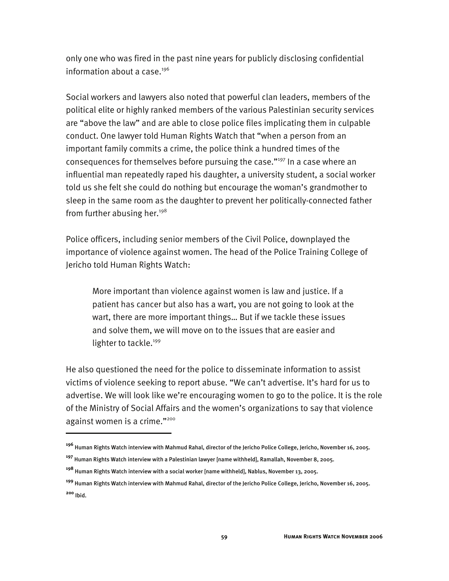only one who was fired in the past nine years for publicly disclosing confidential information about a case. $196$ 

Social workers and lawyers also noted that powerful clan leaders, members of the political elite or highly ranked members of the various Palestinian security services are "above the law" and are able to close police files implicating them in culpable conduct. One lawyer told Human Rights Watch that "when a person from an important family commits a crime, the police think a hundred times of the consequences for themselves before pursuing the case."197 In a case where an influential man repeatedly raped his daughter, a university student, a social worker told us she felt she could do nothing but encourage the woman's grandmother to sleep in the same room as the daughter to prevent her politically-connected father from further abusing her.<sup>198</sup>

Police officers, including senior members of the Civil Police, downplayed the importance of violence against women. The head of the Police Training College of Jericho told Human Rights Watch:

More important than violence against women is law and justice. If a patient has cancer but also has a wart, you are not going to look at the wart, there are more important things… But if we tackle these issues and solve them, we will move on to the issues that are easier and lighter to tackle.<sup>199</sup>

He also questioned the need for the police to disseminate information to assist victims of violence seeking to report abuse. "We can't advertise. It's hard for us to advertise. We will look like we're encouraging women to go to the police. It is the role of the Ministry of Social Affairs and the women's organizations to say that violence against women is a crime."<sup>200</sup>

**<sup>196</sup>** Human Rights Watch interview with Mahmud Rahal, director of the Jericho Police College, Jericho, November 16, 2005.

**<sup>197</sup>** Human Rights Watch interview with a Palestinian lawyer [name withheld], Ramallah, November 8, 2005.

**<sup>198</sup>** Human Rights Watch interview with a social worker [name withheld], Nablus, November 13, 2005.

**<sup>199</sup>** Human Rights Watch interview with Mahmud Rahal, director of the Jericho Police College, Jericho, November 16, 2005. **<sup>200</sup>** Ibid.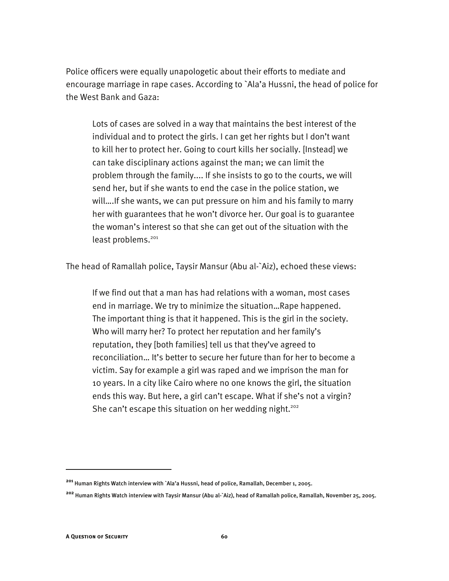Police officers were equally unapologetic about their efforts to mediate and encourage marriage in rape cases. According to `Ala'a Hussni, the head of police for the West Bank and Gaza:

Lots of cases are solved in a way that maintains the best interest of the individual and to protect the girls. I can get her rights but I don't want to kill her to protect her. Going to court kills her socially. [Instead] we can take disciplinary actions against the man; we can limit the problem through the family.... If she insists to go to the courts, we will send her, but if she wants to end the case in the police station, we will….If she wants, we can put pressure on him and his family to marry her with guarantees that he won't divorce her. Our goal is to guarantee the woman's interest so that she can get out of the situation with the least problems.<sup>201</sup>

The head of Ramallah police, Taysir Mansur (Abu al-`Aiz), echoed these views:

If we find out that a man has had relations with a woman, most cases end in marriage. We try to minimize the situation…Rape happened. The important thing is that it happened. This is the girl in the society. Who will marry her? To protect her reputation and her family's reputation, they [both families] tell us that they've agreed to reconciliation… It's better to secure her future than for her to become a victim. Say for example a girl was raped and we imprison the man for 10 years. In a city like Cairo where no one knows the girl, the situation ends this way. But here, a girl can't escape. What if she's not a virgin? She can't escape this situation on her wedding night.<sup>202</sup>

**<sup>201</sup>** Human Rights Watch interview with `Ala'a Hussni, head of police, Ramallah, December 1, 2005.

**<sup>202</sup>** Human Rights Watch interview with Taysir Mansur (Abu al-`Aiz), head of Ramallah police, Ramallah, November 25, 2005.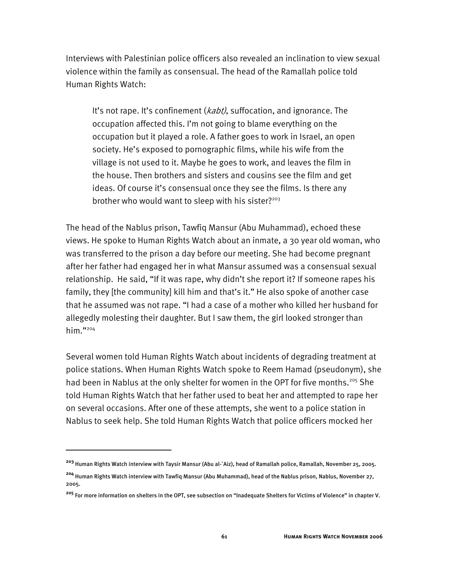Interviews with Palestinian police officers also revealed an inclination to view sexual violence within the family as consensual. The head of the Ramallah police told Human Rights Watch:

It's not rape. It's confinement (*kabt)*, suffocation, and ignorance. The occupation affected this. I'm not going to blame everything on the occupation but it played a role. A father goes to work in Israel, an open society. He's exposed to pornographic films, while his wife from the village is not used to it. Maybe he goes to work, and leaves the film in the house. Then brothers and sisters and cousins see the film and get ideas. Of course it's consensual once they see the films. Is there any brother who would want to sleep with his sister? $203$ 

The head of the Nablus prison, Tawfiq Mansur (Abu Muhammad), echoed these views. He spoke to Human Rights Watch about an inmate, a 30 year old woman, who was transferred to the prison a day before our meeting. She had become pregnant after her father had engaged her in what Mansur assumed was a consensual sexual relationship. He said, "If it was rape, why didn't she report it? If someone rapes his family, they [the community] kill him and that's it." He also spoke of another case that he assumed was not rape. "I had a case of a mother who killed her husband for allegedly molesting their daughter. But I saw them, the girl looked stronger than him."204

Several women told Human Rights Watch about incidents of degrading treatment at police stations. When Human Rights Watch spoke to Reem Hamad (pseudonym), she had been in Nablus at the only shelter for women in the OPT for five months.<sup>205</sup> She told Human Rights Watch that her father used to beat her and attempted to rape her on several occasions. After one of these attempts, she went to a police station in Nablus to seek help. She told Human Rights Watch that police officers mocked her

**<sup>203</sup>** Human Rights Watch interview with Taysir Mansur (Abu al-`Aiz), head of Ramallah police, Ramallah, November 25, 2005.

**<sup>204</sup>** Human Rights Watch interview with Tawfiq Mansur (Abu Muhammad), head of the Nablus prison, Nablus, November 27, 2005.

**<sup>205</sup>** For more information on shelters in the OPT, see subsection on "Inadequate Shelters for Victims of Violence" in chapter V.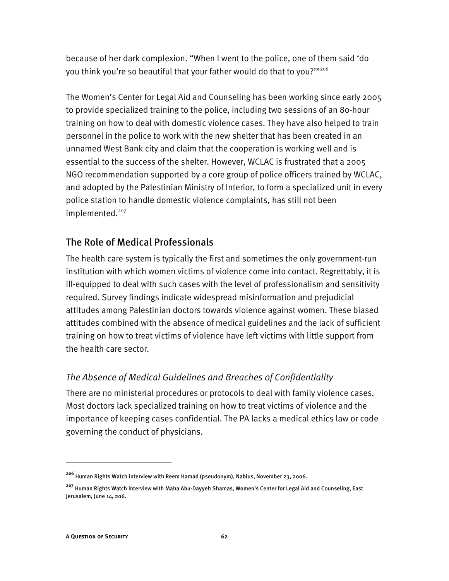because of her dark complexion. "When I went to the police, one of them said 'do you think you're so beautiful that your father would do that to you?'"206

The Women's Center for Legal Aid and Counseling has been working since early 2005 to provide specialized training to the police, including two sessions of an 80-hour training on how to deal with domestic violence cases. They have also helped to train personnel in the police to work with the new shelter that has been created in an unnamed West Bank city and claim that the cooperation is working well and is essential to the success of the shelter. However, WCLAC is frustrated that a 2005 NGO recommendation supported by a core group of police officers trained by WCLAC, and adopted by the Palestinian Ministry of Interior, to form a specialized unit in every police station to handle domestic violence complaints, has still not been implemented.<sup>207</sup>

# The Role of Medical Professionals

The health care system is typically the first and sometimes the only government-run institution with which women victims of violence come into contact. Regrettably, it is ill-equipped to deal with such cases with the level of professionalism and sensitivity required. Survey findings indicate widespread misinformation and prejudicial attitudes among Palestinian doctors towards violence against women. These biased attitudes combined with the absence of medical guidelines and the lack of sufficient training on how to treat victims of violence have left victims with little support from the health care sector.

# *The Absence of Medical Guidelines and Breaches of Confidentiality*

There are no ministerial procedures or protocols to deal with family violence cases. Most doctors lack specialized training on how to treat victims of violence and the importance of keeping cases confidential. The PA lacks a medical ethics law or code governing the conduct of physicians.

**<sup>206</sup>** Human Rights Watch interview with Reem Hamad (pseudonym), Nablus, November 23, 2006.

**<sup>207</sup>** Human Rights Watch interview with Maha Abu-Dayyeh Shamas, Women's Center for Legal Aid and Counseling, East Jerusalem, June 14, 206.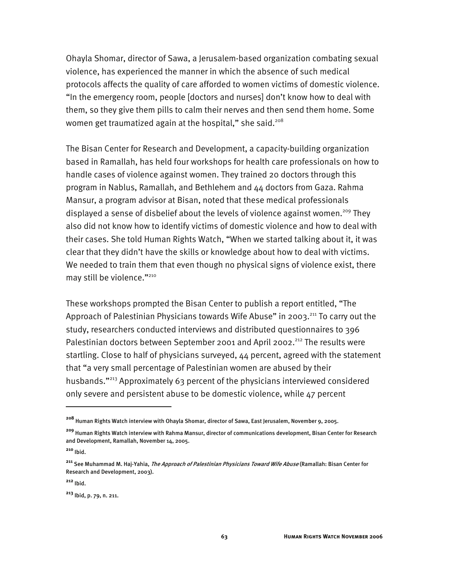Ohayla Shomar, director of Sawa, a Jerusalem-based organization combating sexual violence, has experienced the manner in which the absence of such medical protocols affects the quality of care afforded to women victims of domestic violence. "In the emergency room, people [doctors and nurses] don't know how to deal with them, so they give them pills to calm their nerves and then send them home. Some women get traumatized again at the hospital," she said.<sup>208</sup>

The Bisan Center for Research and Development, a capacity-building organization based in Ramallah, has held four workshops for health care professionals on how to handle cases of violence against women. They trained 20 doctors through this program in Nablus, Ramallah, and Bethlehem and 44 doctors from Gaza. Rahma Mansur, a program advisor at Bisan, noted that these medical professionals displayed a sense of disbelief about the levels of violence against women.<sup>209</sup> They also did not know how to identify victims of domestic violence and how to deal with their cases. She told Human Rights Watch, "When we started talking about it, it was clear that they didn't have the skills or knowledge about how to deal with victims. We needed to train them that even though no physical signs of violence exist, there may still be violence."<sup>210</sup>

These workshops prompted the Bisan Center to publish a report entitled, "The Approach of Palestinian Physicians towards Wife Abuse" in 2003.<sup>211</sup> To carry out the study, researchers conducted interviews and distributed questionnaires to 396 Palestinian doctors between September 2001 and April 2002.<sup>212</sup> The results were startling. Close to half of physicians surveyed, 44 percent, agreed with the statement that "a very small percentage of Palestinian women are abused by their husbands."213 Approximately 63 percent of the physicians interviewed considered only severe and persistent abuse to be domestic violence, while 47 percent

-

**<sup>208</sup>** Human Rights Watch interview with Ohayla Shomar, director of Sawa, East Jerusalem, November 9, 2005.

**<sup>209</sup>** Human Rights Watch interview with Rahma Mansur, director of communications development, Bisan Center for Research and Development, Ramallah, November 14, 2005.

**<sup>210</sup>** Ibid.

**<sup>211</sup>** See Muhammad M. Haj-Yahia, The Approach of Palestinian Physicians Toward Wife Abuse (Ramallah: Bisan Center for Research and Development, 2003).

**<sup>212</sup>** Ibid.

**<sup>213</sup>** Ibid, p. 79, n. 211.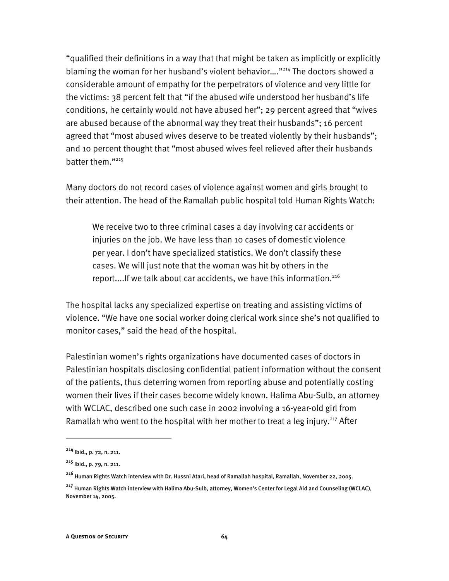"qualified their definitions in a way that that might be taken as implicitly or explicitly blaming the woman for her husband's violent behavior...."<sup>214</sup> The doctors showed a considerable amount of empathy for the perpetrators of violence and very little for the victims: 38 percent felt that "if the abused wife understood her husband's life conditions, he certainly would not have abused her"; 29 percent agreed that "wives are abused because of the abnormal way they treat their husbands"; 16 percent agreed that "most abused wives deserve to be treated violently by their husbands"; and 10 percent thought that "most abused wives feel relieved after their husbands batter them."215

Many doctors do not record cases of violence against women and girls brought to their attention. The head of the Ramallah public hospital told Human Rights Watch:

We receive two to three criminal cases a day involving car accidents or injuries on the job. We have less than 10 cases of domestic violence per year. I don't have specialized statistics. We don't classify these cases. We will just note that the woman was hit by others in the report....If we talk about car accidents, we have this information.216

The hospital lacks any specialized expertise on treating and assisting victims of violence. "We have one social worker doing clerical work since she's not qualified to monitor cases," said the head of the hospital.

Palestinian women's rights organizations have documented cases of doctors in Palestinian hospitals disclosing confidential patient information without the consent of the patients, thus deterring women from reporting abuse and potentially costing women their lives if their cases become widely known. Halima Abu-Sulb, an attorney with WCLAC, described one such case in 2002 involving a 16-year-old girl from Ramallah who went to the hospital with her mother to treat a leg injury.<sup>217</sup> After

**<sup>214</sup>** Ibid., p. 72, n. 211.

**<sup>215</sup>** Ibid., p. 79, n. 211.

**<sup>216</sup>** Human Rights Watch interview with Dr. Hussni Atari, head of Ramallah hospital, Ramallah, November 22, 2005.

**<sup>217</sup>** Human Rights Watch interview with Halima Abu-Sulb, attorney, Women's Center for Legal Aid and Counseling (WCLAC), November 14, 2005.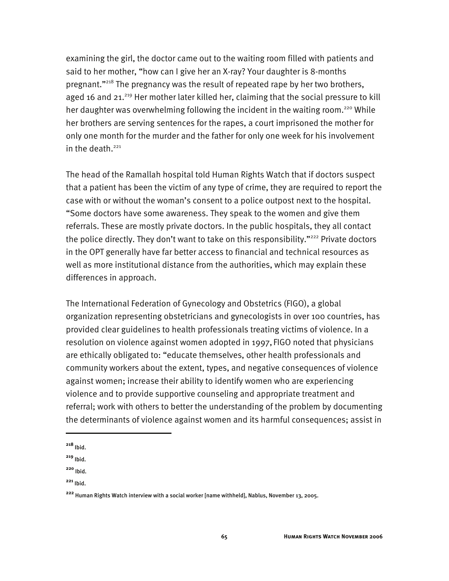examining the girl, the doctor came out to the waiting room filled with patients and said to her mother, "how can I give her an X-ray? Your daughter is 8-months pregnant."218 The pregnancy was the result of repeated rape by her two brothers, aged 16 and 21.<sup>219</sup> Her mother later killed her, claiming that the social pressure to kill her daughter was overwhelming following the incident in the waiting room.<sup>220</sup> While her brothers are serving sentences for the rapes, a court imprisoned the mother for only one month for the murder and the father for only one week for his involvement in the death. $221$ 

The head of the Ramallah hospital told Human Rights Watch that if doctors suspect that a patient has been the victim of any type of crime, they are required to report the case with or without the woman's consent to a police outpost next to the hospital. "Some doctors have some awareness. They speak to the women and give them referrals. These are mostly private doctors. In the public hospitals, they all contact the police directly. They don't want to take on this responsibility."<sup>222</sup> Private doctors in the OPT generally have far better access to financial and technical resources as well as more institutional distance from the authorities, which may explain these differences in approach.

The International Federation of Gynecology and Obstetrics (FIGO), a global organization representing obstetricians and gynecologists in over 100 countries, has provided clear guidelines to health professionals treating victims of violence. In a resolution on violence against women adopted in 1997, FIGO noted that physicians are ethically obligated to: "educate themselves, other health professionals and community workers about the extent, types, and negative consequences of violence against women; increase their ability to identify women who are experiencing violence and to provide supportive counseling and appropriate treatment and referral; work with others to better the understanding of the problem by documenting the determinants of violence against women and its harmful consequences; assist in

**<sup>218</sup>** Ibid.

**<sup>219</sup>** Ibid.

**<sup>220</sup>** Ibid.

**<sup>221</sup>** Ibid.

**<sup>222</sup>** Human Rights Watch interview with a social worker [name withheld], Nablus, November 13, 2005.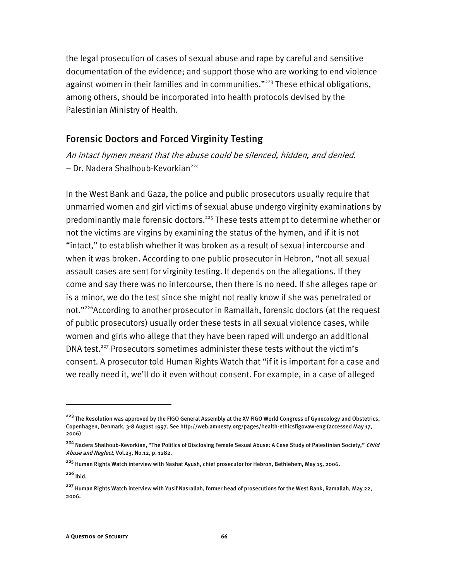the legal prosecution of cases of sexual abuse and rape by careful and sensitive documentation of the evidence; and support those who are working to end violence against women in their families and in communities."<sup>223</sup> These ethical obligations, among others, should be incorporated into health protocols devised by the Palestinian Ministry of Health.

## Forensic Doctors and Forced Virginity Testing

An intact hymen meant that the abuse could be silenced, hidden, and denied. − Dr. Nadera Shalhoub-Kevorkian224

In the West Bank and Gaza, the police and public prosecutors usually require that unmarried women and girl victims of sexual abuse undergo virginity examinations by predominantly male forensic doctors.<sup>225</sup> These tests attempt to determine whether or not the victims are virgins by examining the status of the hymen, and if it is not "intact," to establish whether it was broken as a result of sexual intercourse and when it was broken. According to one public prosecutor in Hebron, "not all sexual assault cases are sent for virginity testing. It depends on the allegations. If they come and say there was no intercourse, then there is no need. If she alleges rape or is a minor, we do the test since she might not really know if she was penetrated or not."<sup>226</sup>According to another prosecutor in Ramallah, forensic doctors (at the request of public prosecutors) usually order these tests in all sexual violence cases, while women and girls who allege that they have been raped will undergo an additional DNA test.<sup>227</sup> Prosecutors sometimes administer these tests without the victim's consent. A prosecutor told Human Rights Watch that "if it is important for a case and we really need it, we'll do it even without consent. For example, in a case of alleged

**<sup>226</sup>** Ibid.

**<sup>223</sup>** The Resolution was approved by the FIGO General Assembly at the XV FIGO World Congress of Gynecology and Obstetrics, Copenhagen, Denmark, 3-8 August 1997. See http://web.amnesty.org/pages/health-ethicsfigovaw-eng (accessed May 17, 2006)

**<sup>224</sup>** Nadera Shalhoub-Kevorkian, "The Politics of Disclosing Female Sexual Abuse: A Case Study of Palestinian Society," Child Abuse and Neglect, Vol.23, No.12, p. 1282.

**<sup>225</sup>** Human Rights Watch interview with Nashat Ayush, chief prosecutor for Hebron, Bethlehem, May 15, 2006.

**<sup>227</sup>** Human Rights Watch interview with Yusif Nasrallah, former head of prosecutions for the West Bank, Ramallah, May 22, 2006.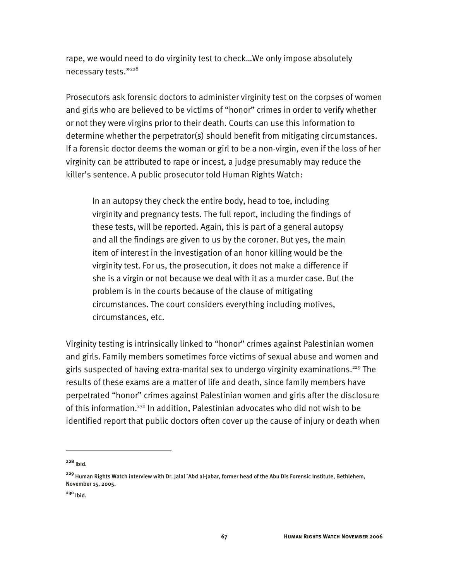rape, we would need to do virginity test to check…We only impose absolutely necessary tests."228

Prosecutors ask forensic doctors to administer virginity test on the corpses of women and girls who are believed to be victims of "honor" crimes in order to verify whether or not they were virgins prior to their death. Courts can use this information to determine whether the perpetrator(s) should benefit from mitigating circumstances. If a forensic doctor deems the woman or girl to be a non-virgin, even if the loss of her virginity can be attributed to rape or incest, a judge presumably may reduce the killer's sentence. A public prosecutor told Human Rights Watch:

In an autopsy they check the entire body, head to toe, including virginity and pregnancy tests. The full report, including the findings of these tests, will be reported. Again, this is part of a general autopsy and all the findings are given to us by the coroner. But yes, the main item of interest in the investigation of an honor killing would be the virginity test. For us, the prosecution, it does not make a difference if she is a virgin or not because we deal with it as a murder case. But the problem is in the courts because of the clause of mitigating circumstances. The court considers everything including motives, circumstances, etc.

Virginity testing is intrinsically linked to "honor" crimes against Palestinian women and girls. Family members sometimes force victims of sexual abuse and women and girls suspected of having extra-marital sex to undergo virginity examinations.<sup>229</sup> The results of these exams are a matter of life and death, since family members have perpetrated "honor" crimes against Palestinian women and girls after the disclosure of this information.<sup>230</sup> In addition, Palestinian advocates who did not wish to be identified report that public doctors often cover up the cause of injury or death when

**<sup>228</sup>** Ibid.

**<sup>229</sup>** Human Rights Watch interview with Dr. Jalal `Abd al-Jabar, former head of the Abu Dis Forensic Institute, Bethlehem, November 15, 2005.

**<sup>230</sup>** Ibid.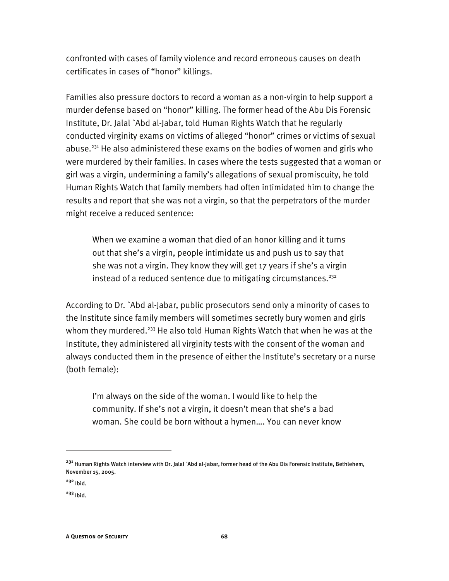confronted with cases of family violence and record erroneous causes on death certificates in cases of "honor" killings.

Families also pressure doctors to record a woman as a non-virgin to help support a murder defense based on "honor" killing. The former head of the Abu Dis Forensic Institute, Dr. Jalal `Abd al-Jabar, told Human Rights Watch that he regularly conducted virginity exams on victims of alleged "honor" crimes or victims of sexual abuse.<sup>231</sup> He also administered these exams on the bodies of women and girls who were murdered by their families. In cases where the tests suggested that a woman or girl was a virgin, undermining a family's allegations of sexual promiscuity, he told Human Rights Watch that family members had often intimidated him to change the results and report that she was not a virgin, so that the perpetrators of the murder might receive a reduced sentence:

When we examine a woman that died of an honor killing and it turns out that she's a virgin, people intimidate us and push us to say that she was not a virgin. They know they will get 17 years if she's a virgin instead of a reduced sentence due to mitigating circumstances.<sup>232</sup>

According to Dr. `Abd al-Jabar, public prosecutors send only a minority of cases to the Institute since family members will sometimes secretly bury women and girls whom they murdered.<sup>233</sup> He also told Human Rights Watch that when he was at the Institute, they administered all virginity tests with the consent of the woman and always conducted them in the presence of either the Institute's secretary or a nurse (both female):

I'm always on the side of the woman. I would like to help the community. If she's not a virgin, it doesn't mean that she's a bad woman. She could be born without a hymen…. You can never know

**<sup>231</sup>** Human Rights Watch interview with Dr. Jalal `Abd al-Jabar, former head of the Abu Dis Forensic Institute, Bethlehem, November 15, 2005.

**<sup>232</sup>** Ibid.

**<sup>233</sup>** Ibid.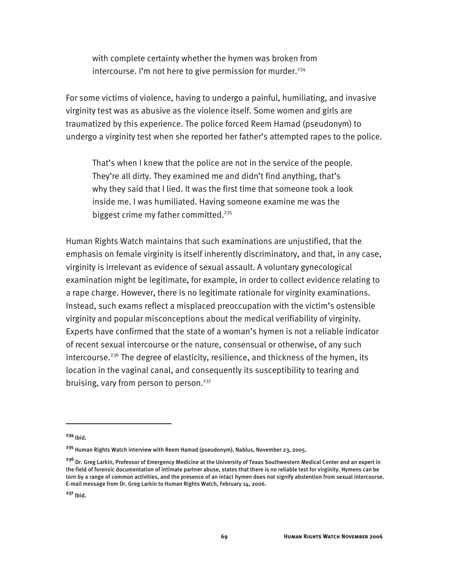with complete certainty whether the hymen was broken from intercourse. I'm not here to give permission for murder.<sup>234</sup>

For some victims of violence, having to undergo a painful, humiliating, and invasive virginity test was as abusive as the violence itself. Some women and girls are traumatized by this experience. The police forced Reem Hamad (pseudonym) to undergo a virginity test when she reported her father's attempted rapes to the police.

That's when I knew that the police are not in the service of the people. They're all dirty. They examined me and didn't find anything, that's why they said that I lied. It was the first time that someone took a look inside me. I was humiliated. Having someone examine me was the biggest crime my father committed.<sup>235</sup>

Human Rights Watch maintains that such examinations are unjustified, that the emphasis on female virginity is itself inherently discriminatory, and that, in any case, virginity is irrelevant as evidence of sexual assault. A voluntary gynecological examination might be legitimate, for example, in order to collect evidence relating to a rape charge. However, there is no legitimate rationale for virginity examinations. Instead, such exams reflect a misplaced preoccupation with the victim's ostensible virginity and popular misconceptions about the medical verifiability of virginity. Experts have confirmed that the state of a woman's hymen is not a reliable indicator of recent sexual intercourse or the nature, consensual or otherwise, of any such intercourse.<sup>236</sup> The degree of elasticity, resilience, and thickness of the hymen, its location in the vaginal canal, and consequently its susceptibility to tearing and bruising, vary from person to person.<sup>237</sup>

**<sup>234</sup>** Ibid.

**<sup>235</sup>** Human Rights Watch interview with Reem Hamad (pseudonym), Nablus, November 23, 2005.

**<sup>236</sup>** Dr. Greg Larkin, Professor of Emergency Medicine at the University of Texas Southwestern Medical Center and an expert in the field of forensic documentation of intimate partner abuse, states that there is no reliable test for virginity. Hymens can be torn by a range of common activities, and the presence of an intact hymen does not signify abstention from sexual intercourse. E-mail message from Dr. Greg Larkin to Human Rights Watch, February 14, 2006.

**<sup>237</sup>** Ibid.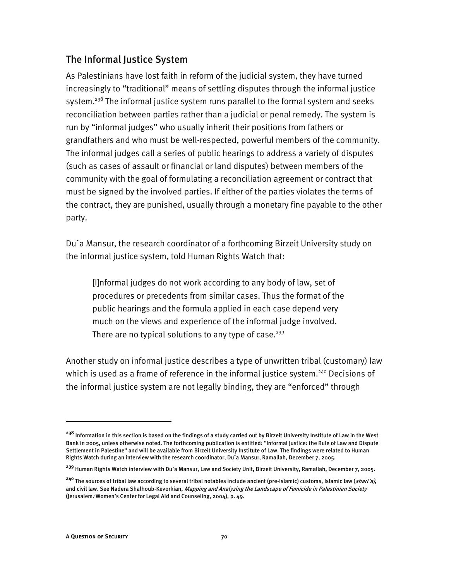#### The Informal Justice System

As Palestinians have lost faith in reform of the judicial system, they have turned increasingly to "traditional" means of settling disputes through the informal justice system.<sup>238</sup> The informal justice system runs parallel to the formal system and seeks reconciliation between parties rather than a judicial or penal remedy. The system is run by "informal judges" who usually inherit their positions from fathers or grandfathers and who must be well-respected, powerful members of the community. The informal judges call a series of public hearings to address a variety of disputes (such as cases of assault or financial or land disputes) between members of the community with the goal of formulating a reconciliation agreement or contract that must be signed by the involved parties. If either of the parties violates the terms of the contract, they are punished, usually through a monetary fine payable to the other party.

Du`a Mansur, the research coordinator of a forthcoming Birzeit University study on the informal justice system, told Human Rights Watch that:

[I]nformal judges do not work according to any body of law, set of procedures or precedents from similar cases. Thus the format of the public hearings and the formula applied in each case depend very much on the views and experience of the informal judge involved. There are no typical solutions to any type of case.<sup>239</sup>

Another study on informal justice describes a type of unwritten tribal (customary) law which is used as a frame of reference in the informal justice system.<sup>240</sup> Decisions of the informal justice system are not legally binding, they are "enforced" through

**<sup>238</sup>** Information in this section is based on the findings of a study carried out by Birzeit University Institute of Law in the West Bank in 2005, unless otherwise noted. The forthcoming publication is entitled: "Informal Justice: the Rule of Law and Dispute Settlement in Palestine" and will be available from Birzeit University Institute of Law. The findings were related to Human Rights Watch during an interview with the research coordinator, Du`a Mansur, Ramallah, December 7, 2005.

**<sup>239</sup>** Human Rights Watch interview with Du`a Mansur, Law and Society Unit, Birzeit University, Ramallah, December 7, 2005.

**<sup>240</sup>** The sources of tribal law according to several tribal notables include ancient (pre-Islamic) customs, Islamic law (shari`a), and civil law. See Nadera Shalhoub-Kevorkian, *Mapping and Analyzing the Landscape of Femicide in Palestinian Society* (Jerusalem: Women's Center for Legal Aid and Counseling, 2004), p. 49.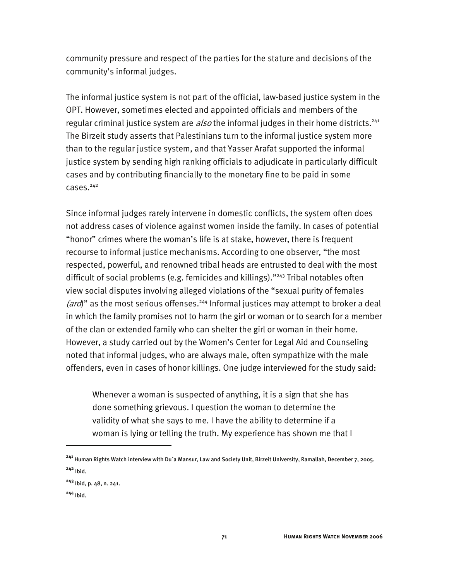community pressure and respect of the parties for the stature and decisions of the community's informal judges.

The informal justice system is not part of the official, law-based justice system in the OPT. However, sometimes elected and appointed officials and members of the regular criminal justice system are  $also$  the informal judges in their home districts.<sup>241</sup> The Birzeit study asserts that Palestinians turn to the informal justice system more than to the regular justice system, and that Yasser Arafat supported the informal justice system by sending high ranking officials to adjudicate in particularly difficult cases and by contributing financially to the monetary fine to be paid in some  $cases.$ <sup>242</sup>

Since informal judges rarely intervene in domestic conflicts, the system often does not address cases of violence against women inside the family. In cases of potential "honor" crimes where the woman's life is at stake, however, there is frequent recourse to informal justice mechanisms. According to one observer, "the most respected, powerful, and renowned tribal heads are entrusted to deal with the most difficult of social problems (e.g. femicides and killings)."<sup>243</sup> Tribal notables often view social disputes involving alleged violations of the "sexual purity of females (ard)" as the most serious offenses.<sup>244</sup> Informal justices may attempt to broker a deal in which the family promises not to harm the girl or woman or to search for a member of the clan or extended family who can shelter the girl or woman in their home. However, a study carried out by the Women's Center for Legal Aid and Counseling noted that informal judges, who are always male, often sympathize with the male offenders, even in cases of honor killings. One judge interviewed for the study said:

Whenever a woman is suspected of anything, it is a sign that she has done something grievous. I question the woman to determine the validity of what she says to me. I have the ability to determine if a woman is lying or telling the truth. My experience has shown me that I

**<sup>241</sup>** Human Rights Watch interview with Du`a Mansur, Law and Society Unit, Birzeit University, Ramallah, December 7, 2005. **<sup>242</sup>** Ibid.

**<sup>243</sup>** Ibid, p. 48, n. 241.

**<sup>244</sup>** Ibid.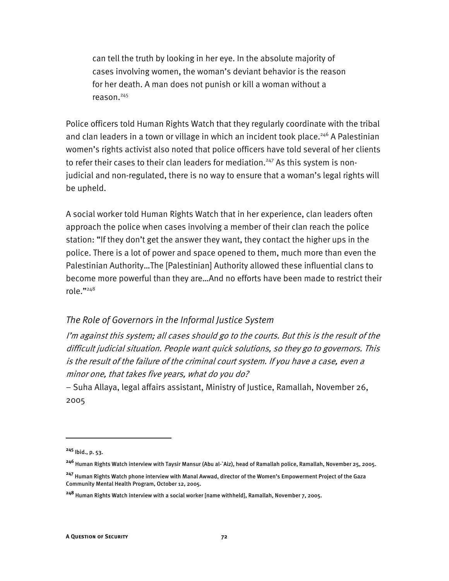can tell the truth by looking in her eye. In the absolute majority of cases involving women, the woman's deviant behavior is the reason for her death. A man does not punish or kill a woman without a reason.<sup>245</sup>

Police officers told Human Rights Watch that they regularly coordinate with the tribal and clan leaders in a town or village in which an incident took place.<sup>246</sup> A Palestinian women's rights activist also noted that police officers have told several of her clients to refer their cases to their clan leaders for mediation.<sup>247</sup> As this system is nonjudicial and non-regulated, there is no way to ensure that a woman's legal rights will be upheld.

A social worker told Human Rights Watch that in her experience, clan leaders often approach the police when cases involving a member of their clan reach the police station: "If they don't get the answer they want, they contact the higher ups in the police. There is a lot of power and space opened to them, much more than even the Palestinian Authority…The [Palestinian] Authority allowed these influential clans to become more powerful than they are…And no efforts have been made to restrict their role."248

#### *The Role of Governors in the Informal Justice System*

I'm against this system; all cases should go to the courts. But this is the result of the difficult judicial situation. People want quick solutions, so they go to governors. This is the result of the failure of the criminal court system. If you have a case, even a minor one, that takes five years, what do you do?

− Suha Allaya, legal affairs assistant, Ministry of Justice, Ramallah, November 26, 2005

**<sup>245</sup>** Ibid., p. 53.

**<sup>246</sup>** Human Rights Watch interview with Taysir Mansur (Abu al-`Aiz), head of Ramallah police, Ramallah, November 25, 2005.

**<sup>247</sup>** Human Rights Watch phone interview with Manal Awwad, director of the Women's Empowerment Project of the Gaza Community Mental Health Program, October 12, 2005.

**<sup>248</sup>** Human Rights Watch interview with a social worker [name withheld], Ramallah, November 7, 2005.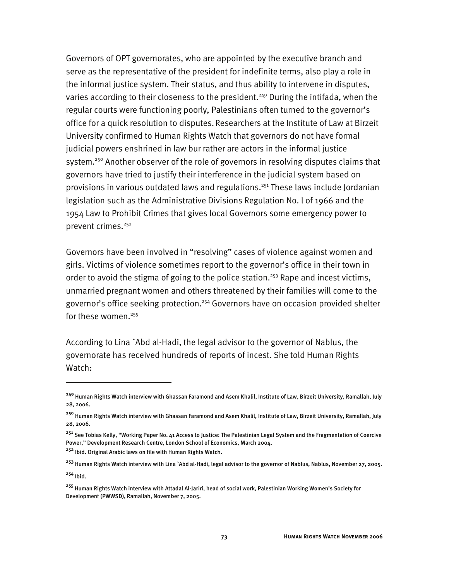Governors of OPT governorates, who are appointed by the executive branch and serve as the representative of the president for indefinite terms, also play a role in the informal justice system. Their status, and thus ability to intervene in disputes, varies according to their closeness to the president.<sup>249</sup> During the intifada, when the regular courts were functioning poorly, Palestinians often turned to the governor's office for a quick resolution to disputes. Researchers at the Institute of Law at Birzeit University confirmed to Human Rights Watch that governors do not have formal judicial powers enshrined in law bur rather are actors in the informal justice system.<sup>250</sup> Another observer of the role of governors in resolving disputes claims that governors have tried to justify their interference in the judicial system based on provisions in various outdated laws and regulations.<sup>251</sup> These laws include Jordanian legislation such as the Administrative Divisions Regulation No. l of 1966 and the 1954 Law to Prohibit Crimes that gives local Governors some emergency power to prevent crimes.<sup>252</sup>

Governors have been involved in "resolving" cases of violence against women and girls. Victims of violence sometimes report to the governor's office in their town in order to avoid the stigma of going to the police station.<sup>253</sup> Rape and incest victims, unmarried pregnant women and others threatened by their families will come to the governor's office seeking protection.<sup>254</sup> Governors have on occasion provided shelter for these women.<sup>255</sup>

According to Lina `Abd al-Hadi, the legal advisor to the governor of Nablus, the governorate has received hundreds of reports of incest. She told Human Rights Watch:

**<sup>249</sup>** Human Rights Watch interview with Ghassan Faramond and Asem Khalil, Institute of Law, Birzeit University, Ramallah, July 28, 2006.

**<sup>250</sup>** Human Rights Watch interview with Ghassan Faramond and Asem Khalil, Institute of Law, Birzeit University, Ramallah, July 28, 2006.

**<sup>251</sup>** See Tobias Kelly, "Working Paper No. 41 Access to Justice: The Palestinian Legal System and the Fragmentation of Coercive Power," Development Research Centre, London School of Economics, March 2004.

**<sup>252</sup>** Ibid. Original Arabic laws on file with Human Rights Watch.

**<sup>253</sup>** Human Rights Watch interview with Lina `Abd al-Hadi, legal advisor to the governor of Nablus, Nablus, November 27, 2005. **<sup>254</sup>** Ibid.

**<sup>255</sup>** Human Rights Watch interview with Attadal Al-Jariri, head of social work, Palestinian Working Women's Society for Development (PWWSD), Ramallah, November 7, 2005.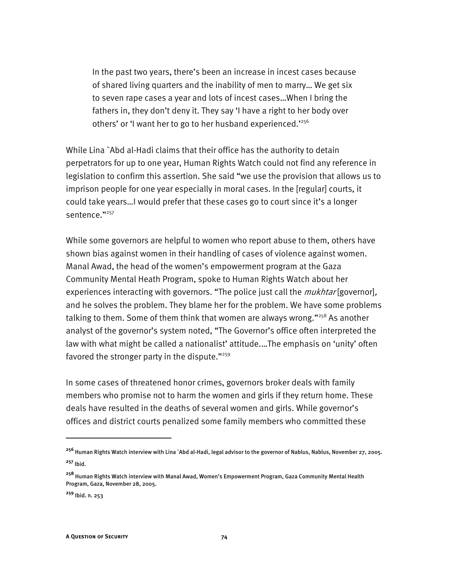In the past two years, there's been an increase in incest cases because of shared living quarters and the inability of men to marry… We get six to seven rape cases a year and lots of incest cases…When I bring the fathers in, they don't deny it. They say 'I have a right to her body over others' or 'I want her to go to her husband experienced.'256

While Lina `Abd al-Hadi claims that their office has the authority to detain perpetrators for up to one year, Human Rights Watch could not find any reference in legislation to confirm this assertion. She said "we use the provision that allows us to imprison people for one year especially in moral cases. In the [regular] courts, it could take years…I would prefer that these cases go to court since it's a longer sentence."257

While some governors are helpful to women who report abuse to them, others have shown bias against women in their handling of cases of violence against women. Manal Awad, the head of the women's empowerment program at the Gaza Community Mental Heath Program, spoke to Human Rights Watch about her experiences interacting with governors. "The police just call the *mukhtar* [governor], and he solves the problem. They blame her for the problem. We have some problems talking to them. Some of them think that women are always wrong." $258$  As another analyst of the governor's system noted, "The Governor's office often interpreted the law with what might be called a nationalist' attitude.…The emphasis on 'unity' often favored the stronger party in the dispute."<sup>259</sup>

In some cases of threatened honor crimes, governors broker deals with family members who promise not to harm the women and girls if they return home. These deals have resulted in the deaths of several women and girls. While governor's offices and district courts penalized some family members who committed these

j

**<sup>256</sup>** Human Rights Watch interview with Lina `Abd al-Hadi, legal advisor to the governor of Nablus, Nablus, November 27, 2005. **<sup>257</sup>** Ibid.

**<sup>258</sup>** Human Rights Watch interview with Manal Awad, Women's Empowerment Program, Gaza Community Mental Health Program, Gaza, November 28, 2005.

**<sup>259</sup>** Ibid. n. 253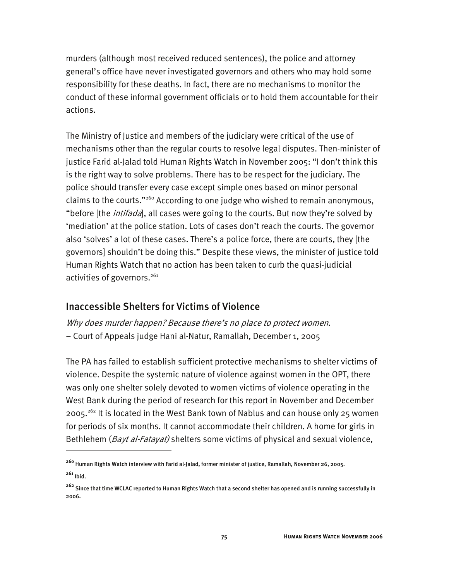murders (although most received reduced sentences), the police and attorney general's office have never investigated governors and others who may hold some responsibility for these deaths. In fact, there are no mechanisms to monitor the conduct of these informal government officials or to hold them accountable for their actions.

The Ministry of Justice and members of the judiciary were critical of the use of mechanisms other than the regular courts to resolve legal disputes. Then-minister of justice Farid al-Jalad told Human Rights Watch in November 2005: "I don't think this is the right way to solve problems. There has to be respect for the judiciary. The police should transfer every case except simple ones based on minor personal claims to the courts."260 According to one judge who wished to remain anonymous, "before [the *intifada*], all cases were going to the courts. But now they're solved by 'mediation' at the police station. Lots of cases don't reach the courts. The governor also 'solves' a lot of these cases. There's a police force, there are courts, they [the governors] shouldn't be doing this." Despite these views, the minister of justice told Human Rights Watch that no action has been taken to curb the quasi-judicial activities of governors. $261$ 

#### Inaccessible Shelters for Victims of Violence

I

Why does murder happen? Because there's no place to protect women. − Court of Appeals judge Hani al-Natur, Ramallah, December 1, 2005

The PA has failed to establish sufficient protective mechanisms to shelter victims of violence. Despite the systemic nature of violence against women in the OPT, there was only one shelter solely devoted to women victims of violence operating in the West Bank during the period of research for this report in November and December 2005.<sup>262</sup> It is located in the West Bank town of Nablus and can house only 25 women for periods of six months. It cannot accommodate their children. A home for girls in Bethlehem (*Bayt al-Fatayat)* shelters some victims of physical and sexual violence,

**<sup>260</sup>** Human Rights Watch interview with Farid al-Jalad, former minister of justice, Ramallah, November 26, 2005. **<sup>261</sup>** Ibid.

**<sup>262</sup>** Since that time WCLAC reported to Human Rights Watch that a second shelter has opened and is running successfully in 2006.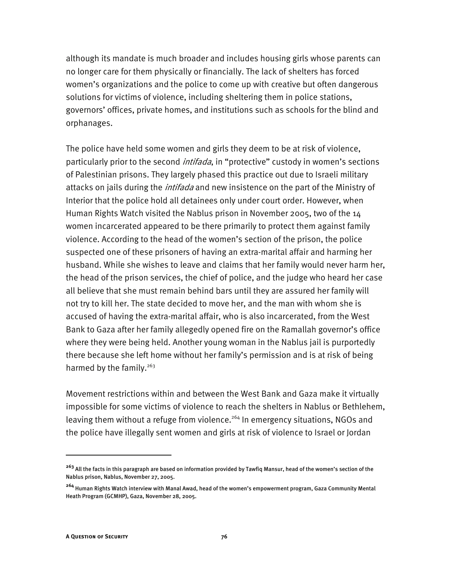although its mandate is much broader and includes housing girls whose parents can no longer care for them physically or financially. The lack of shelters has forced women's organizations and the police to come up with creative but often dangerous solutions for victims of violence, including sheltering them in police stations, governors' offices, private homes, and institutions such as schools for the blind and orphanages.

The police have held some women and girls they deem to be at risk of violence, particularly prior to the second *intifada*, in "protective" custody in women's sections of Palestinian prisons. They largely phased this practice out due to Israeli military attacks on jails during the *intifada* and new insistence on the part of the Ministry of Interior that the police hold all detainees only under court order. However, when Human Rights Watch visited the Nablus prison in November 2005, two of the 14 women incarcerated appeared to be there primarily to protect them against family violence. According to the head of the women's section of the prison, the police suspected one of these prisoners of having an extra-marital affair and harming her husband. While she wishes to leave and claims that her family would never harm her, the head of the prison services, the chief of police, and the judge who heard her case all believe that she must remain behind bars until they are assured her family will not try to kill her. The state decided to move her, and the man with whom she is accused of having the extra-marital affair, who is also incarcerated, from the West Bank to Gaza after her family allegedly opened fire on the Ramallah governor's office where they were being held. Another young woman in the Nablus jail is purportedly there because she left home without her family's permission and is at risk of being harmed by the family. $263$ 

Movement restrictions within and between the West Bank and Gaza make it virtually impossible for some victims of violence to reach the shelters in Nablus or Bethlehem, leaving them without a refuge from violence.<sup>264</sup> In emergency situations, NGOs and the police have illegally sent women and girls at risk of violence to Israel or Jordan

**<sup>263</sup>** All the facts in this paragraph are based on information provided by Tawfiq Mansur, head of the women's section of the Nablus prison, Nablus, November 27, 2005.

**<sup>264</sup>** Human Rights Watch interview with Manal Awad, head of the women's empowerment program, Gaza Community Mental Heath Program (GCMHP), Gaza, November 28, 2005.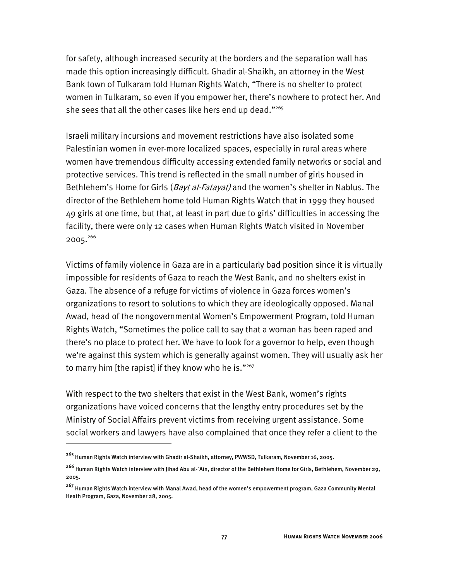for safety, although increased security at the borders and the separation wall has made this option increasingly difficult. Ghadir al-Shaikh, an attorney in the West Bank town of Tulkaram told Human Rights Watch, "There is no shelter to protect women in Tulkaram, so even if you empower her, there's nowhere to protect her. And she sees that all the other cases like hers end up dead."<sup>265</sup>

Israeli military incursions and movement restrictions have also isolated some Palestinian women in ever-more localized spaces, especially in rural areas where women have tremendous difficulty accessing extended family networks or social and protective services. This trend is reflected in the small number of girls housed in Bethlehem's Home for Girls (*Bayt al-Fatayat*) and the women's shelter in Nablus. The director of the Bethlehem home told Human Rights Watch that in 1999 they housed 49 girls at one time, but that, at least in part due to girls' difficulties in accessing the facility, there were only 12 cases when Human Rights Watch visited in November 2005.<sup>266</sup>

Victims of family violence in Gaza are in a particularly bad position since it is virtually impossible for residents of Gaza to reach the West Bank, and no shelters exist in Gaza. The absence of a refuge for victims of violence in Gaza forces women's organizations to resort to solutions to which they are ideologically opposed. Manal Awad, head of the nongovernmental Women's Empowerment Program, told Human Rights Watch, "Sometimes the police call to say that a woman has been raped and there's no place to protect her. We have to look for a governor to help, even though we're against this system which is generally against women. They will usually ask her to marry him [the rapist] if they know who he is. $"267$ 

With respect to the two shelters that exist in the West Bank, women's rights organizations have voiced concerns that the lengthy entry procedures set by the Ministry of Social Affairs prevent victims from receiving urgent assistance. Some social workers and lawyers have also complained that once they refer a client to the

**<sup>265</sup>** Human Rights Watch interview with Ghadir al-Shaikh, attorney, PWWSD, Tulkaram, November 16, 2005.

**<sup>266</sup>** Human Rights Watch interview with Jihad Abu al-`Ain, director of the Bethlehem Home for Girls, Bethlehem, November 29, 2005.

**<sup>267</sup>** Human Rights Watch interview with Manal Awad, head of the women's empowerment program, Gaza Community Mental Heath Program, Gaza, November 28, 2005.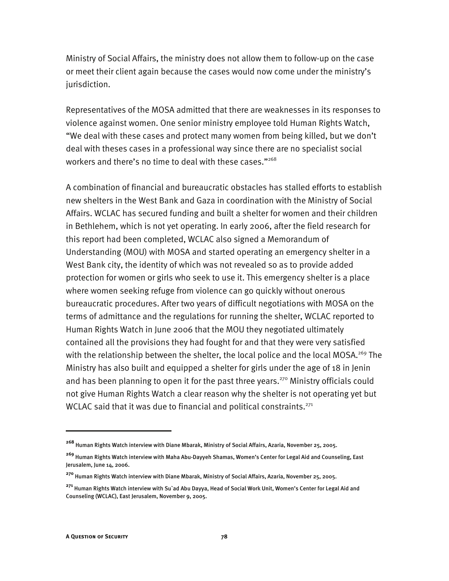Ministry of Social Affairs, the ministry does not allow them to follow-up on the case or meet their client again because the cases would now come under the ministry's jurisdiction.

Representatives of the MOSA admitted that there are weaknesses in its responses to violence against women. One senior ministry employee told Human Rights Watch, "We deal with these cases and protect many women from being killed, but we don't deal with theses cases in a professional way since there are no specialist social workers and there's no time to deal with these cases."<sup>268</sup>

A combination of financial and bureaucratic obstacles has stalled efforts to establish new shelters in the West Bank and Gaza in coordination with the Ministry of Social Affairs. WCLAC has secured funding and built a shelter for women and their children in Bethlehem, which is not yet operating. In early 2006, after the field research for this report had been completed, WCLAC also signed a Memorandum of Understanding (MOU) with MOSA and started operating an emergency shelter in a West Bank city, the identity of which was not revealed so as to provide added protection for women or girls who seek to use it. This emergency shelter is a place where women seeking refuge from violence can go quickly without onerous bureaucratic procedures. After two years of difficult negotiations with MOSA on the terms of admittance and the regulations for running the shelter, WCLAC reported to Human Rights Watch in June 2006 that the MOU they negotiated ultimately contained all the provisions they had fought for and that they were very satisfied with the relationship between the shelter, the local police and the local MOSA.<sup>269</sup> The Ministry has also built and equipped a shelter for girls under the age of 18 in Jenin and has been planning to open it for the past three years.<sup>270</sup> Ministry officials could not give Human Rights Watch a clear reason why the shelter is not operating yet but WCLAC said that it was due to financial and political constraints. $271$ 

j

**<sup>268</sup>** Human Rights Watch interview with Diane Mbarak, Ministry of Social Affairs, Azaria, November 25, 2005.

**<sup>269</sup>** Human Rights Watch interview with Maha Abu-Dayyeh Shamas, Women's Center for Legal Aid and Counseling, East Jerusalem, June 14, 2006.

**<sup>270</sup>** Human Rights Watch interview with Diane Mbarak, Ministry of Social Affairs, Azaria, November 25, 2005.

**<sup>271</sup>** Human Rights Watch interview with Su`ad Abu Dayya, Head of Social Work Unit, Women's Center for Legal Aid and Counseling (WCLAC), East Jerusalem, November 9, 2005.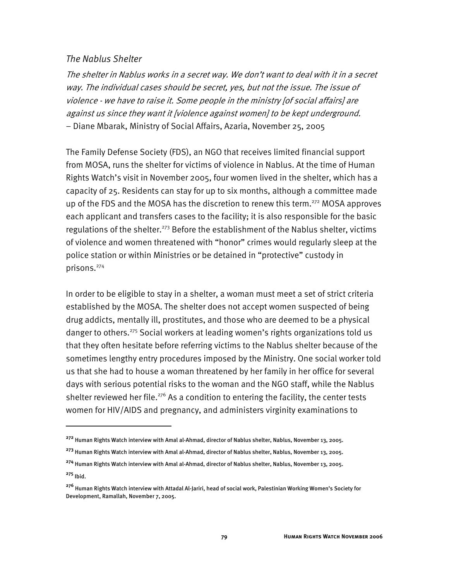#### *The Nablus Shelter*

-

The shelter in Nablus works in a secret way. We don't want to deal with it in a secret way. The individual cases should be secret, yes, but not the issue. The issue of violence - we have to raise it. Some people in the ministry [of social affairs] are against us since they want it [violence against women] to be kept underground. − Diane Mbarak, Ministry of Social Affairs, Azaria, November 25, 2005

The Family Defense Society (FDS), an NGO that receives limited financial support from MOSA, runs the shelter for victims of violence in Nablus. At the time of Human Rights Watch's visit in November 2005, four women lived in the shelter, which has a capacity of 25. Residents can stay for up to six months, although a committee made up of the FDS and the MOSA has the discretion to renew this term.<sup>272</sup> MOSA approves each applicant and transfers cases to the facility; it is also responsible for the basic regulations of the shelter.<sup>273</sup> Before the establishment of the Nablus shelter, victims of violence and women threatened with "honor" crimes would regularly sleep at the police station or within Ministries or be detained in "protective" custody in prisons.274

In order to be eligible to stay in a shelter, a woman must meet a set of strict criteria established by the MOSA. The shelter does not accept women suspected of being drug addicts, mentally ill, prostitutes, and those who are deemed to be a physical danger to others.<sup>275</sup> Social workers at leading women's rights organizations told us that they often hesitate before referring victims to the Nablus shelter because of the sometimes lengthy entry procedures imposed by the Ministry. One social worker told us that she had to house a woman threatened by her family in her office for several days with serious potential risks to the woman and the NGO staff, while the Nablus shelter reviewed her file.<sup>276</sup> As a condition to entering the facility, the center tests women for HIV/AIDS and pregnancy, and administers virginity examinations to

**<sup>272</sup>** Human Rights Watch interview with Amal al-Ahmad, director of Nablus shelter, Nablus, November 13, 2005.

**<sup>273</sup>** Human Rights Watch interview with Amal al-Ahmad, director of Nablus shelter, Nablus, November 13, 2005.

**<sup>274</sup>** Human Rights Watch interview with Amal al-Ahmad, director of Nablus shelter, Nablus, November 13, 2005. **<sup>275</sup>** Ibid.

**<sup>276</sup>** Human Rights Watch interview with Attadal Al-Jariri, head of social work, Palestinian Working Women's Society for Development, Ramallah, November 7, 2005.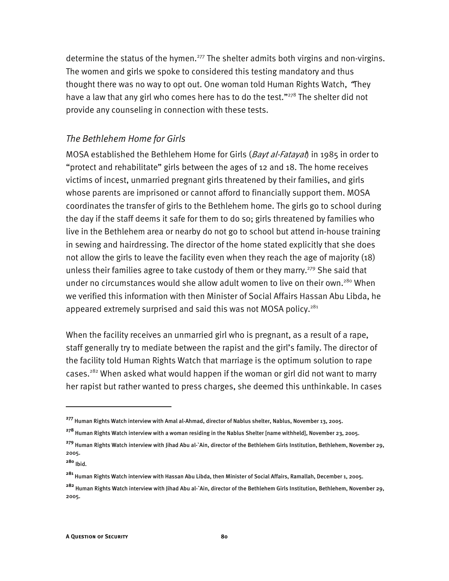determine the status of the hymen.<sup>277</sup> The shelter admits both virgins and non-virgins. The women and girls we spoke to considered this testing mandatory and thus thought there was no way to opt out. One woman told Human Rights Watch, "They have a law that any girl who comes here has to do the test." $278$  The shelter did not provide any counseling in connection with these tests.

#### *The Bethlehem Home for Girls*

MOSA established the Bethlehem Home for Girls (Bayt al-Fatayat) in 1985 in order to "protect and rehabilitate" girls between the ages of 12 and 18. The home receives victims of incest, unmarried pregnant girls threatened by their families, and girls whose parents are imprisoned or cannot afford to financially support them. MOSA coordinates the transfer of girls to the Bethlehem home. The girls go to school during the day if the staff deems it safe for them to do so; girls threatened by families who live in the Bethlehem area or nearby do not go to school but attend in-house training in sewing and hairdressing. The director of the home stated explicitly that she does not allow the girls to leave the facility even when they reach the age of majority (18) unless their families agree to take custody of them or they marry.<sup>279</sup> She said that under no circumstances would she allow adult women to live on their own.<sup>280</sup> When we verified this information with then Minister of Social Affairs Hassan Abu Libda, he appeared extremely surprised and said this was not MOSA policy.<sup>281</sup>

When the facility receives an unmarried girl who is pregnant, as a result of a rape, staff generally try to mediate between the rapist and the girl's family. The director of the facility told Human Rights Watch that marriage is the optimum solution to rape cases.<sup>282</sup> When asked what would happen if the woman or girl did not want to marry her rapist but rather wanted to press charges, she deemed this unthinkable. In cases

**<sup>277</sup>** Human Rights Watch interview with Amal al-Ahmad, director of Nablus shelter, Nablus, November 13, 2005.

**<sup>278</sup>** Human Rights Watch interview with a woman residing in the Nablus Shelter [name withheld], November 23, 2005.

**<sup>279</sup>** Human Rights Watch interview with Jihad Abu al-`Ain, director of the Bethlehem Girls Institution, Bethlehem, November 29, 2005.

**<sup>280</sup>** Ibid.

**<sup>281</sup>** Human Rights Watch interview with Hassan Abu Libda, then Minister of Social Affairs, Ramallah, December 1, 2005.

**<sup>282</sup>** Human Rights Watch interview with Jihad Abu al-`Ain, director of the Bethlehem Girls Institution, Bethlehem, November 29, 2005.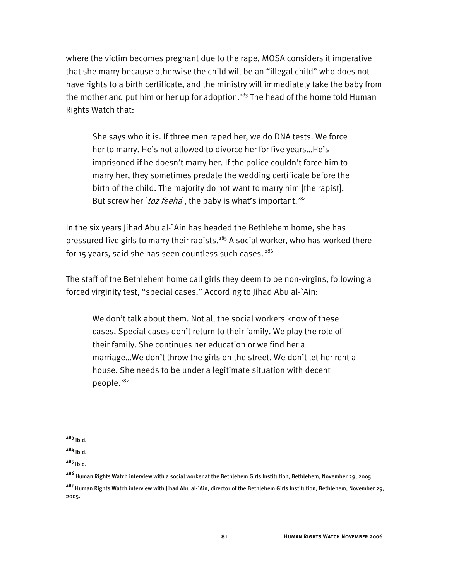where the victim becomes pregnant due to the rape, MOSA considers it imperative that she marry because otherwise the child will be an "illegal child" who does not have rights to a birth certificate, and the ministry will immediately take the baby from the mother and put him or her up for adoption.<sup>283</sup> The head of the home told Human Rights Watch that:

She says who it is. If three men raped her, we do DNA tests. We force her to marry. He's not allowed to divorce her for five years…He's imprisoned if he doesn't marry her. If the police couldn't force him to marry her, they sometimes predate the wedding certificate before the birth of the child. The majority do not want to marry him [the rapist]. But screw her [toz feeha], the baby is what's important.<sup>284</sup>

In the six years Jihad Abu al-`Ain has headed the Bethlehem home, she has pressured five girls to marry their rapists.<sup>285</sup> A social worker, who has worked there for 15 years, said she has seen countless such cases.  $286$ 

The staff of the Bethlehem home call girls they deem to be non-virgins, following a forced virginity test, "special cases." According to Jihad Abu al-`Ain:

We don't talk about them. Not all the social workers know of these cases. Special cases don't return to their family. We play the role of their family. She continues her education or we find her a marriage…We don't throw the girls on the street. We don't let her rent a house. She needs to be under a legitimate situation with decent people.<sup>287</sup>

**<sup>283</sup>** Ibid.

**<sup>284</sup>** Ibid.

**<sup>285</sup>** Ibid.

**<sup>286</sup>** Human Rights Watch interview with a social worker at the Bethlehem Girls Institution, Bethlehem, November 29, 2005.

**<sup>287</sup>** Human Rights Watch interview with Jihad Abu al-`Ain, director of the Bethlehem Girls Institution, Bethlehem, November 29, 2005.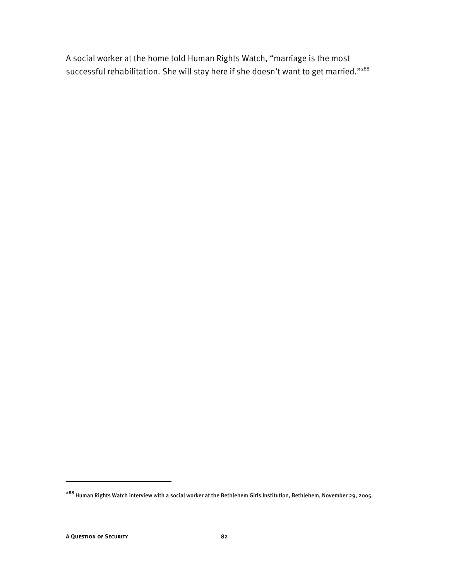A social worker at the home told Human Rights Watch, "marriage is the most successful rehabilitation. She will stay here if she doesn't want to get married."<sup>288</sup>

**<sup>288</sup>** Human Rights Watch interview with a social worker at the Bethlehem Girls Institution, Bethlehem, November 29, 2005.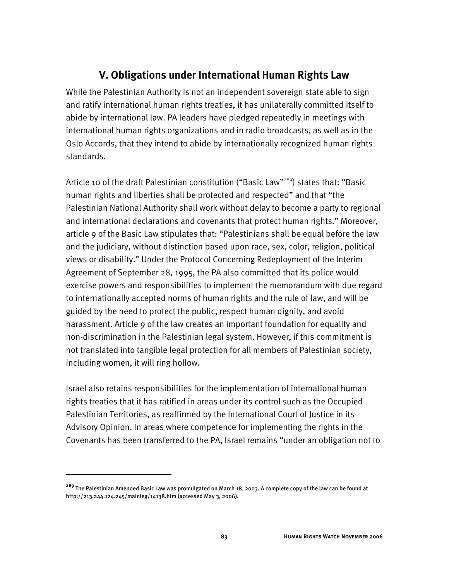#### **V. Obligations under International Human Rights Law**

While the Palestinian Authority is not an independent sovereign state able to sign and ratify international human rights treaties, it has unilaterally committed itself to abide by international law. PA leaders have pledged repeatedly in meetings with international human rights organizations and in radio broadcasts, as well as in the Oslo Accords, that they intend to abide by internationally recognized human rights standards.

Article 10 of the draft Palestinian constitution ("Basic Law"<sup>289</sup>) states that: "Basic human rights and liberties shall be protected and respected" and that "the Palestinian National Authority shall work without delay to become a party to regional and international declarations and covenants that protect human rights." Moreover, article 9 of the Basic Law stipulates that: "Palestinians shall be equal before the law and the judiciary, without distinction based upon race, sex, color, religion, political views or disability." Under the Protocol Concerning Redeployment of the Interim Agreement of September 28, 1995, the PA also committed that its police would exercise powers and responsibilities to implement the memorandum with due regard to internationally accepted norms of human rights and the rule of law, and will be guided by the need to protect the public, respect human dignity, and avoid harassment. Article 9 of the law creates an important foundation for equality and non-discrimination in the Palestinian legal system. However, if this commitment is not translated into tangible legal protection for all members of Palestinian society, including women, it will ring hollow.

Israel also retains responsibilities for the implementation of international human rights treaties that it has ratified in areas under its control such as the Occupied Palestinian Territories, as reaffirmed by the International Court of Justice in its Advisory Opinion. In areas where competence for implementing the rights in the Covenants has been transferred to the PA, Israel remains "under an obligation not to

**<sup>289</sup>** The Palestinian Amended Basic Law was promulgated on March 18, 2003. A complete copy of the law can be found at http://213.244.124.245/mainleg/14138.htm (accessed May 3, 2006).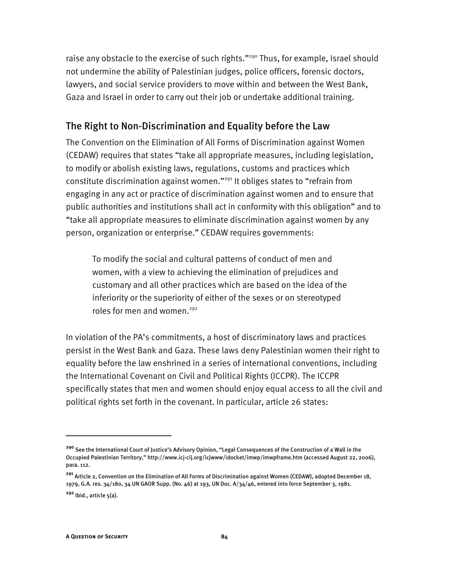raise any obstacle to the exercise of such rights."<sup>290</sup> Thus, for example, Israel should not undermine the ability of Palestinian judges, police officers, forensic doctors, lawyers, and social service providers to move within and between the West Bank, Gaza and Israel in order to carry out their job or undertake additional training.

#### The Right to Non-Discrimination and Equality before the Law

The Convention on the Elimination of All Forms of Discrimination against Women (CEDAW) requires that states "take all appropriate measures, including legislation, to modify or abolish existing laws, regulations, customs and practices which constitute discrimination against women."291 It obliges states to "refrain from engaging in any act or practice of discrimination against women and to ensure that public authorities and institutions shall act in conformity with this obligation" and to "take all appropriate measures to eliminate discrimination against women by any person, organization or enterprise." CEDAW requires governments:

To modify the social and cultural patterns of conduct of men and women, with a view to achieving the elimination of prejudices and customary and all other practices which are based on the idea of the inferiority or the superiority of either of the sexes or on stereotyped roles for men and women.<sup>292</sup>

In violation of the PA's commitments, a host of discriminatory laws and practices persist in the West Bank and Gaza. These laws deny Palestinian women their right to equality before the law enshrined in a series of international conventions, including the International Covenant on Civil and Political Rights (ICCPR). The ICCPR specifically states that men and women should enjoy equal access to all the civil and political rights set forth in the covenant. In particular, article 26 states:

**<sup>290</sup>** See the International Court of Justice's Advisory Opinion, "Legal Consequences of the Construction of a Wall in the Occupied Palestinian Territory," http://www.icj-cij.org/icjwww/idocket/imwp/imwpframe.htm (accessed August 22, 2006), para. 112.

**<sup>291</sup>** Article 2, Convention on the Elimination of All Forms of Discrimination against Women (CEDAW), adopted December 18, 1979, G.A. res. 34/180, 34 UN GAOR Supp. (No. 46) at 193, UN Doc. A/34/46, entered into force September 3, 1981.

**<sup>292</sup>** Ibid., article 5(a).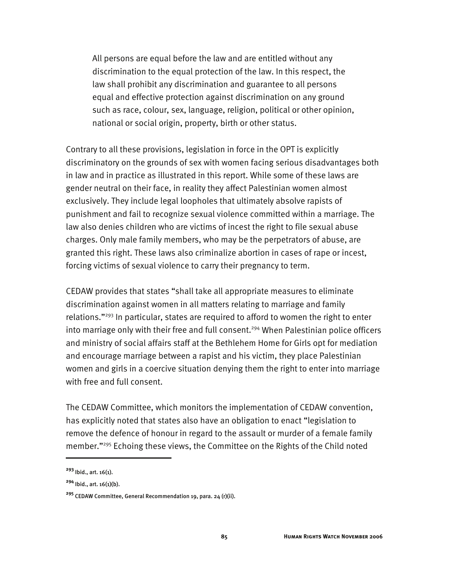All persons are equal before the law and are entitled without any discrimination to the equal protection of the law. In this respect, the law shall prohibit any discrimination and guarantee to all persons equal and effective protection against discrimination on any ground such as race, colour, sex, language, religion, political or other opinion, national or social origin, property, birth or other status.

Contrary to all these provisions, legislation in force in the OPT is explicitly discriminatory on the grounds of sex with women facing serious disadvantages both in law and in practice as illustrated in this report. While some of these laws are gender neutral on their face, in reality they affect Palestinian women almost exclusively. They include legal loopholes that ultimately absolve rapists of punishment and fail to recognize sexual violence committed within a marriage. The law also denies children who are victims of incest the right to file sexual abuse charges. Only male family members, who may be the perpetrators of abuse, are granted this right. These laws also criminalize abortion in cases of rape or incest, forcing victims of sexual violence to carry their pregnancy to term.

CEDAW provides that states "shall take all appropriate measures to eliminate discrimination against women in all matters relating to marriage and family relations."293 In particular, states are required to afford to women the right to enter into marriage only with their free and full consent.<sup>294</sup> When Palestinian police officers and ministry of social affairs staff at the Bethlehem Home for Girls opt for mediation and encourage marriage between a rapist and his victim, they place Palestinian women and girls in a coercive situation denying them the right to enter into marriage with free and full consent.

The CEDAW Committee, which monitors the implementation of CEDAW convention, has explicitly noted that states also have an obligation to enact "legislation to remove the defence of honour in regard to the assault or murder of a female family member."295 Echoing these views, the Committee on the Rights of the Child noted

**<sup>293</sup>** Ibid., art. 16(1).

**<sup>294</sup>** Ibid., art. 16(1)(b).

**<sup>295</sup>** CEDAW Committee, General Recommendation 19, para. 24 (r)(ii).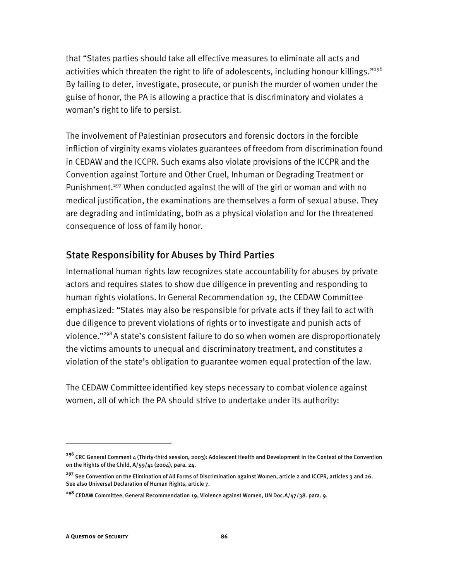that "States parties should take all effective measures to eliminate all acts and activities which threaten the right to life of adolescents, including honour killings."<sup>296</sup> By failing to deter, investigate, prosecute, or punish the murder of women under the guise of honor, the PA is allowing a practice that is discriminatory and violates a woman's right to life to persist.

The involvement of Palestinian prosecutors and forensic doctors in the forcible infliction of virginity exams violates guarantees of freedom from discrimination found in CEDAW and the ICCPR. Such exams also violate provisions of the ICCPR and the Convention against Torture and Other Cruel, Inhuman or Degrading Treatment or Punishment.<sup>297</sup> When conducted against the will of the girl or woman and with no medical justification, the examinations are themselves a form of sexual abuse. They are degrading and intimidating, both as a physical violation and for the threatened consequence of loss of family honor.

#### State Responsibility for Abuses by Third Parties

International human rights law recognizes state accountability for abuses by private actors and requires states to show due diligence in preventing and responding to human rights violations. In General Recommendation 19, the CEDAW Committee emphasized: "States may also be responsible for private acts if they fail to act with due diligence to prevent violations of rights or to investigate and punish acts of violence."298 A state's consistent failure to do so when women are disproportionately the victims amounts to unequal and discriminatory treatment, and constitutes a violation of the state's obligation to guarantee women equal protection of the law.

The CEDAW Committee identified key steps necessary to combat violence against women, all of which the PA should strive to undertake under its authority:

**<sup>296</sup>** CRC General Comment 4 (Thirty-third session, 2003): Adolescent Health and Development in the Context of the Convention on the Rights of the Child, A/59/41 (2004), para. 24.

<sup>&</sup>lt;sup>297</sup> See Convention on the Elimination of All Forms of Discrimination against Women, article 2 and ICCPR, articles 3 and 26. See also Universal Declaration of Human Rights, article 7.

**<sup>298</sup>** CEDAW Committee, General Recommendation 19, Violence against Women, UN Doc.A/47/38. para. 9.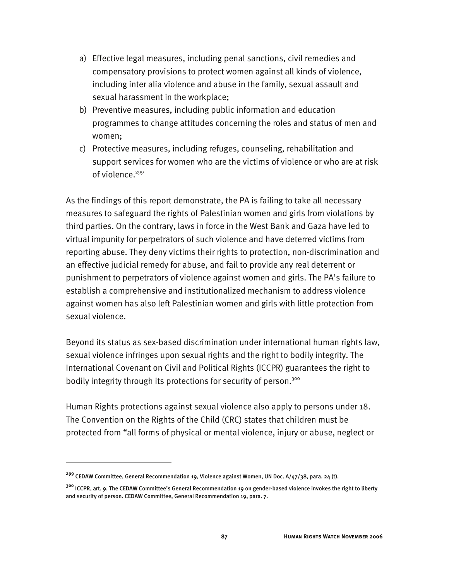- a) Effective legal measures, including penal sanctions, civil remedies and compensatory provisions to protect women against all kinds of violence, including inter alia violence and abuse in the family, sexual assault and sexual harassment in the workplace;
- b) Preventive measures, including public information and education programmes to change attitudes concerning the roles and status of men and women;
- c) Protective measures, including refuges, counseling, rehabilitation and support services for women who are the victims of violence or who are at risk of violence.<sup>299</sup>

As the findings of this report demonstrate, the PA is failing to take all necessary measures to safeguard the rights of Palestinian women and girls from violations by third parties. On the contrary, laws in force in the West Bank and Gaza have led to virtual impunity for perpetrators of such violence and have deterred victims from reporting abuse. They deny victims their rights to protection, non-discrimination and an effective judicial remedy for abuse, and fail to provide any real deterrent or punishment to perpetrators of violence against women and girls. The PA's failure to establish a comprehensive and institutionalized mechanism to address violence against women has also left Palestinian women and girls with little protection from sexual violence.

Beyond its status as sex-based discrimination under international human rights law, sexual violence infringes upon sexual rights and the right to bodily integrity. The International Covenant on Civil and Political Rights (ICCPR) guarantees the right to bodily integrity through its protections for security of person.<sup>300</sup>

Human Rights protections against sexual violence also apply to persons under 18. The Convention on the Rights of the Child (CRC) states that children must be protected from "all forms of physical or mental violence, injury or abuse, neglect or

**<sup>299</sup>** CEDAW Committee, General Recommendation 19, Violence against Women, UN Doc. A/47/38, para. 24 (t).

**<sup>300</sup>** ICCPR, art. 9. The CEDAW Committee's General Recommendation 19 on gender-based violence invokes the right to liberty and security of person. CEDAW Committee, General Recommendation 19, para. 7.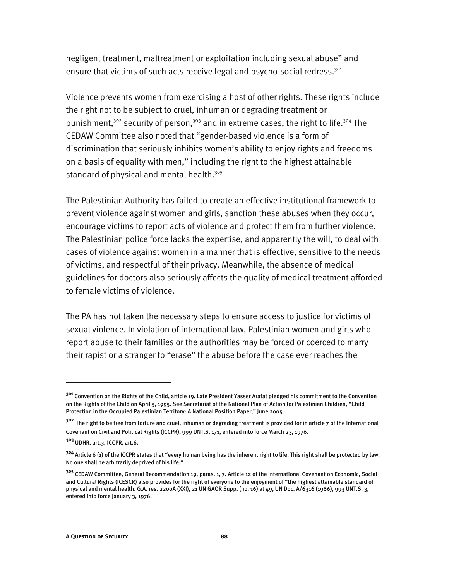negligent treatment, maltreatment or exploitation including sexual abuse" and ensure that victims of such acts receive legal and psycho-social redress.<sup>301</sup>

Violence prevents women from exercising a host of other rights. These rights include the right not to be subject to cruel, inhuman or degrading treatment or punishment,<sup>302</sup> security of person,<sup>303</sup> and in extreme cases, the right to life.<sup>304</sup> The CEDAW Committee also noted that "gender-based violence is a form of discrimination that seriously inhibits women's ability to enjoy rights and freedoms on a basis of equality with men," including the right to the highest attainable standard of physical and mental health.<sup>305</sup>

The Palestinian Authority has failed to create an effective institutional framework to prevent violence against women and girls, sanction these abuses when they occur, encourage victims to report acts of violence and protect them from further violence. The Palestinian police force lacks the expertise, and apparently the will, to deal with cases of violence against women in a manner that is effective, sensitive to the needs of victims, and respectful of their privacy. Meanwhile, the absence of medical guidelines for doctors also seriously affects the quality of medical treatment afforded to female victims of violence.

The PA has not taken the necessary steps to ensure access to justice for victims of sexual violence. In violation of international law, Palestinian women and girls who report abuse to their families or the authorities may be forced or coerced to marry their rapist or a stranger to "erase" the abuse before the case ever reaches the

**<sup>301</sup>** Convention on the Rights of the Child, article 19. Late President Yasser Arafat pledged his commitment to the Convention on the Rights of the Child on April 5, 1995. See Secretariat of the National Plan of Action for Palestinian Children, "Child Protection in the Occupied Palestinian Territory: A National Position Paper," June 2005.

**<sup>302</sup>** The right to be free from torture and cruel, inhuman or degrading treatment is provided for in article 7 of the International Covenant on Civil and Political Rights (ICCPR), 999 UNT.S. 171, entered into force March 23, 1976.

**<sup>303</sup>** UDHR, art.3, ICCPR, art.6.

**<sup>304</sup>** Article 6 (1) of the ICCPR states that "every human being has the inherent right to life. This right shall be protected by law. No one shall be arbitrarily deprived of his life."

**<sup>305</sup>** CEDAW Committee, General Recommendation 19, paras. 1, 7. Article 12 of the International Covenant on Economic, Social and Cultural Rights (ICESCR) also provides for the right of everyone to the enjoyment of "the highest attainable standard of physical and mental health. G.A. res. 2200A (XXI), 21 UN GAOR Supp. (no. 16) at 49, UN Doc. A/6316 (1966), 993 UNT.S. 3, entered into force January 3, 1976.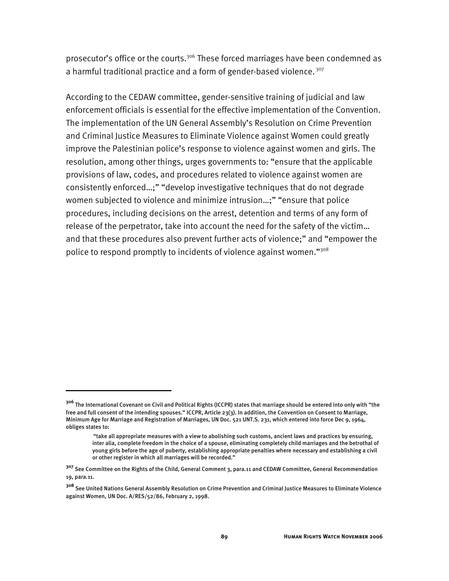prosecutor's office or the courts.<sup>306</sup> These forced marriages have been condemned as a harmful traditional practice and a form of gender-based violence.<sup>307</sup>

According to the CEDAW committee, gender-sensitive training of judicial and law enforcement officials is essential for the effective implementation of the Convention. The implementation of the UN General Assembly's Resolution on Crime Prevention and Criminal Justice Measures to Eliminate Violence against Women could greatly improve the Palestinian police's response to violence against women and girls. The resolution, among other things, urges governments to: "ensure that the applicable provisions of law, codes, and procedures related to violence against women are consistently enforced…;" "develop investigative techniques that do not degrade women subjected to violence and minimize intrusion…;" "ensure that police procedures, including decisions on the arrest, detention and terms of any form of release of the perpetrator, take into account the need for the safety of the victim… and that these procedures also prevent further acts of violence;" and "empower the police to respond promptly to incidents of violence against women."308

**<sup>306</sup>** The International Covenant on Civil and Political Rights (ICCPR) states that marriage should be entered into only with "the free and full consent of the intending spouses." ICCPR, Article 23(3). In addition, the Convention on Consent to Marriage, Minimum Age for Marriage and Registration of Marriages, UN Doc. 521 UNT.S. 231, which entered into force Dec 9, 1964, obliges states to:

<sup>&</sup>quot;take all appropriate measures with a view to abolishing such customs, ancient laws and practices by ensuring, inter alia, complete freedom in the choice of a spouse, eliminating completely child marriages and the betrothal of young girls before the age of puberty, establishing appropriate penalties where necessary and establishing a civil or other register in which all marriages will be recorded."

**<sup>307</sup>** See Committee on the Rights of the Child, General Comment 3, para.11 and CEDAW Committee, General Recommendation 19, para.11.

**<sup>308</sup>** See United Nations General Assembly Resolution on Crime Prevention and Criminal Justice Measures to Eliminate Violence against Women, UN Doc. A/RES/52/86, February 2, 1998.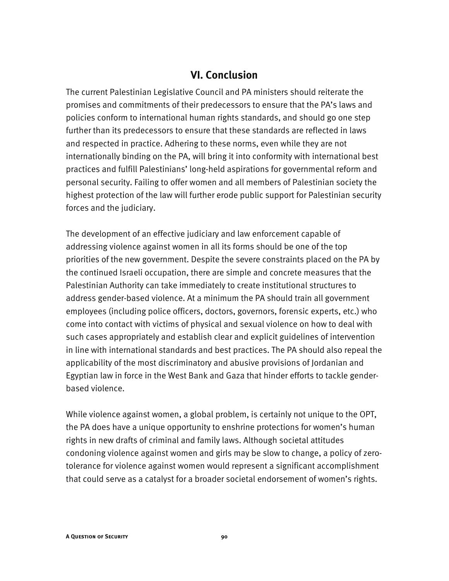#### **VI. Conclusion**

The current Palestinian Legislative Council and PA ministers should reiterate the promises and commitments of their predecessors to ensure that the PA's laws and policies conform to international human rights standards, and should go one step further than its predecessors to ensure that these standards are reflected in laws and respected in practice. Adhering to these norms, even while they are not internationally binding on the PA, will bring it into conformity with international best practices and fulfill Palestinians' long-held aspirations for governmental reform and personal security. Failing to offer women and all members of Palestinian society the highest protection of the law will further erode public support for Palestinian security forces and the judiciary.

The development of an effective judiciary and law enforcement capable of addressing violence against women in all its forms should be one of the top priorities of the new government. Despite the severe constraints placed on the PA by the continued Israeli occupation, there are simple and concrete measures that the Palestinian Authority can take immediately to create institutional structures to address gender-based violence. At a minimum the PA should train all government employees (including police officers, doctors, governors, forensic experts, etc.) who come into contact with victims of physical and sexual violence on how to deal with such cases appropriately and establish clear and explicit guidelines of intervention in line with international standards and best practices. The PA should also repeal the applicability of the most discriminatory and abusive provisions of Jordanian and Egyptian law in force in the West Bank and Gaza that hinder efforts to tackle genderbased violence.

While violence against women, a global problem, is certainly not unique to the OPT, the PA does have a unique opportunity to enshrine protections for women's human rights in new drafts of criminal and family laws. Although societal attitudes condoning violence against women and girls may be slow to change, a policy of zerotolerance for violence against women would represent a significant accomplishment that could serve as a catalyst for a broader societal endorsement of women's rights.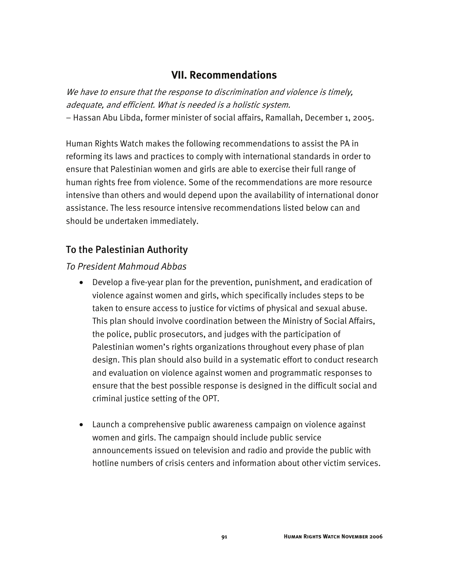#### **VII. Recommendations**

We have to ensure that the response to discrimination and violence is timely, adequate, and efficient. What is needed is a holistic system. − Hassan Abu Libda, former minister of social affairs, Ramallah, December 1, 2005.

Human Rights Watch makes the following recommendations to assist the PA in reforming its laws and practices to comply with international standards in order to ensure that Palestinian women and girls are able to exercise their full range of human rights free from violence. Some of the recommendations are more resource intensive than others and would depend upon the availability of international donor assistance. The less resource intensive recommendations listed below can and should be undertaken immediately.

#### To the Palestinian Authority

#### *To President Mahmoud Abbas*

- Develop a five-year plan for the prevention, punishment, and eradication of violence against women and girls, which specifically includes steps to be taken to ensure access to justice for victims of physical and sexual abuse. This plan should involve coordination between the Ministry of Social Affairs, the police, public prosecutors, and judges with the participation of Palestinian women's rights organizations throughout every phase of plan design. This plan should also build in a systematic effort to conduct research and evaluation on violence against women and programmatic responses to ensure that the best possible response is designed in the difficult social and criminal justice setting of the OPT.
- Launch a comprehensive public awareness campaign on violence against women and girls. The campaign should include public service announcements issued on television and radio and provide the public with hotline numbers of crisis centers and information about other victim services.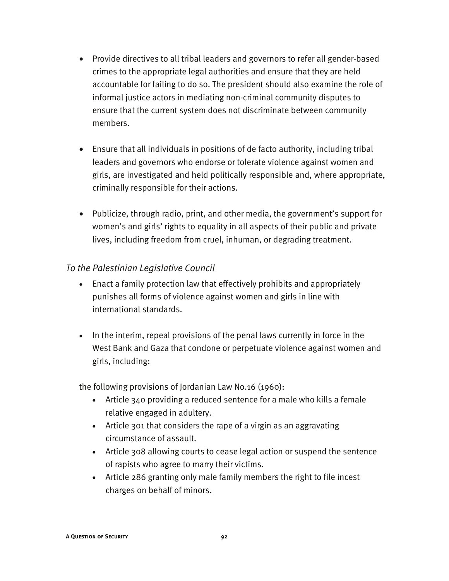- Provide directives to all tribal leaders and governors to refer all gender-based crimes to the appropriate legal authorities and ensure that they are held accountable for failing to do so. The president should also examine the role of informal justice actors in mediating non-criminal community disputes to ensure that the current system does not discriminate between community members.
- Ensure that all individuals in positions of de facto authority, including tribal leaders and governors who endorse or tolerate violence against women and girls, are investigated and held politically responsible and, where appropriate, criminally responsible for their actions.
- Publicize, through radio, print, and other media, the government's support for women's and girls' rights to equality in all aspects of their public and private lives, including freedom from cruel, inhuman, or degrading treatment.

#### *To the Palestinian Legislative Council*

- Enact a family protection law that effectively prohibits and appropriately punishes all forms of violence against women and girls in line with international standards.
- In the interim, repeal provisions of the penal laws currently in force in the West Bank and Gaza that condone or perpetuate violence against women and girls, including:

the following provisions of Jordanian Law No.16 (1960):

- Article 340 providing a reduced sentence for a male who kills a female relative engaged in adultery.
- Article 301 that considers the rape of a virgin as an aggravating circumstance of assault.
- Article 308 allowing courts to cease legal action or suspend the sentence of rapists who agree to marry their victims.
- Article 286 granting only male family members the right to file incest charges on behalf of minors.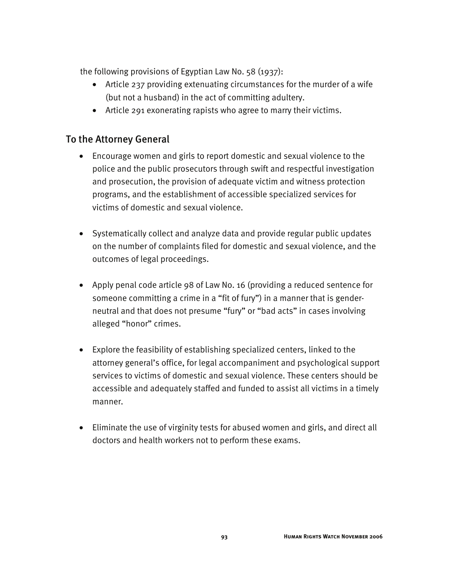the following provisions of Egyptian Law No. 58 (1937):

- Article 237 providing extenuating circumstances for the murder of a wife (but not a husband) in the act of committing adultery.
- Article 291 exonerating rapists who agree to marry their victims.

#### To the Attorney General

- Encourage women and girls to report domestic and sexual violence to the police and the public prosecutors through swift and respectful investigation and prosecution, the provision of adequate victim and witness protection programs, and the establishment of accessible specialized services for victims of domestic and sexual violence.
- Systematically collect and analyze data and provide regular public updates on the number of complaints filed for domestic and sexual violence, and the outcomes of legal proceedings.
- Apply penal code article 98 of Law No. 16 (providing a reduced sentence for someone committing a crime in a "fit of fury") in a manner that is genderneutral and that does not presume "fury" or "bad acts" in cases involving alleged "honor" crimes.
- Explore the feasibility of establishing specialized centers, linked to the attorney general's office, for legal accompaniment and psychological support services to victims of domestic and sexual violence. These centers should be accessible and adequately staffed and funded to assist all victims in a timely manner.
- Eliminate the use of virginity tests for abused women and girls, and direct all doctors and health workers not to perform these exams.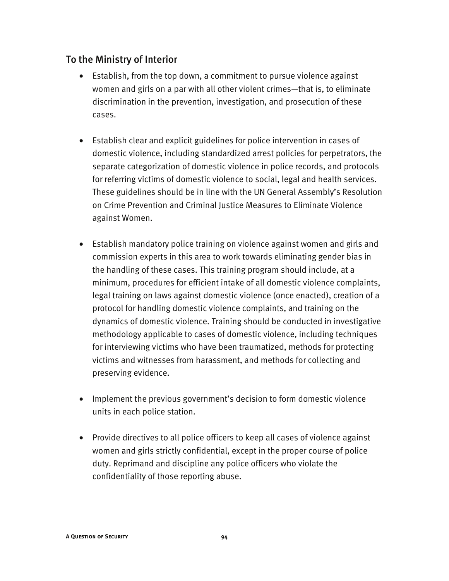#### To the Ministry of Interior

- Establish, from the top down, a commitment to pursue violence against women and girls on a par with all other violent crimes—that is, to eliminate discrimination in the prevention, investigation, and prosecution of these cases.
- Establish clear and explicit guidelines for police intervention in cases of domestic violence, including standardized arrest policies for perpetrators, the separate categorization of domestic violence in police records, and protocols for referring victims of domestic violence to social, legal and health services. These guidelines should be in line with the UN General Assembly's Resolution on Crime Prevention and Criminal Justice Measures to Eliminate Violence against Women.
- Establish mandatory police training on violence against women and girls and commission experts in this area to work towards eliminating gender bias in the handling of these cases. This training program should include, at a minimum, procedures for efficient intake of all domestic violence complaints, legal training on laws against domestic violence (once enacted), creation of a protocol for handling domestic violence complaints, and training on the dynamics of domestic violence. Training should be conducted in investigative methodology applicable to cases of domestic violence, including techniques for interviewing victims who have been traumatized, methods for protecting victims and witnesses from harassment, and methods for collecting and preserving evidence.
- Implement the previous government's decision to form domestic violence units in each police station.
- Provide directives to all police officers to keep all cases of violence against women and girls strictly confidential, except in the proper course of police duty. Reprimand and discipline any police officers who violate the confidentiality of those reporting abuse.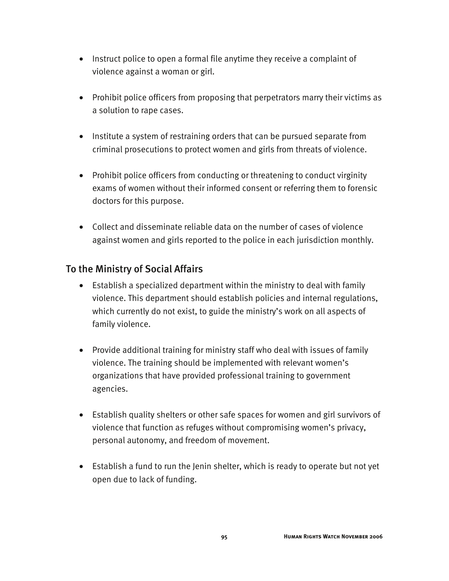- Instruct police to open a formal file anytime they receive a complaint of violence against a woman or girl.
- Prohibit police officers from proposing that perpetrators marry their victims as a solution to rape cases.
- Institute a system of restraining orders that can be pursued separate from criminal prosecutions to protect women and girls from threats of violence.
- Prohibit police officers from conducting or threatening to conduct virginity exams of women without their informed consent or referring them to forensic doctors for this purpose.
- Collect and disseminate reliable data on the number of cases of violence against women and girls reported to the police in each jurisdiction monthly.

#### To the Ministry of Social Affairs

- Establish a specialized department within the ministry to deal with family violence. This department should establish policies and internal regulations, which currently do not exist, to guide the ministry's work on all aspects of family violence.
- Provide additional training for ministry staff who deal with issues of family violence. The training should be implemented with relevant women's organizations that have provided professional training to government agencies.
- Establish quality shelters or other safe spaces for women and girl survivors of violence that function as refuges without compromising women's privacy, personal autonomy, and freedom of movement.
- Establish a fund to run the Jenin shelter, which is ready to operate but not yet open due to lack of funding.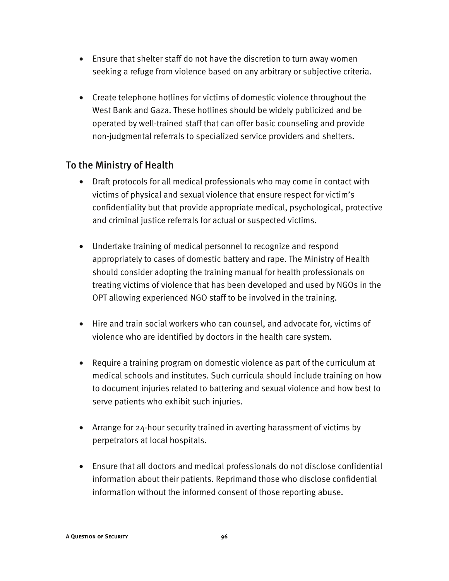- Ensure that shelter staff do not have the discretion to turn away women seeking a refuge from violence based on any arbitrary or subjective criteria.
- Create telephone hotlines for victims of domestic violence throughout the West Bank and Gaza. These hotlines should be widely publicized and be operated by well-trained staff that can offer basic counseling and provide non-judgmental referrals to specialized service providers and shelters.

#### To the Ministry of Health

- Draft protocols for all medical professionals who may come in contact with victims of physical and sexual violence that ensure respect for victim's confidentiality but that provide appropriate medical, psychological, protective and criminal justice referrals for actual or suspected victims.
- Undertake training of medical personnel to recognize and respond appropriately to cases of domestic battery and rape. The Ministry of Health should consider adopting the training manual for health professionals on treating victims of violence that has been developed and used by NGOs in the OPT allowing experienced NGO staff to be involved in the training.
- Hire and train social workers who can counsel, and advocate for, victims of violence who are identified by doctors in the health care system.
- Require a training program on domestic violence as part of the curriculum at medical schools and institutes. Such curricula should include training on how to document injuries related to battering and sexual violence and how best to serve patients who exhibit such injuries.
- Arrange for 24-hour security trained in averting harassment of victims by perpetrators at local hospitals.
- Ensure that all doctors and medical professionals do not disclose confidential information about their patients. Reprimand those who disclose confidential information without the informed consent of those reporting abuse.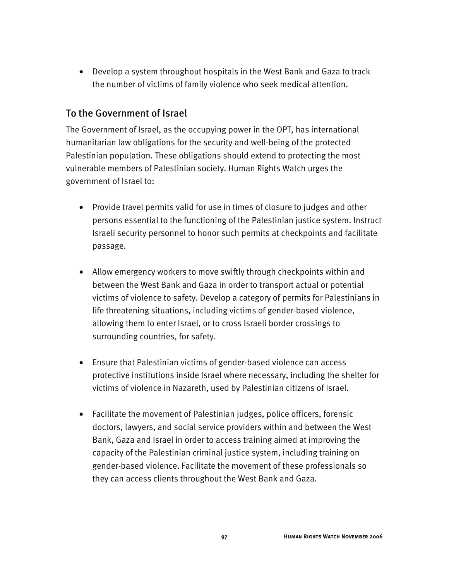• Develop a system throughout hospitals in the West Bank and Gaza to track the number of victims of family violence who seek medical attention.

#### To the Government of Israel

The Government of Israel, as the occupying power in the OPT, has international humanitarian law obligations for the security and well-being of the protected Palestinian population. These obligations should extend to protecting the most vulnerable members of Palestinian society. Human Rights Watch urges the government of Israel to:

- Provide travel permits valid for use in times of closure to judges and other persons essential to the functioning of the Palestinian justice system. Instruct Israeli security personnel to honor such permits at checkpoints and facilitate passage.
- Allow emergency workers to move swiftly through checkpoints within and between the West Bank and Gaza in order to transport actual or potential victims of violence to safety. Develop a category of permits for Palestinians in life threatening situations, including victims of gender-based violence, allowing them to enter Israel, or to cross Israeli border crossings to surrounding countries, for safety.
- Ensure that Palestinian victims of gender-based violence can access protective institutions inside Israel where necessary, including the shelter for victims of violence in Nazareth, used by Palestinian citizens of Israel.
- Facilitate the movement of Palestinian judges, police officers, forensic doctors, lawyers, and social service providers within and between the West Bank, Gaza and Israel in order to access training aimed at improving the capacity of the Palestinian criminal justice system, including training on gender-based violence. Facilitate the movement of these professionals so they can access clients throughout the West Bank and Gaza.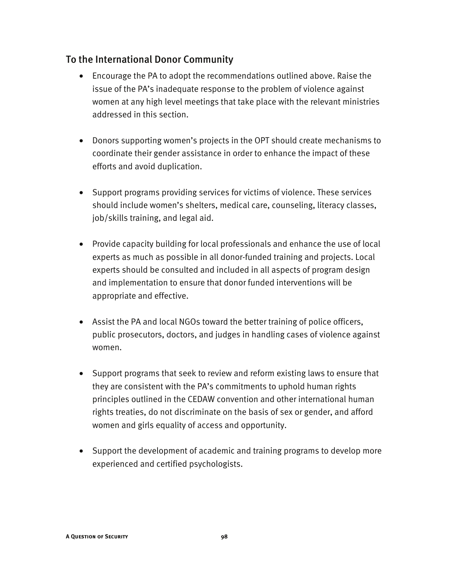#### To the International Donor Community

- Encourage the PA to adopt the recommendations outlined above. Raise the issue of the PA's inadequate response to the problem of violence against women at any high level meetings that take place with the relevant ministries addressed in this section.
- Donors supporting women's projects in the OPT should create mechanisms to coordinate their gender assistance in order to enhance the impact of these efforts and avoid duplication.
- Support programs providing services for victims of violence. These services should include women's shelters, medical care, counseling, literacy classes, job/skills training, and legal aid.
- Provide capacity building for local professionals and enhance the use of local experts as much as possible in all donor-funded training and projects. Local experts should be consulted and included in all aspects of program design and implementation to ensure that donor funded interventions will be appropriate and effective.
- Assist the PA and local NGOs toward the better training of police officers, public prosecutors, doctors, and judges in handling cases of violence against women.
- Support programs that seek to review and reform existing laws to ensure that they are consistent with the PA's commitments to uphold human rights principles outlined in the CEDAW convention and other international human rights treaties, do not discriminate on the basis of sex or gender, and afford women and girls equality of access and opportunity.
- Support the development of academic and training programs to develop more experienced and certified psychologists.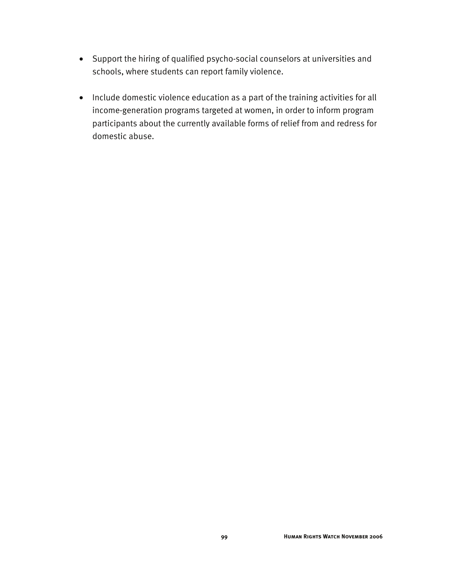- Support the hiring of qualified psycho-social counselors at universities and schools, where students can report family violence.
- Include domestic violence education as a part of the training activities for all income-generation programs targeted at women, in order to inform program participants about the currently available forms of relief from and redress for domestic abuse.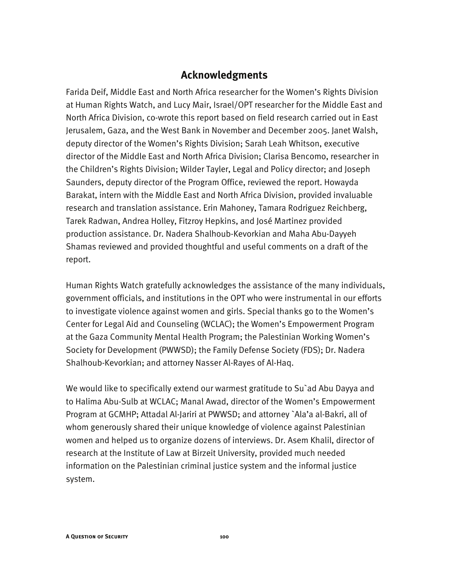#### **Acknowledgments**

Farida Deif, Middle East and North Africa researcher for the Women's Rights Division at Human Rights Watch, and Lucy Mair, Israel/OPT researcher for the Middle East and North Africa Division, co-wrote this report based on field research carried out in East Jerusalem, Gaza, and the West Bank in November and December 2005. Janet Walsh, deputy director of the Women's Rights Division; Sarah Leah Whitson, executive director of the Middle East and North Africa Division; Clarisa Bencomo, researcher in the Children's Rights Division; Wilder Tayler, Legal and Policy director; and Joseph Saunders, deputy director of the Program Office, reviewed the report. Howayda Barakat, intern with the Middle East and North Africa Division, provided invaluable research and translation assistance. Erin Mahoney, Tamara Rodriguez Reichberg, Tarek Radwan, Andrea Holley, Fitzroy Hepkins, and José Martinez provided production assistance. Dr. Nadera Shalhoub-Kevorkian and Maha Abu-Dayyeh Shamas reviewed and provided thoughtful and useful comments on a draft of the report.

Human Rights Watch gratefully acknowledges the assistance of the many individuals, government officials, and institutions in the OPT who were instrumental in our efforts to investigate violence against women and girls. Special thanks go to the Women's Center for Legal Aid and Counseling (WCLAC); the Women's Empowerment Program at the Gaza Community Mental Health Program; the Palestinian Working Women's Society for Development (PWWSD); the Family Defense Society (FDS); Dr. Nadera Shalhoub-Kevorkian; and attorney Nasser Al-Rayes of Al-Haq.

We would like to specifically extend our warmest gratitude to Su`ad Abu Dayya and to Halima Abu-Sulb at WCLAC; Manal Awad, director of the Women's Empowerment Program at GCMHP; Attadal Al-Jariri at PWWSD; and attorney `Ala'a al-Bakri, all of whom generously shared their unique knowledge of violence against Palestinian women and helped us to organize dozens of interviews. Dr. Asem Khalil, director of research at the Institute of Law at Birzeit University, provided much needed information on the Palestinian criminal justice system and the informal justice system.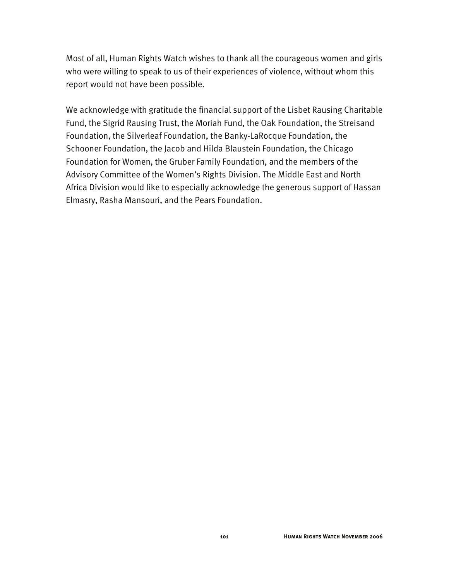Most of all, Human Rights Watch wishes to thank all the courageous women and girls who were willing to speak to us of their experiences of violence, without whom this report would not have been possible.

We acknowledge with gratitude the financial support of the Lisbet Rausing Charitable Fund, the Sigrid Rausing Trust, the Moriah Fund, the Oak Foundation, the Streisand Foundation, the Silverleaf Foundation, the Banky-LaRocque Foundation, the Schooner Foundation, the Jacob and Hilda Blaustein Foundation, the Chicago Foundation for Women, the Gruber Family Foundation, and the members of the Advisory Committee of the Women's Rights Division. The Middle East and North Africa Division would like to especially acknowledge the generous support of Hassan Elmasry, Rasha Mansouri, and the Pears Foundation.